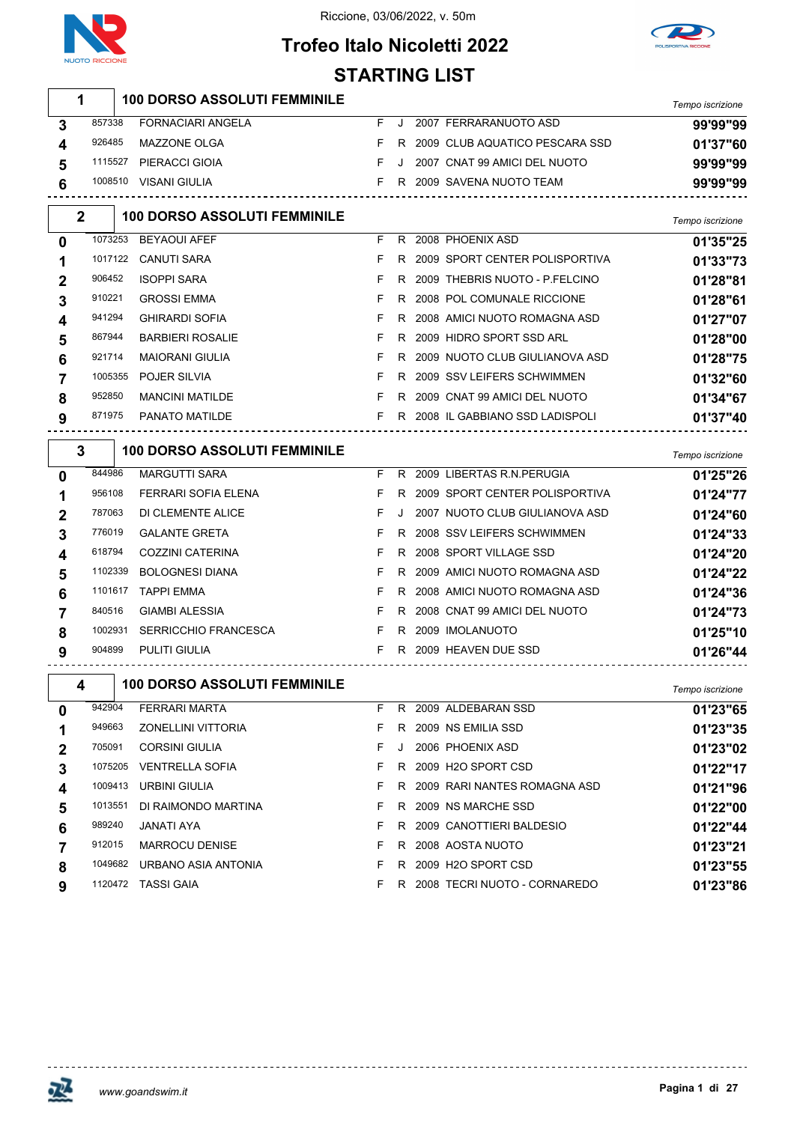



# **Trofeo Italo Nicoletti 2022 STARTING LIST**

|                  | 1              | <b>100 DORSO ASSOLUTI FEMMINILE</b> |    |         |                                  | Tempo iscrizione |
|------------------|----------------|-------------------------------------|----|---------|----------------------------------|------------------|
| 3                | 857338         | <b>FORNACIARI ANGELA</b>            | F. | J       | 2007 FERRARANUOTO ASD            | 99'99"99         |
| 4                | 926485         | MAZZONE OLGA                        | F. | R       | 2009 CLUB AQUATICO PESCARA SSD   | 01'37"60         |
| 5                | 1115527        | PIERACCI GIOIA                      | F. | J       | 2007 CNAT 99 AMICI DEL NUOTO     | 99'99"99         |
| 6                |                | 1008510 VISANI GIULIA               |    |         | F R 2009 SAVENA NUOTO TEAM       | 99'99"99         |
|                  | $\overline{2}$ | <b>100 DORSO ASSOLUTI FEMMINILE</b> |    |         |                                  | Tempo iscrizione |
| 0                | 1073253        | <b>BEYAOUI AFEF</b>                 | F. |         | R 2008 PHOENIX ASD               | 01'35"25         |
| 1                | 1017122        | <b>CANUTI SARA</b>                  | F. | R       | 2009 SPORT CENTER POLISPORTIVA   | 01'33"73         |
| 2                | 906452         | <b>ISOPPI SARA</b>                  | F  |         | R 2009 THEBRIS NUOTO - P.FELCINO | 01'28"81         |
| 3                | 910221         | <b>GROSSI EMMA</b>                  | F  | R       | 2008 POL COMUNALE RICCIONE       | 01'28"61         |
| 4                | 941294         | <b>GHIRARDI SOFIA</b>               | F  | R.      | 2008 AMICI NUOTO ROMAGNA ASD     | 01'27"07         |
| 5                | 867944         | <b>BARBIERI ROSALIE</b>             | F  |         | R 2009 HIDRO SPORT SSD ARL       | 01'28"00         |
| 6                | 921714         | <b>MAIORANI GIULIA</b>              | F  |         | R 2009 NUOTO CLUB GIULIANOVA ASD | 01'28"75         |
| 7                | 1005355        | POJER SILVIA                        | F  |         | R 2009 SSV LEIFERS SCHWIMMEN     | 01'32"60         |
| 8                | 952850         | <b>MANCINI MATILDE</b>              | F. | R       | 2009 CNAT 99 AMICI DEL NUOTO     | 01'34"67         |
| 9                | 871975         | PANATO MATILDE                      | F. |         | R 2008 IL GABBIANO SSD LADISPOLI | 01'37"40         |
|                  | 3              | <b>100 DORSO ASSOLUTI FEMMINILE</b> |    |         |                                  | Tempo iscrizione |
| 0                | 844986         | <b>MARGUTTI SARA</b>                | F. |         | R 2009 LIBERTAS R.N. PERUGIA     | 01'25"26         |
| 1                | 956108         | FERRARI SOFIA ELENA                 | F. | R.      | 2009 SPORT CENTER POLISPORTIVA   | 01'24"77         |
| 2                | 787063         | DI CLEMENTE ALICE                   | F. | $\cdot$ | 2007 NUOTO CLUB GIULIANOVA ASD   | 01'24"60         |
| 3                | 776019         | <b>GALANTE GRETA</b>                | F. |         | R 2008 SSV LEIFERS SCHWIMMEN     | 01'24"33         |
| 4                | 618794         | <b>COZZINI CATERINA</b>             | F. |         | R 2008 SPORT VILLAGE SSD         | 01'24"20         |
| 5                | 1102339        | <b>BOLOGNESI DIANA</b>              | F. | R       | 2009 AMICI NUOTO ROMAGNA ASD     | 01'24"22         |
| 6                | 1101617        | TAPPI EMMA                          | F. | R       | 2008 AMICI NUOTO ROMAGNA ASD     | 01'24"36         |
| 7                | 840516         | <b>GIAMBI ALESSIA</b>               | F  |         | R 2008 CNAT 99 AMICI DEL NUOTO   | 01'24"73         |
| 8                | 1002931        | <b>SERRICCHIO FRANCESCA</b>         | F. |         | R 2009 IMOLANUOTO                | 01'25"10         |
| 9                | 904899         | PULITI GIULIA                       |    |         | F R 2009 HEAVEN DUE SSD          | 01'26"44         |
|                  | 4              | <b>100 DORSO ASSOLUTI FEMMINILE</b> |    |         |                                  | Tempo iscrizione |
| 0                | 942904         | FERRARI MARTA                       |    |         | F R 2009 ALDEBARAN SSD           | 01'23"65         |
| 1                | 949663         | ZONELLINI VITTORIA                  | F. |         | R 2009 NS EMILIA SSD             | 01'23"35         |
| $\boldsymbol{2}$ | 705091         | <b>CORSINI GIULIA</b>               | F. |         | J 2006 PHOENIX ASD               | 01'23"02         |
| 3                |                | 1075205 VENTRELLA SOFIA             | F. |         | R 2009 H2O SPORT CSD             | 01'22"17         |
| 4                |                | 1009413 URBINI GIULIA               | F. |         | R 2009 RARI NANTES ROMAGNA ASD   | 01'21"96         |
| 5                |                | 1013551 DI RAIMONDO MARTINA         | F. |         | R 2009 NS MARCHE SSD             | 01'22"00         |
| 6                | 989240         | JANATI AYA                          | F. |         | R 2009 CANOTTIERI BALDESIO       | 01'22"44         |
| $\overline{7}$   | 912015         | MARROCU DENISE                      | F. |         | R 2008 AOSTA NUOTO               | 01'23"21         |
| 8                |                | 1049682 URBANO ASIA ANTONIA         | F. |         | R 2009 H2O SPORT CSD             | 01'23"55         |
| 9                |                | 1120472 TASSI GAIA                  |    |         | F R 2008 TECRI NUOTO - CORNAREDO | 01'23"86         |



<u> - - - - - - - - - - - - -</u>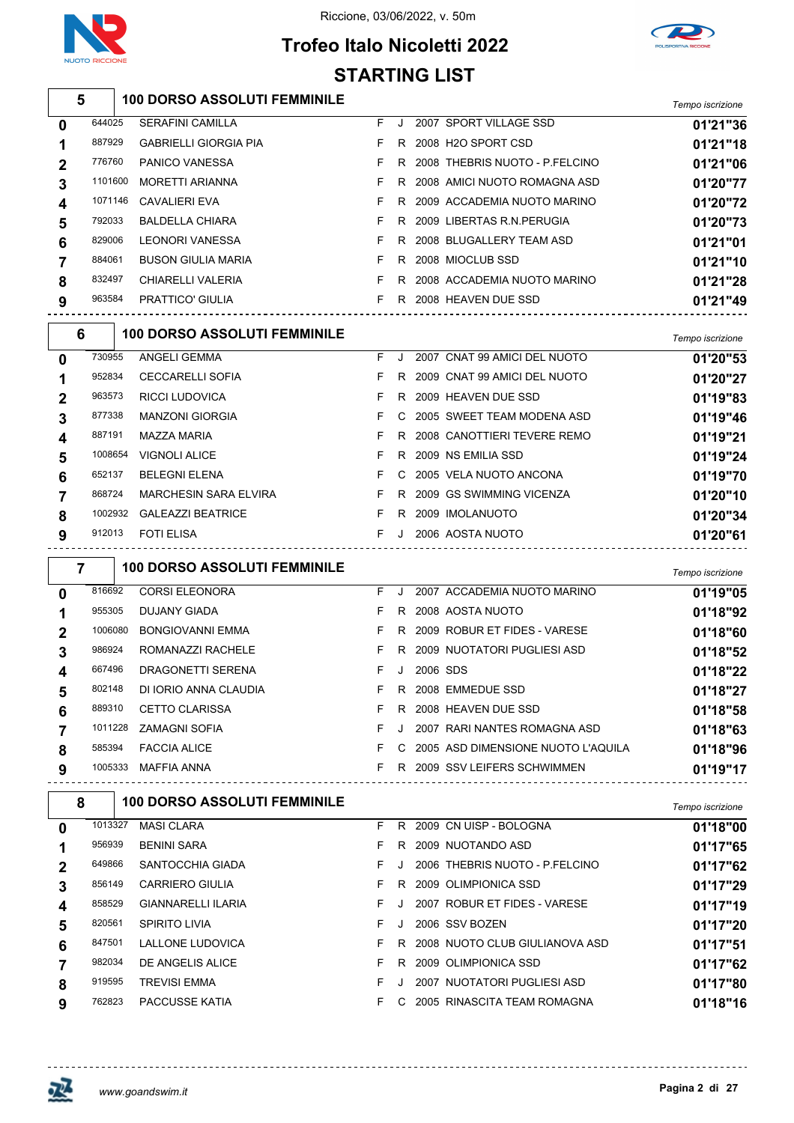

### Riccione, 03/06/2022, v. 50m



# **Trofeo Italo Nicoletti 2022 STARTING LIST**

**100 DORSO ASSOLUTI FEMMINILE** *Tempo iscrizione*

|   | 644025  | <b>SERAFINI CAMILLA</b>                                  |    |     |          | F J 2007 SPORT VILLAGE SSD             | 01'21"36         |
|---|---------|----------------------------------------------------------|----|-----|----------|----------------------------------------|------------------|
|   | 887929  | <b>GABRIELLI GIORGIA PIA</b>                             | F. |     |          | R 2008 H2O SPORT CSD                   | 01'21"18         |
|   | 776760  | PANICO VANESSA                                           | F  |     |          | R 2008 THEBRIS NUOTO - P.FELCINO       | 01'21"06         |
|   | 1101600 | <b>MORETTI ARIANNA</b>                                   | F  |     |          | R 2008 AMICI NUOTO ROMAGNA ASD         | 01'20"77         |
|   | 1071146 | CAVALIERI EVA                                            | F  |     |          | R 2009 ACCADEMIA NUOTO MARINO          | 01'20"72         |
|   | 792033  | <b>BALDELLA CHIARA</b>                                   | F  |     |          | R 2009 LIBERTAS R.N. PERUGIA           | 01'20"73         |
|   | 829006  | LEONORI VANESSA                                          | F. |     |          | R 2008 BLUGALLERY TEAM ASD             | 01'21"01         |
|   | 884061  | <b>BUSON GIULIA MARIA</b>                                | F. |     |          | R 2008 MIOCLUB SSD                     | 01'21"10         |
|   | 832497  | CHIARELLI VALERIA                                        | F. |     |          | R 2008 ACCADEMIA NUOTO MARINO          | 01'21"28         |
|   | 963584  | PRATTICO' GIULIA                                         |    |     |          | F R 2008 HEAVEN DUE SSD                | 01'21"49         |
| 6 |         | <b>100 DORSO ASSOLUTI FEMMINILE</b>                      |    |     |          |                                        | Tempo iscrizione |
|   | 730955  | ANGELI GEMMA                                             | F. | J   |          | 2007 CNAT 99 AMICI DEL NUOTO           | 01'20"53         |
|   | 952834  | <b>CECCARELLI SOFIA</b>                                  | F. |     |          | R 2009 CNAT 99 AMICI DEL NUOTO         | 01'20"27         |
|   | 963573  | <b>RICCI LUDOVICA</b>                                    | F. |     |          | R 2009 HEAVEN DUE SSD                  | 01'19"83         |
|   | 877338  | <b>MANZONI GIORGIA</b>                                   | F. |     |          | C 2005 SWEET TEAM MODENA ASD           | 01'19"46         |
|   | 887191  | MAZZA MARIA                                              | F. |     |          | R 2008 CANOTTIERI TEVERE REMO          | 01'19"21         |
|   | 1008654 | <b>VIGNOLI ALICE</b>                                     | F. |     |          | R 2009 NS EMILIA SSD                   | 01'19"24         |
|   | 652137  | <b>BELEGNI ELENA</b>                                     | F. |     |          | C 2005 VELA NUOTO ANCONA               | 01'19"70         |
|   | 868724  | <b>MARCHESIN SARA ELVIRA</b>                             | F. |     |          | R 2009 GS SWIMMING VICENZA             | 01'20"10         |
|   |         | 1002932 GALEAZZI BEATRICE                                | F. |     |          | R 2009 IMOLANUOTO                      | 01'20"34         |
|   | 912013  | <b>FOTI ELISA</b>                                        | F. |     |          | J 2006 AOSTA NUOTO                     | 01'20"61         |
|   |         |                                                          |    |     |          |                                        |                  |
| 7 |         | <b>100 DORSO ASSOLUTI FEMMINILE</b>                      |    |     |          |                                        | Tempo iscrizione |
|   | 816692  | <b>CORSI ELEONORA</b>                                    |    | F J |          | 2007 ACCADEMIA NUOTO MARINO            | 01'19"05         |
|   | 955305  | DUJANY GIADA                                             | F. |     |          | R 2008 AOSTA NUOTO                     | 01'18"92         |
|   | 1006080 | <b>BONGIOVANNI EMMA</b>                                  | F. |     |          | R 2009 ROBUR ET FIDES - VARESE         | 01'18"60         |
|   | 986924  | ROMANAZZI RACHELE                                        | F. |     |          | R 2009 NUOTATORI PUGLIESI ASD          | 01'18"52         |
|   | 667496  | DRAGONETTI SERENA                                        | F. | J   | 2006 SDS |                                        | 01'18"22         |
|   | 802148  | DI IORIO ANNA CLAUDIA                                    | F. |     |          | R 2008 EMMEDUE SSD                     | 01'18"27         |
|   | 889310  | CETTO CLARISSA                                           |    |     |          | F R 2008 HEAVEN DUE SSD                | 01'18"58         |
|   |         | 1011228 ZAMAGNI SOFIA                                    |    |     |          | F J 2007 RARI NANTES ROMAGNA ASD       | 01'18"63         |
|   | 585394  | <b>FACCIA ALICE</b>                                      |    |     |          | F C 2005 ASD DIMENSIONE NUOTO L'AQUILA | 01'18"96         |
|   |         | 1005333 MAFFIA ANNA<br>--------------------------------- |    |     |          | F R 2009 SSV LEIFERS SCHWIMMEN         | 01'19"17         |
| 8 |         | <b>100 DORSO ASSOLUTI FEMMINILE</b>                      |    |     |          |                                        | Tempo iscrizione |
|   | 1013327 | <b>MASI CLARA</b>                                        |    |     |          | F R 2009 CN UISP - BOLOGNA             | 01'18"00         |
|   | 956939  | <b>BENINI SARA</b>                                       | F. |     |          | R 2009 NUOTANDO ASD                    | 01'17"65         |
|   | 649866  | SANTOCCHIA GIADA                                         | F. |     |          | J 2006 THEBRIS NUOTO - P.FELCINO       | 01'17"62         |
|   | 856149  | <b>CARRIERO GIULIA</b>                                   | F. |     |          | R 2009 OLIMPIONICA SSD                 | 01'17"29         |
|   | 858529  | <b>GIANNARELLI ILARIA</b>                                | F. |     |          | J 2007 ROBUR ET FIDES - VARESE         | 01'17"19         |
|   | 820561  | SPIRITO LIVIA                                            | F. |     |          | J 2006 SSV BOZEN                       | 01'17"20         |
|   | 847501  | LALLONE LUDOVICA                                         | F. |     |          | R 2008 NUOTO CLUB GIULIANOVA ASD       | 01'17"51         |
|   | 982034  | DE ANGELIS ALICE                                         | F. |     |          | R 2009 OLIMPIONICA SSD                 | 01'17"62         |
|   | 919595  | <b>TREVISI EMMA</b>                                      | F. |     |          | J 2007 NUOTATORI PUGLIESI ASD          | 01'17"80         |
|   | 762823  | PACCUSSE KATIA                                           |    |     |          | F C 2005 RINASCITA TEAM ROMAGNA        | 01'18"16         |
|   |         |                                                          |    |     |          |                                        |                  |

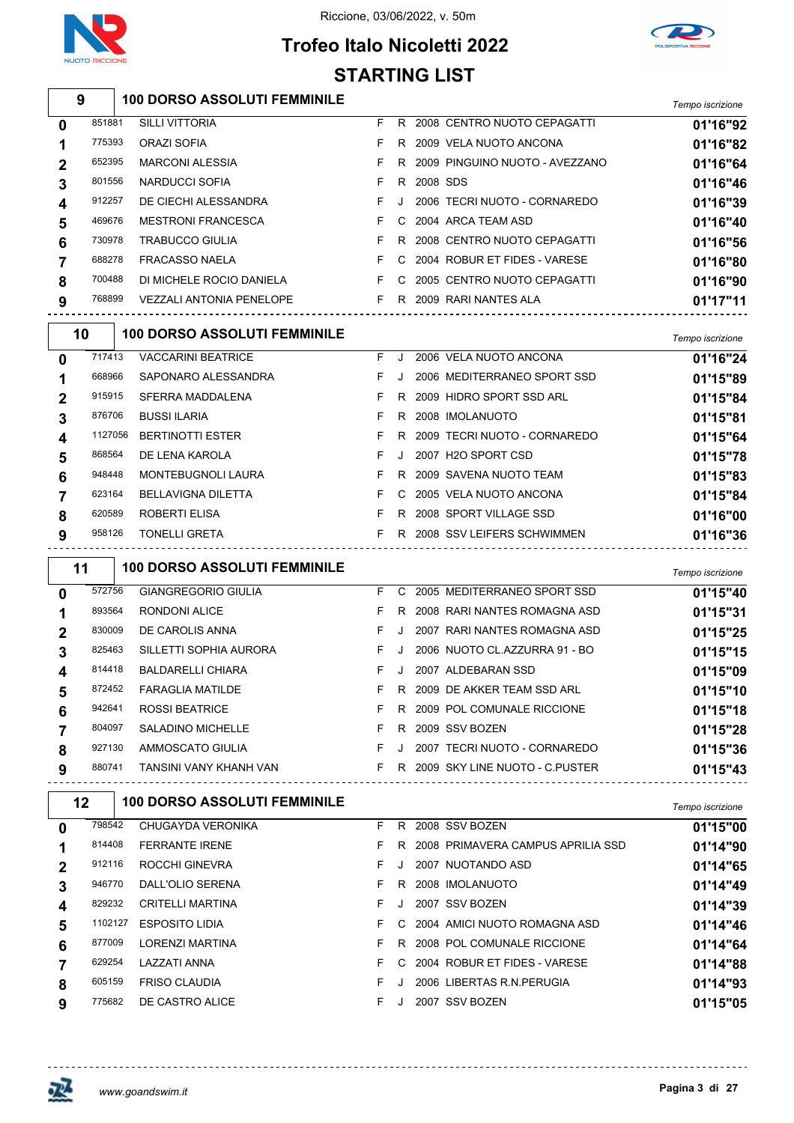





|              |         |                                     |    |    | <b>STARTING LIST</b> |                                |                  |
|--------------|---------|-------------------------------------|----|----|----------------------|--------------------------------|------------------|
|              | 9       | <b>100 DORSO ASSOLUTI FEMMINILE</b> |    |    |                      |                                | Tempo iscrizione |
| 0            | 851881  | <b>SILLI VITTORIA</b>               | F  |    |                      | R 2008 CENTRO NUOTO CEPAGATTI  | 01'16"92         |
| 1            | 775393  | <b>ORAZI SOFIA</b>                  | F. | R  |                      | 2009 VELA NUOTO ANCONA         | 01'16"82         |
| 2            | 652395  | <b>MARCONI ALESSIA</b>              | F. | R  |                      | 2009 PINGUINO NUOTO - AVEZZANO | 01'16"64         |
| 3            | 801556  | NARDUCCI SOFIA                      | F. | R  | 2008 SDS             |                                | 01'16"46         |
| 4            | 912257  | DE CIECHI ALESSANDRA                | F. | J. |                      | 2006 TECRI NUOTO - CORNAREDO   | 01'16"39         |
| 5            | 469676  | <b>MESTRONI FRANCESCA</b>           | F. | C  |                      | 2004 ARCA TEAM ASD             | 01'16"40         |
| 6            | 730978  | <b>TRABUCCO GIULIA</b>              | F  | R. |                      | 2008 CENTRO NUOTO CEPAGATTI    | 01'16"56         |
| 7            | 688278  | <b>FRACASSO NAELA</b>               | F. |    |                      | 2004 ROBUR ET FIDES - VARESE   | 01'16"80         |
| 8            | 700488  | DI MICHELE ROCIO DANIELA            | F. | C. |                      | 2005 CENTRO NUOTO CEPAGATTI    | 01'16"90         |
| 9            | 768899  | <b>VEZZALI ANTONIA PENELOPE</b>     | F  |    |                      | R 2009 RARI NANTES ALA         | 01'17"11         |
|              | 10      | <b>100 DORSO ASSOLUTI FEMMINILE</b> |    |    |                      |                                | Tempo iscrizione |
| <sup>0</sup> | 717413  | <b>VACCARINI BEATRICE</b>           | F. | J. |                      | 2006 VELA NUOTO ANCONA         | 01'16"24         |
| 1            | 668966  | SAPONARO ALESSANDRA                 | F. |    |                      | 2006 MEDITERRANEO SPORT SSD    | 01'15"89         |
| 2            | 915915  | SFERRA MADDALENA                    | F. | R  |                      | 2009 HIDRO SPORT SSD ARL       | 01'15"84         |
| 3            | 876706  | <b>BUSSI ILARIA</b>                 | F. | R. |                      | 2008 IMOLANUOTO                | 01'15"81         |
| 4            | 1127056 | <b>BERTINOTTI ESTER</b>             | F  | R  |                      | 2009 TECRI NUOTO - CORNAREDO   | 01'15"64         |
| 5            | 868564  | DE LENA KAROLA                      | F. | J. |                      | 2007 H2O SPORT CSD             | 01'15"78         |
| 6            | 948448  | <b>MONTEBUGNOLI LAURA</b>           | F. |    |                      | R 2009 SAVENA NUOTO TEAM       | 01'15"83         |

|        | 958126 TONELLI GRETA |  | F R 2008 SSV LEIFERS SCHWIMMEN | 01'16"36 |
|--------|----------------------|--|--------------------------------|----------|
| 620589 | ROBERTI ELISA        |  | F R 2008 SPORT VILLAGE SSD     | 01'16"00 |
| 623164 | BELLAVIGNA DILETTA   |  | F C 2005 VELA NUOTO ANCONA     | 01'15"84 |
| 948448 | MONTEBUGNOLI LAURA   |  | F R 2009 SAVENA NUOTO TEAM     | 01'15"83 |

| 01'15"40<br>01'15"31 |
|----------------------|
|                      |
|                      |
| 01'15"25             |
| 01'15"15             |
| 01'15"09             |
| 01'15"10             |
| 01'15"18             |
| 01'15"28             |
| 01'15"36             |
| 01'15"43             |
|                      |

| 12          |         | <b>100 DORSO ASSOLUTI FEMMINILE</b> |    |    |                                   | Tempo iscrizione |
|-------------|---------|-------------------------------------|----|----|-----------------------------------|------------------|
| 0           | 798542  | CHUGAYDA VERONIKA                   | F  | R. | 2008 SSV BOZEN                    | 01'15"00         |
|             | 814408  | <b>FERRANTE IRENE</b>               | F  | R. | 2008 PRIMAVERA CAMPUS APRILIA SSD | 01'14"90         |
| $\mathbf 2$ | 912116  | ROCCHI GINEVRA                      | F. |    | 2007 NUOTANDO ASD                 | 01'14"65         |
| 3           | 946770  | DALL'OLIO SERENA                    | F. | R  | 2008 IMOLANUOTO                   | 01'14"49         |
| 4           | 829232  | <b>CRITELLI MARTINA</b>             | F  |    | 2007 SSV BOZEN                    | 01'14"39         |
| 5           | 1102127 | <b>ESPOSITO LIDIA</b>               | F. | C. | 2004 AMICI NUOTO ROMAGNA ASD      | 01'14"46         |
| 6           | 877009  | <b>LORENZI MARTINA</b>              | F. | R. | 2008 POL COMUNALE RICCIONE        | 01'14"64         |
|             | 629254  | LAZZATI ANNA                        | F. | C. | 2004 ROBUR ET FIDES - VARESE      | 01'14"88         |
| 8           | 605159  | <b>FRISO CLAUDIA</b>                | F  |    | 2006 LIBERTAS R.N. PERUGIA        | 01'14"93         |
| 9           | 775682  | DE CASTRO ALICE                     | F. |    | 2007 SSV BOZEN                    | 01'15"05         |

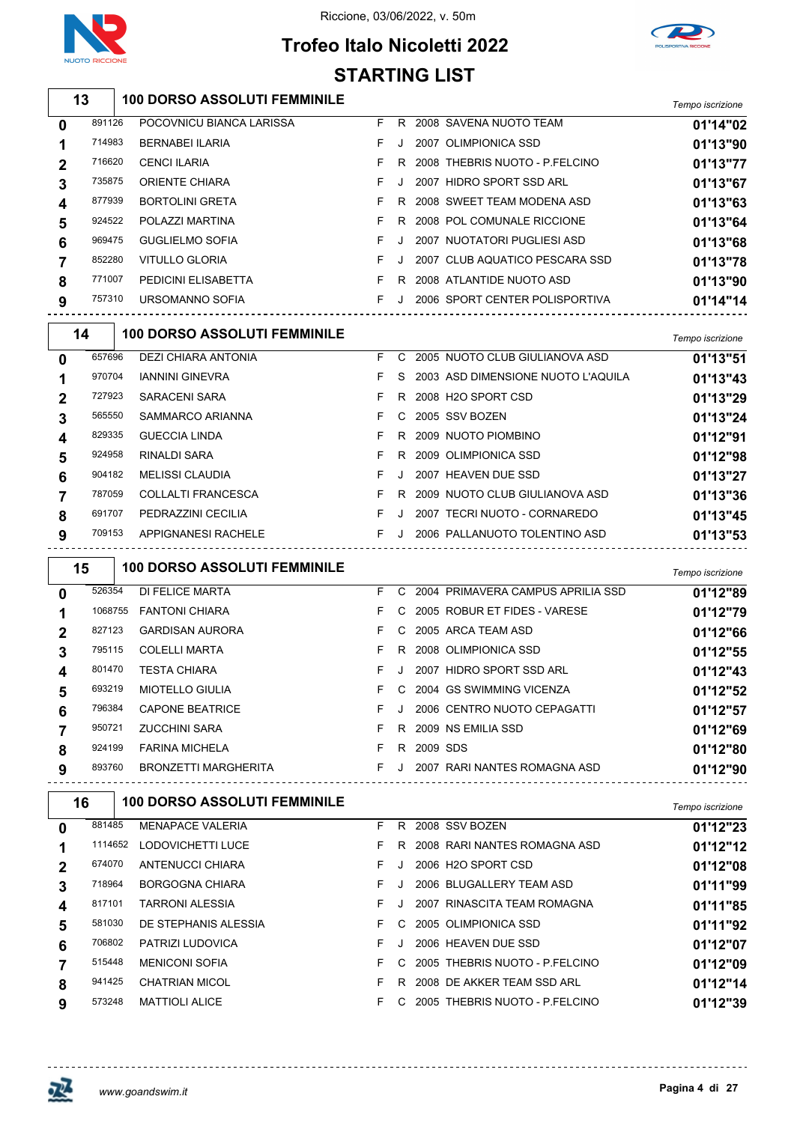

# **Trofeo Italo Nicoletti 2022 STARTING LIST**

|                | 13      | <b>100 DORSO ASSOLUTI FEMMINILE</b> |                     |              |                                    | Tempo iscrizione     |
|----------------|---------|-------------------------------------|---------------------|--------------|------------------------------------|----------------------|
| 0              | 891126  | POCOVNICU BIANCA LARISSA            | F.                  |              | R 2008 SAVENA NUOTO TEAM           | 01'14"02             |
| 1              | 714983  | <b>BERNABEI ILARIA</b>              | F.                  | J            | 2007 OLIMPIONICA SSD               | 01'13"90             |
| 2              | 716620  | <b>CENCI ILARIA</b>                 | F                   | R            | 2008 THEBRIS NUOTO - P.FELCINO     | 01'13"77             |
| 3              | 735875  | ORIENTE CHIARA                      | F                   | J            | 2007 HIDRO SPORT SSD ARL           | 01'13"67             |
| 4              | 877939  | <b>BORTOLINI GRETA</b>              | F.                  | R            | 2008 SWEET TEAM MODENA ASD         | 01'13"63             |
| 5              | 924522  | POLAZZI MARTINA                     | F                   | R            | 2008 POL COMUNALE RICCIONE         | 01'13"64             |
| 6              | 969475  | <b>GUGLIELMO SOFIA</b>              | F.                  | J            | 2007 NUOTATORI PUGLIESI ASD        | 01'13"68             |
| 7              | 852280  | <b>VITULLO GLORIA</b>               | F.                  | J            | 2007 CLUB AQUATICO PESCARA SSD     | 01'13"78             |
| 8              | 771007  | PEDICINI ELISABETTA                 | F.                  | R            | 2008 ATLANTIDE NUOTO ASD           | 01'13"90             |
| 9              | 757310  | URSOMANNO SOFIA                     | F.                  | J            | 2006 SPORT CENTER POLISPORTIVA     | 01'14"14             |
|                |         |                                     |                     |              |                                    |                      |
|                | 14      | <b>100 DORSO ASSOLUTI FEMMINILE</b> |                     |              |                                    | Tempo iscrizione     |
| 0              | 657696  | DEZI CHIARA ANTONIA                 | F                   |              | C 2005 NUOTO CLUB GIULIANOVA ASD   | 01'13"51             |
| 1              | 970704  | <b>IANNINI GINEVRA</b>              | F.                  | S            | 2003 ASD DIMENSIONE NUOTO L'AQUILA | 01'13"43             |
| $\mathbf 2$    | 727923  | <b>SARACENI SARA</b>                | F.                  | R            | 2008 H2O SPORT CSD                 | 01'13"29             |
| 3              | 565550  | SAMMARCO ARIANNA                    | F.                  | C            | 2005 SSV BOZEN                     | 01'13"24             |
| 4              | 829335  | <b>GUECCIA LINDA</b>                | F                   | R            | 2009 NUOTO PIOMBINO                | 01'12"91             |
| 5              | 924958  | <b>RINALDI SARA</b>                 | F.                  | R            | 2009 OLIMPIONICA SSD               | 01'12"98             |
| 6              | 904182  | <b>MELISSI CLAUDIA</b>              | F                   | J            | 2007 HEAVEN DUE SSD                | 01'13"27             |
| 7              | 787059  | COLLALTI FRANCESCA                  | F.                  | R            | 2009 NUOTO CLUB GIULIANOVA ASD     | 01'13"36             |
| 8              | 691707  | PEDRAZZINI CECILIA                  | F.                  | J            | 2007 TECRI NUOTO - CORNAREDO       | 01'13"45             |
| 9              | 709153  | APPIGNANESI RACHELE                 | F                   | J            | 2006 PALLANUOTO TOLENTINO ASD      | 01'13"53             |
|                | 15      | <b>100 DORSO ASSOLUTI FEMMINILE</b> |                     |              |                                    | Tempo iscrizione     |
| 0              | 526354  | DI FELICE MARTA                     | F.                  | C            | 2004 PRIMAVERA CAMPUS APRILIA SSD  | 01'12"89             |
| 1              | 1068755 | <b>FANTONI CHIARA</b>               | F.                  | C            | 2005 ROBUR ET FIDES - VARESE       | 01'12"79             |
| 2              | 827123  | <b>GARDISAN AURORA</b>              | F.                  | C            | 2005 ARCA TEAM ASD                 | 01'12"66             |
| 3              | 795115  | <b>COLELLI MARTA</b>                | F.                  | R.           | 2008 OLIMPIONICA SSD               |                      |
| 4              | 801470  |                                     |                     |              |                                    |                      |
|                |         | <b>TESTA CHIARA</b>                 | F.                  | J            | 2007 HIDRO SPORT SSD ARL           | 01'12"55             |
|                | 693219  | <b>MIOTELLO GIULIA</b>              |                     |              | 2004 GS SWIMMING VICENZA           | 01'12"43             |
| 5              | 796384  | <b>CAPONE BEATRICE</b>              | F.                  | $\mathbf{J}$ | 2006 CENTRO NUOTO CEPAGATTI        | 01'12"52             |
| 6              | 950721  | <b>ZUCCHINI SARA</b>                |                     |              | F R 2009 NS EMILIA SSD             | 01'12"57             |
| 7              | 924199  | FARINA MICHELA                      | <b>E</b> R 2009 SDS |              |                                    | 01'12"69             |
| 8<br>9         | 893760  | BRONZETTI MARGHERITA                |                     |              |                                    | 01'12"80<br>01'12"90 |
|                |         |                                     |                     |              | F J 2007 RARI NANTES ROMAGNA ASD   |                      |
|                | 16      | <b>100 DORSO ASSOLUTI FEMMINILE</b> |                     |              |                                    | Tempo iscrizione     |
| 0              | 881485  | <b>MENAPACE VALERIA</b>             |                     |              | F R 2008 SSV BOZEN                 | 01'12"23             |
| 1              |         | 1114652 LODOVICHETTI LUCE           |                     |              | F R 2008 RARI NANTES ROMAGNA ASD   | 01'12"12             |
| 2              | 674070  | ANTENUCCI CHIARA                    | F.                  |              | J 2006 H2O SPORT CSD               | 01'12"08             |
| 3              | 718964  | BORGOGNA CHIARA                     | F.                  | J            | 2006 BLUGALLERY TEAM ASD           | 01'11"99             |
| 4              | 817101  | TARRONI ALESSIA                     | F.                  |              | J 2007  RINASCITA TEAM ROMAGNA     | 01'11"85             |
| 5              | 581030  | DE STEPHANIS ALESSIA                | F.                  |              | C 2005 OLIMPIONICA SSD             | 01'11"92             |
| 6              | 706802  | PATRIZI LUDOVICA                    | F.                  |              | J 2006 HEAVEN DUE SSD              | 01'12"07             |
| $\overline{7}$ | 515448  | <b>MENICONI SOFIA</b>               | F.                  |              | C 2005 THEBRIS NUOTO - P.FELCINO   | 01'12"09             |
| 8              | 941425  | <b>CHATRIAN MICOL</b>               | F.                  |              | R 2008 DE AKKER TEAM SSD ARL       | 01'12"14             |



 $- - - -$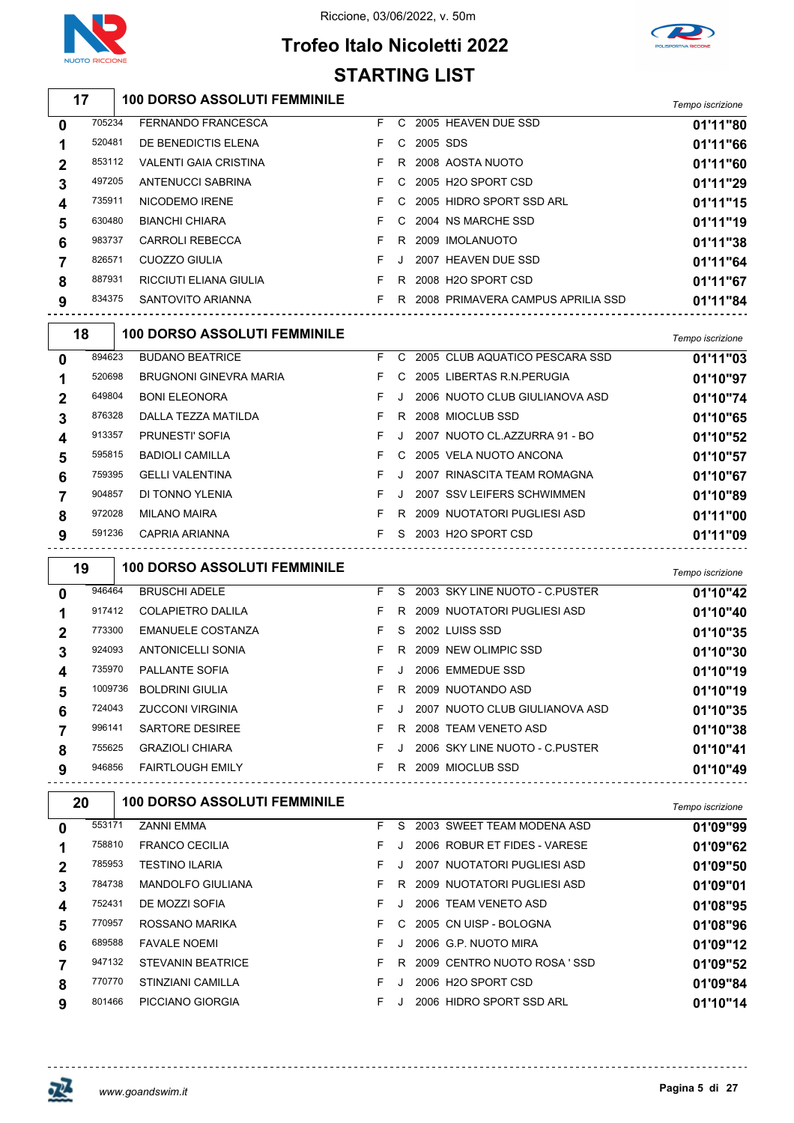

## **Trofeo Italo Nicoletti 2022 STARTING LIST**



#### **100 DORSO ASSOLUTI FEMMINILE** *Tempo iscrizione* FERNANDO FRANCESCA F C 2005 HEAVEN DUE SSD **01'11"80** DE BENEDICTIS ELENA F C 2005 SDS **01'11"66** VALENTI GAIA CRISTINA F R 2008 AOSTA NUOTO **01'11"60** ANTENUCCI SABRINA F C 2005 H2O SPORT CSD **01'11"29** NICODEMO IRENE F C 2005 HIDRO SPORT SSD ARL **01'11"15** BIANCHI CHIARA F C 2004 NS MARCHE SSD **01'11"19** CARROLI REBECCA F R 2009 IMOLANUOTO **01'11"38** 826571 CUOZZO GIULIA **F** J 2007 HEAVEN DUE SSD **01'11"64**  RICCIUTI ELIANA GIULIA F R 2008 H2O SPORT CSD **01'11"67** SANTOVITO ARIANNA F R 2008 PRIMAVERA CAMPUS APRILIA SSD **01'11"84 100 DORSO ASSOLUTI FEMMINILE** *Tempo iscrizione* BUDANO BEATRICE F C 2005 CLUB AQUATICO PESCARA SSD **01'11"03** BRUGNONI GINEVRA MARIA F C 2005 LIBERTAS R.N.PERUGIA **01'10"97** BONI ELEONORA F J 2006 NUOTO CLUB GIULIANOVA ASD **01'10"74** DALLA TEZZA MATILDA F R 2008 MIOCLUB SSD **01'10"65** PRUNESTI' SOFIA F J 2007 NUOTO CL.AZZURRA 91 - BO **01'10"52** BADIOLI CAMILLA F C 2005 VELA NUOTO ANCONA **01'10"57** GELLI VALENTINA F J 2007 RINASCITA TEAM ROMAGNA **01'10"67** DI TONNO YLENIA F J 2007 SSV LEIFERS SCHWIMMEN **01'10"89** MILANO MAIRA F R 2009 NUOTATORI PUGLIESI ASD **01'11"00** CAPRIA ARIANNA F S 2003 H2O SPORT CSD **01'11"09 19 \big | 100 DORSO ASSOLUTI FEMMINILE**

|   | . .     |                          |    |    |                                | i empo iscrizione |
|---|---------|--------------------------|----|----|--------------------------------|-------------------|
| 0 | 946464  | <b>BRUSCHI ADELE</b>     | F  | S. | 2003 SKY LINE NUOTO - C.PUSTER | 01'10"42          |
| 1 | 917412  | COLAPIETRO DALILA        | F  | R  | 2009 NUOTATORI PUGLIESI ASD    | 01'10"40          |
| 2 | 773300  | <b>EMANUELE COSTANZA</b> | F  | S. | 2002 LUISS SSD                 | 01'10"35          |
| 3 | 924093  | <b>ANTONICELLI SONIA</b> | F. | R  | 2009 NEW OLIMPIC SSD           | 01'10"30          |
| 4 | 735970  | PALLANTE SOFIA           | F  | J  | 2006 EMMEDUE SSD               | 01'10"19          |
| 5 | 1009736 | <b>BOLDRINI GIULIA</b>   | F. | R  | 2009 NUOTANDO ASD              | 01'10"19          |
| 6 | 724043  | <b>ZUCCONI VIRGINIA</b>  | F  |    | 2007 NUOTO CLUB GIULIANOVA ASD | 01'10"35          |
|   | 996141  | <b>SARTORE DESIREE</b>   | F  | R  | 2008 TEAM VENETO ASD           | 01'10"38          |
| 8 | 755625  | <b>GRAZIOLI CHIARA</b>   | F  |    | 2006 SKY LINE NUOTO - C PUSTER | 01'10"41          |
| 9 | 946856  | <b>FAIRTLOUGH EMILY</b>  | F  | R  | 2009 MIOCLUB SSD               | 01'10"49          |

| 20 |        | <b>100 DORSO ASSOLUTI FEMMINILE</b> |    |    |                              | Tempo iscrizione |
|----|--------|-------------------------------------|----|----|------------------------------|------------------|
| 0  | 553171 | <b>ZANNI EMMA</b>                   | F. | S. | 2003 SWEET TEAM MODENA ASD   | 01'09"99         |
|    | 758810 | <b>FRANCO CECILIA</b>               | F. |    | 2006 ROBUR ET FIDES - VARESE | 01'09"62         |
| 2  | 785953 | <b>TESTINO ILARIA</b>               | F  |    | 2007 NUOTATORI PUGLIESI ASD  | 01'09"50         |
| 3  | 784738 | <b>MANDOLFO GIULIANA</b>            | F. | R. | 2009 NUOTATORI PUGLIESI ASD  | 01'09"01         |
| 4  | 752431 | DE MOZZI SOFIA                      | F. |    | 2006 TEAM VENETO ASD         | 01'08"95         |
| 5  | 770957 | ROSSANO MARIKA                      | F. | C. | 2005 CN UISP - BOLOGNA       | 01'08"96         |
| 6  | 689588 | <b>FAVALE NOEMI</b>                 | F  |    | 2006 G.P. NUOTO MIRA         | 01'09"12         |
|    | 947132 | <b>STEVANIN BEATRICE</b>            | F. | R  | 2009 CENTRO NUOTO ROSA 'SSD  | 01'09"52         |
| 8  | 770770 | STINZIANI CAMILLA                   | F  |    | 2006 H2O SPORT CSD           | 01'09"84         |
| 9  | 801466 | PICCIANO GIORGIA                    | F  |    | 2006 HIDRO SPORT SSD ARL     | 01'10"14         |

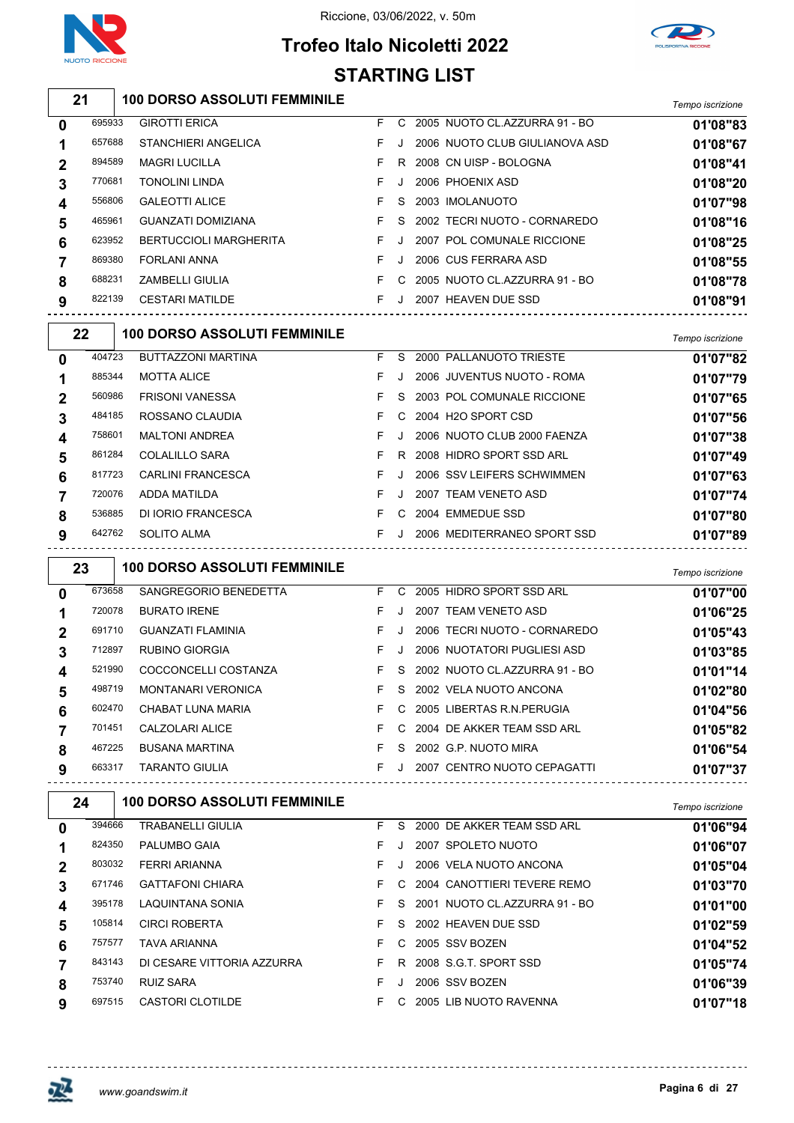

### Riccione, 03/06/2022, v. 50m



# **Trofeo Italo Nicoletti 2022 STARTING LIST**

|                  | 21     | <b>100 DORSO ASSOLUTI FEMMINILE</b>             |    |         |                                 | Tempo iscrizione |
|------------------|--------|-------------------------------------------------|----|---------|---------------------------------|------------------|
| $\mathbf 0$      | 695933 | <b>GIROTTI ERICA</b>                            | F. |         | C 2005 NUOTO CL.AZZURRA 91 - BO | 01'08"83         |
| 1                | 657688 | STANCHIERI ANGELICA                             | F  | $\cdot$ | 2006 NUOTO CLUB GIULIANOVA ASD  | 01'08"67         |
| $\boldsymbol{2}$ | 894589 | <b>MAGRI LUCILLA</b>                            | F  |         | R 2008 CN UISP - BOLOGNA        | 01'08"41         |
| 3                | 770681 | <b>TONOLINI LINDA</b>                           | F  | J       | 2006 PHOENIX ASD                | 01'08"20         |
| 4                | 556806 | <b>GALEOTTI ALICE</b>                           | F  | S       | 2003 IMOLANUOTO                 | 01'07"98         |
| 5                | 465961 | GUANZATI DOMIZIANA                              | F  | S       | 2002 TECRI NUOTO - CORNAREDO    | 01'08"16         |
| 6                | 623952 | <b>BERTUCCIOLI MARGHERITA</b>                   | F. | J       | 2007 POL COMUNALE RICCIONE      | 01'08"25         |
| 7                | 869380 | FORLANI ANNA                                    | F. | J       | 2006 CUS FERRARA ASD            | 01'08"55         |
| 8                | 688231 | <b>ZAMBELLI GIULIA</b>                          | F. |         | C 2005 NUOTO CL.AZZURRA 91 - BO | 01'08"78         |
| 9                | 822139 | <b>CESTARI MATILDE</b>                          | F  | J       | 2007 HEAVEN DUE SSD             | 01'08"91         |
|                  |        | <b>100 DORSO ASSOLUTI FEMMINILE</b>             |    |         | <u>------------------------</u> |                  |
|                  | 22     |                                                 |    |         |                                 | Tempo iscrizione |
| 0                | 404723 | <b>BUTTAZZONI MARTINA</b>                       |    |         | F S 2000 PALLANUOTO TRIESTE     | 01'07"82         |
| 1                | 885344 | <b>MOTTA ALICE</b>                              | F  | $\cdot$ | 2006 JUVENTUS NUOTO - ROMA      | 01'07"79         |
| $\mathbf{2}$     | 560986 | <b>FRISONI VANESSA</b>                          | F  | S       | 2003 POL COMUNALE RICCIONE      | 01'07"65         |
| 3                | 484185 | ROSSANO CLAUDIA                                 | F  |         | C 2004 H2O SPORT CSD            | 01'07"56         |
| 4                | 758601 | <b>MALTONI ANDREA</b>                           | F  | J       | 2006 NUOTO CLUB 2000 FAENZA     | 01'07"38         |
| 5                | 861284 | <b>COLALILLO SARA</b>                           | F  |         | R 2008 HIDRO SPORT SSD ARL      | 01'07"49         |
| 6                | 817723 | <b>CARLINI FRANCESCA</b>                        | F  | J       | 2006 SSV LEIFERS SCHWIMMEN      | 01'07"63         |
| 7                | 720076 | ADDA MATILDA                                    | F  | J       | 2007 TEAM VENETO ASD            | 01'07"74         |
| 8                | 536885 | DI IORIO FRANCESCA                              | F. |         | C 2004 EMMEDUE SSD              | 01'07"80         |
| 9                | 642762 | SOLITO ALMA<br>-------------------------------- | F  |         | J 2006 MEDITERRANEO SPORT SSD   | 01'07"89         |
|                  | 23     | <b>100 DORSO ASSOLUTI FEMMINILE</b>             |    |         |                                 | Tempo iscrizione |
| $\mathbf 0$      | 673658 | SANGREGORIO BENEDETTA                           |    |         | F C 2005 HIDRO SPORT SSD ARL    | 01'07"00         |
| 1                | 720078 | <b>BURATO IRENE</b>                             | F. | J       | 2007 TEAM VENETO ASD            | 01'06"25         |
| $\boldsymbol{2}$ | 691710 | <b>GUANZATI FLAMINIA</b>                        | F. | J       | 2006 TECRI NUOTO - CORNAREDO    | 01'05"43         |
| 3                | 712897 | <b>RUBINO GIORGIA</b>                           | F  | J       | 2006 NUOTATORI PUGLIESI ASD     | 01'03"85         |
| 4                | 521990 | COCCONCELLI COSTANZA                            | F  |         | S 2002 NUOTO CL.AZZURRA 91 - BO | 01'01"14         |
| 5                | 498719 | MONTANARI VERONICA                              |    |         | F S 2002 VELA NUOTO ANCONA      | 01'02"80         |
| 6                | 602470 | CHABAT LUNA MARIA                               | F. |         | C 2005 LIBERTAS R.N.PERUGIA     | 01'04"56         |
| 7                | 701451 | CALZOLARI ALICE                                 | F. |         | C 2004 DE AKKER TEAM SSD ARL    | 01'05"82         |
| 8                | 467225 | BUSANA MARTINA                                  | F. |         | S 2002 G.P. NUOTO MIRA          | 01'06"54         |
| 9                | 663317 | <b>TARANTO GIULIA</b>                           |    |         | F J 2007 CENTRO NUOTO CEPAGATTI | 01'07"37         |
|                  | 24     | <b>100 DORSO ASSOLUTI FEMMINILE</b>             |    |         |                                 |                  |
|                  | 394666 |                                                 |    |         | S 2000 DE AKKER TEAM SSD ARL    | Tempo iscrizione |
| 0                | 824350 | <b>TRABANELLI GIULIA</b>                        | F. |         |                                 | 01'06"94         |
| 1                |        | PALUMBO GAIA                                    | F. | J       | 2007 SPOLETO NUOTO              | 01'06"07         |
| $\boldsymbol{2}$ | 803032 | FERRI ARIANNA                                   | F  |         | J 2006 VELA NUOTO ANCONA        | 01'05"04         |
| 3                | 671746 | <b>GATTAFONI CHIARA</b>                         | F. |         | C 2004 CANOTTIERI TEVERE REMO   | 01'03"70         |
| 4                | 395178 | LAQUINTANA SONIA                                | F  |         | S 2001 NUOTO CL.AZZURRA 91 - BO | 01'01"00         |
| 5                | 105814 | <b>CIRCI ROBERTA</b>                            | F  | S.      | 2002 HEAVEN DUE SSD             | 01'02"59         |
| 6                | 757577 | TAVA ARIANNA                                    | F  |         | C 2005 SSV BOZEN                | 01'04"52         |
| 7                | 843143 | DI CESARE VITTORIA AZZURRA                      | F  |         | R 2008 S.G.T. SPORT SSD         | 01'05"74         |
| 8<br>9           | 753740 | RUIZ SARA                                       | F  | J       | 2006 SSV BOZEN                  | 01'06"39         |
|                  | 697515 | CASTORI CLOTILDE                                |    |         | F C 2005 LIB NUOTO RAVENNA      | 01'07"18         |

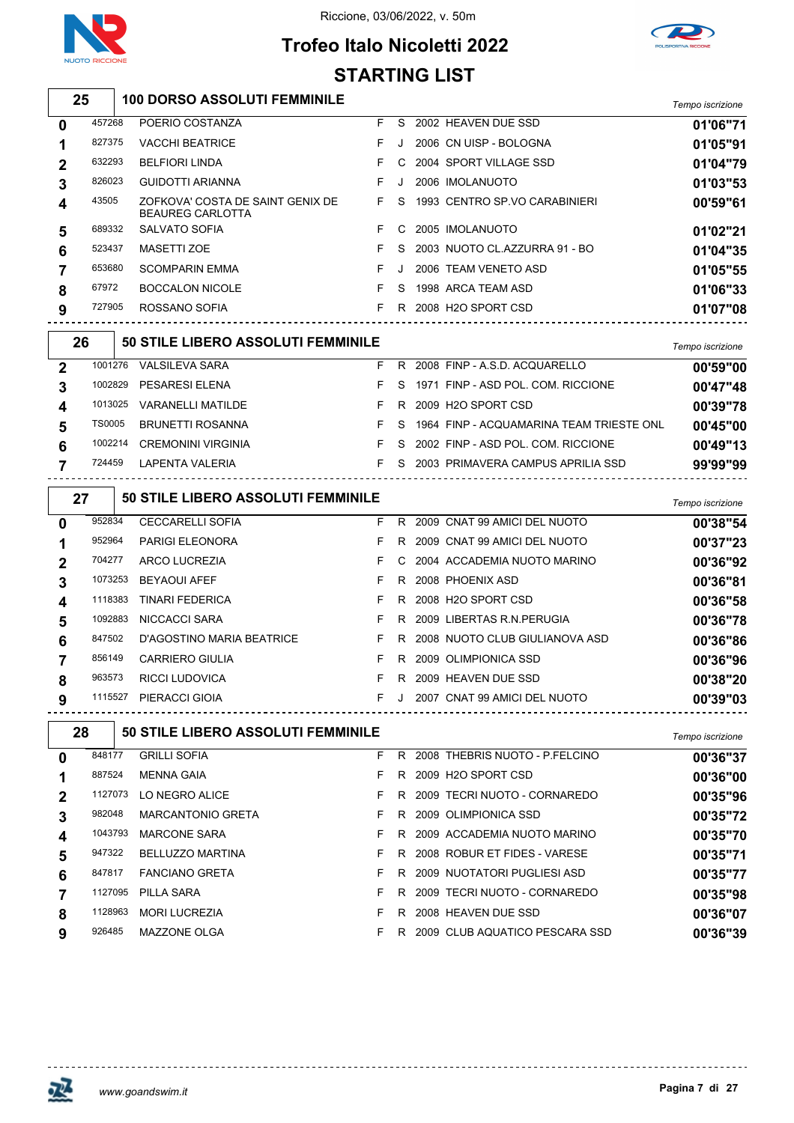



## **Trofeo Italo Nicoletti 2022 STARTING LIST**

|                  |               |                                                             | 3 I ARTING LIST |    |                                          |                  |
|------------------|---------------|-------------------------------------------------------------|-----------------|----|------------------------------------------|------------------|
| 25               |               | <b>100 DORSO ASSOLUTI FEMMINILE</b>                         |                 |    |                                          | Tempo iscrizione |
| 0                | 457268        | POERIO COSTANZA                                             | F.              |    | S 2002 HEAVEN DUE SSD                    | 01'06"71         |
| 1                | 827375        | <b>VACCHI BEATRICE</b>                                      | F.              | J  | 2006 CN UISP - BOLOGNA                   | 01'05"91         |
| 2                | 632293        | <b>BELFIORI LINDA</b>                                       | F.              | C  | 2004 SPORT VILLAGE SSD                   | 01'04"79         |
| 3                | 826023        | GUIDOTTI ARIANNA                                            | F               | J. | 2006 IMOLANUOTO                          | 01'03"53         |
| 4                | 43505         | ZOFKOVA' COSTA DE SAINT GENIX DE<br><b>BEAUREG CARLOTTA</b> | F.              | S  | 1993 CENTRO SP.VO CARABINIERI            | 00'59"61         |
| 5                | 689332        | <b>SALVATO SOFIA</b>                                        | F.              | C  | 2005 IMOLANUOTO                          | 01'02"21         |
| 6                | 523437        | <b>MASETTI ZOE</b>                                          | F               | S  | 2003 NUOTO CL.AZZURRA 91 - BO            | 01'04"35         |
| 7                | 653680        | <b>SCOMPARIN EMMA</b>                                       | F               | J  | 2006 TEAM VENETO ASD                     | 01'05"55         |
| 8                | 67972         | <b>BOCCALON NICOLE</b>                                      | F.              | S  | 1998 ARCA TEAM ASD                       | 01'06"33         |
| 9                | 727905        | ROSSANO SOFIA                                               | F.              |    | R 2008 H2O SPORT CSD                     | 01'07"08         |
| 26               |               | 50 STILE LIBERO ASSOLUTI FEMMINILE                          |                 |    |                                          | Tempo iscrizione |
| $\boldsymbol{2}$ | 1001276       | <b>VALSILEVA SARA</b>                                       | F               |    | R 2008 FINP - A.S.D. ACQUARELLO          | 00'59"00         |
| 3                | 1002829       | PESARESI ELENA                                              | F               | S  | 1971 FINP - ASD POL. COM. RICCIONE       | 00'47"48         |
| 4                | 1013025       | <b>VARANELLI MATILDE</b>                                    | F.              |    | R 2009 H2O SPORT CSD                     | 00'39"78         |
| 5                | <b>TS0005</b> | <b>BRUNETTI ROSANNA</b>                                     | F               | S  | 1964 FINP - ACQUAMARINA TEAM TRIESTE ONL | 00'45"00         |
| 6                | 1002214       | <b>CREMONINI VIRGINIA</b>                                   | F.              | S  | 2002 FINP - ASD POL. COM. RICCIONE       | 00'49"13         |
| 7                | 724459        | LAPENTA VALERIA                                             | F.              |    | S 2003 PRIMAVERA CAMPUS APRILIA SSD      | 99'99"99         |
|                  | 27            | 50 STILE LIBERO ASSOLUTI FEMMINILE                          |                 |    |                                          | Tempo iscrizione |
| 0                | 952834        | <b>CECCARELLI SOFIA</b>                                     | F.              |    | R 2009 CNAT 99 AMICI DEL NUOTO           | 00'38"54         |
| 1                | 952964        | <b>PARIGI ELEONORA</b>                                      | F               |    | R 2009 CNAT 99 AMICI DEL NUOTO           | 00'37"23         |
| 2                | 704277        | ARCO LUCREZIA                                               | F               | C  | 2004 ACCADEMIA NUOTO MARINO              | 00'36"92         |
| 3                | 1073253       | <b>BEYAOUI AFEF</b>                                         | F               | R  | 2008 PHOENIX ASD                         | 00'36"81         |
| 4                | 1118383       | <b>TINARI FEDERICA</b>                                      | F               | R  | 2008 H2O SPORT CSD                       | 00'36"58         |
| 5                | 1092883       | NICCACCI SARA                                               | F               |    | R 2009 LIBERTAS R.N. PERUGIA             | 00'36"78         |
| 6                | 847502        | D'AGOSTINO MARIA BEATRICE                                   | F               | R. | 2008 NUOTO CLUB GIULIANOVA ASD           | 00'36"86         |
| 7                | 856149        | <b>CARRIERO GIULIA</b>                                      | F               |    | R 2009 OLIMPIONICA SSD                   | 00'36"96         |
| 8                | 963573        | RICCI LUDOVICA                                              |                 |    | R 2009 HEAVEN DUE SSD                    | 00'38"20         |
| 9                |               | 1115527 PIERACCI GIOIA                                      | F.              |    | J 2007 CNAT 99 AMICI DEL NUOTO           | 00'39"03         |
|                  | 28            | 50 STILE LIBERO ASSOLUTI FEMMINILE                          |                 |    |                                          | Tempo iscrizione |
| 0                | 848177        | <b>GRILLI SOFIA</b>                                         | F.              |    | R 2008 THEBRIS NUOTO - P.FELCINO         | 00'36"37         |
| 1                | 887524        | <b>MENNA GAIA</b>                                           | F.              |    | R 2009 H2O SPORT CSD                     | 00'36"00         |
| 2                | 1127073       | LO NEGRO ALICE                                              | F.              |    | R 2009 TECRI NUOTO - CORNAREDO           | 00'35"96         |
| 3                | 982048        | <b>MARCANTONIO GRETA</b>                                    | F.              |    | R 2009 OLIMPIONICA SSD                   | 00'35"72         |
| 4                | 1043793       | <b>MARCONE SARA</b>                                         | F               |    | R 2009 ACCADEMIA NUOTO MARINO            | 00'35"70         |
| 5                | 947322        | BELLUZZO MARTINA                                            | F.              |    | R 2008 ROBUR ET FIDES - VARESE           | 00'35"71         |

 BELLUZZO MARTINA F R 2008 ROBUR ET FIDES - VARESE **00'35"71** 847817 FANCIANO GRETA **F R 2009 NUOTATORI PUGLIESI ASD 00'35"77**  PILLA SARA F R 2009 TECRI NUOTO - CORNAREDO **00'35"98** MORI LUCREZIA F R 2008 HEAVEN DUE SSD **00'36"07** MAZZONE OLGA F R 2009 CLUB AQUATICO PESCARA SSD **00'36"39**

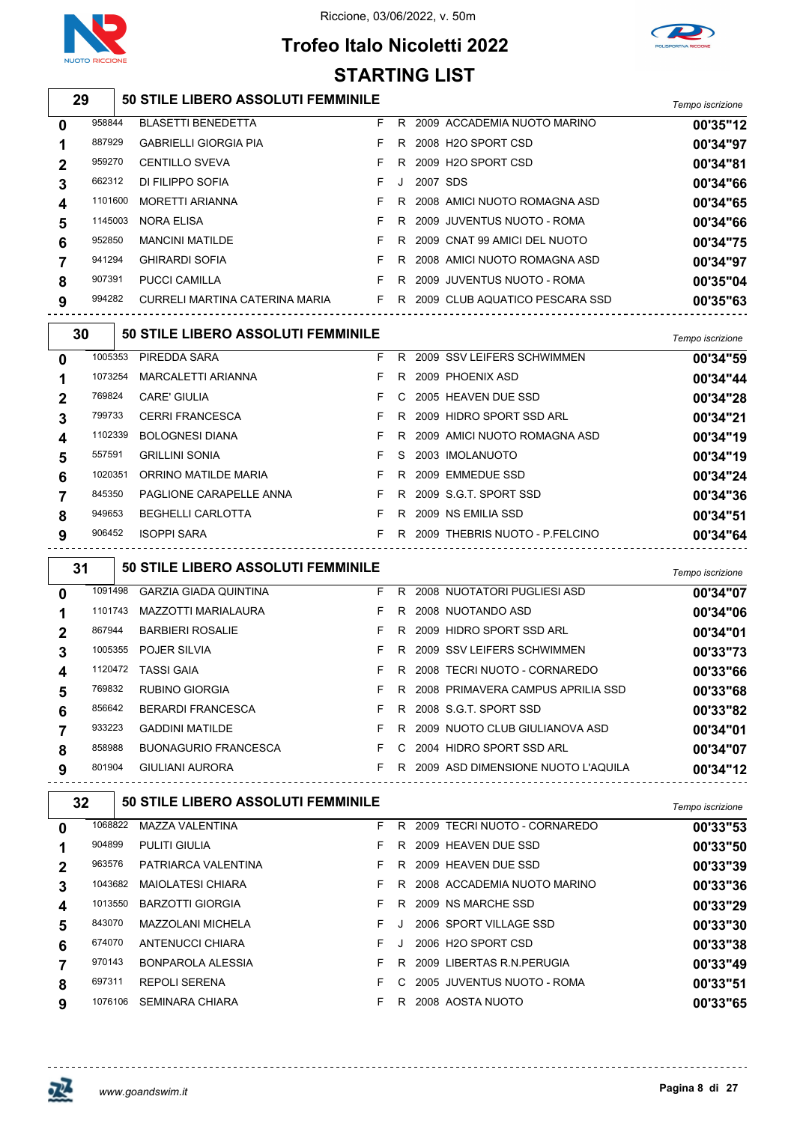





|             | ואטט וט ואונכוטאב<br><b>STARTING LIST</b> |                                                                  |                                        |   |            |                                        |                  |  |  |  |  |  |
|-------------|-------------------------------------------|------------------------------------------------------------------|----------------------------------------|---|------------|----------------------------------------|------------------|--|--|--|--|--|
|             | 29                                        | 50 STILE LIBERO ASSOLUTI FEMMINILE                               |                                        |   |            |                                        | Tempo iscrizione |  |  |  |  |  |
| $\mathbf 0$ | 958844                                    | <b>BLASETTI BENEDETTA</b>                                        | F                                      |   |            | R 2009 ACCADEMIA NUOTO MARINO          | 00'35"12         |  |  |  |  |  |
| 1           | 887929                                    | <b>GABRIELLI GIORGIA PIA</b>                                     | F                                      |   |            | R 2008 H2O SPORT CSD                   | 00'34"97         |  |  |  |  |  |
| $\mathbf 2$ | 959270                                    | <b>CENTILLO SVEVA</b>                                            | F.                                     |   |            | R 2009 H2O SPORT CSD                   | 00'34"81         |  |  |  |  |  |
| 3           | 662312                                    | DI FILIPPO SOFIA                                                 | F                                      |   | J 2007 SDS |                                        | 00'34"66         |  |  |  |  |  |
| 4           | 1101600                                   | <b>MORETTI ARIANNA</b>                                           | F                                      |   |            | R 2008 AMICI NUOTO ROMAGNA ASD         | 00'34"65         |  |  |  |  |  |
| 5           | 1145003                                   | NORA ELISA                                                       | F                                      |   |            | R 2009 JUVENTUS NUOTO - ROMA           | 00'34"66         |  |  |  |  |  |
| 6           | 952850                                    | <b>MANCINI MATILDE</b>                                           | F.                                     |   |            | R 2009 CNAT 99 AMICI DEL NUOTO         | 00'34"75         |  |  |  |  |  |
| 7           | 941294                                    | <b>GHIRARDI SOFIA</b>                                            | F.                                     |   |            | R 2008 AMICI NUOTO ROMAGNA ASD         | 00'34"97         |  |  |  |  |  |
| 8           | 907391                                    | PUCCI CAMILLA                                                    | $\mathsf{F}$ . The set of $\mathsf{F}$ |   |            | R 2009 JUVENTUS NUOTO - ROMA           | 00'35"04         |  |  |  |  |  |
| 9           | 994282                                    | CURRELI MARTINA CATERINA MARIA FR 2009 CLUB AQUATICO PESCARA SSD |                                        |   |            |                                        | 00'35"63         |  |  |  |  |  |
|             | 30                                        | 50 STILE LIBERO ASSOLUTI FEMMINILE                               |                                        |   |            |                                        | Tempo iscrizione |  |  |  |  |  |
| 0           |                                           | 1005353 PIREDDA SARA                                             | F.                                     |   |            | R 2009 SSV LEIFERS SCHWIMMEN           | 00'34"59         |  |  |  |  |  |
| 1           | 1073254                                   | MARCALETTI ARIANNA                                               | F                                      |   |            | R 2009 PHOENIX ASD                     | 00'34"44         |  |  |  |  |  |
| 2           | 769824                                    | CARE' GIULIA                                                     | F                                      |   |            | C 2005 HEAVEN DUE SSD                  | 00'34"28         |  |  |  |  |  |
| 3           | 799733                                    | <b>CERRI FRANCESCA</b>                                           | F                                      |   |            | R 2009 HIDRO SPORT SSD ARL             | 00'34"21         |  |  |  |  |  |
| 4           | 1102339                                   | <b>BOLOGNESI DIANA</b>                                           | F                                      |   |            | R 2009 AMICI NUOTO ROMAGNA ASD         | 00'34"19         |  |  |  |  |  |
| 5           | 557591                                    | <b>GRILLINI SONIA</b>                                            | F                                      | S |            | 2003 IMOLANUOTO                        | 00'34"19         |  |  |  |  |  |
| 6           | 1020351                                   | ORRINO MATILDE MARIA                                             | F.                                     |   |            | R 2009 EMMEDUE SSD                     | 00'34"24         |  |  |  |  |  |
| 7           | 845350                                    | PAGLIONE CARAPELLE ANNA                                          | and the state of Fig.                  |   |            | R 2009 S.G.T. SPORT SSD                | 00'34"36         |  |  |  |  |  |
| 8           | 949653                                    | <b>BEGHELLI CARLOTTA</b>                                         |                                        |   |            | F R 2009 NS EMILIA SSD                 | 00'34"51         |  |  |  |  |  |
| 9           | 906452                                    | <b>ISOPPI SARA</b>                                               |                                        |   |            | F R 2009 THEBRIS NUOTO - P.FELCINO     | 00'34"64         |  |  |  |  |  |
|             | 31                                        | 50 STILE LIBERO ASSOLUTI FEMMINILE                               |                                        |   |            |                                        | Tempo iscrizione |  |  |  |  |  |
| 0           | 1091498                                   | <b>GARZIA GIADA QUINTINA</b>                                     | F.                                     |   |            | R 2008 NUOTATORI PUGLIESI ASD          | 00'34"07         |  |  |  |  |  |
| 1           |                                           | 1101743 MAZZOTTI MARIALAURA                                      | F.                                     |   |            | R 2008 NUOTANDO ASD                    | 00'34"06         |  |  |  |  |  |
| 2           | 867944                                    | <b>BARBIERI ROSALIE</b>                                          | F                                      |   |            | R 2009 HIDRO SPORT SSD ARL             | 00'34"01         |  |  |  |  |  |
| 3           |                                           | 1005355 POJER SILVIA                                             | F                                      |   |            | R 2009 SSV LEIFERS SCHWIMMEN           | 00'33"73         |  |  |  |  |  |
| 4           | 1120472                                   | TASSI GAIA                                                       | F                                      |   |            | R 2008 TECRI NUOTO - CORNAREDO         | 00'33"66         |  |  |  |  |  |
| 5           | 769832                                    | RUBINO GIORGIA                                                   | F                                      |   |            | R 2008 PRIMAVERA CAMPUS APRILIA SSD    | 00'33"68         |  |  |  |  |  |
| 6           | 856642                                    | BERARDI FRANCESCA                                                | F                                      |   |            | R 2008 S.G.T. SPORT SSD                | 00'33"82         |  |  |  |  |  |
| 7           | 933223                                    | <b>GADDINI MATILDE</b>                                           | F                                      |   |            | R 2009 NUOTO CLUB GIULIANOVA ASD       | 00'34"01         |  |  |  |  |  |
| 8           | 858988                                    | <b>BUONAGURIO FRANCESCA</b>                                      |                                        |   |            | F C 2004 HIDRO SPORT SSD ARL           | 00'34"07         |  |  |  |  |  |
| 9           | 801904                                    | GIULIANI AURORA                                                  |                                        |   |            | F R 2009 ASD DIMENSIONE NUOTO L'AQUILA | 00'34"12         |  |  |  |  |  |
|             | 32                                        | <b>50 STILE LIBERO ASSOLUTI FEMMINILE</b>                        |                                        |   |            |                                        | Tempo iscrizione |  |  |  |  |  |
| $\mathbf 0$ | 1068822                                   | MAZZA VALENTINA                                                  | F                                      |   |            | R 2009 TECRI NUOTO - CORNAREDO         | 00'33"53         |  |  |  |  |  |
| 1           | 904899                                    | PULITI GIULIA                                                    | F                                      |   |            | R 2009 HEAVEN DUE SSD                  | 00'33"50         |  |  |  |  |  |
| 2           | 963576                                    | PATRIARCA VALENTINA                                              | F                                      |   |            | R 2009 HEAVEN DUE SSD                  | 00'33"39         |  |  |  |  |  |
| 3           | 1043682                                   | MAIOLATESI CHIARA                                                | F                                      |   |            | R 2008 ACCADEMIA NUOTO MARINO          | 00'33"36         |  |  |  |  |  |
| 4           | 1013550                                   | <b>BARZOTTI GIORGIA</b>                                          | F                                      |   |            | R 2009 NS MARCHE SSD                   | 00'33"29         |  |  |  |  |  |
| 5           | 843070                                    | MAZZOLANI MICHELA                                                | F.                                     |   |            | J 2006 SPORT VILLAGE SSD               | 00'33"30         |  |  |  |  |  |

ANTENUCCI CHIARA F J 2006 H2O SPORT CSD **00'33"38**

BONPAROLA ALESSIA F R 2009 LIBERTAS R.N.PERUGIA **00'33"49**

REPOLI SERENA F C 2005 JUVENTUS NUOTO - ROMA **00'33"51**

SEMINARA CHIARA F R 2008 AOSTA NUOTO **00'33"65**

巫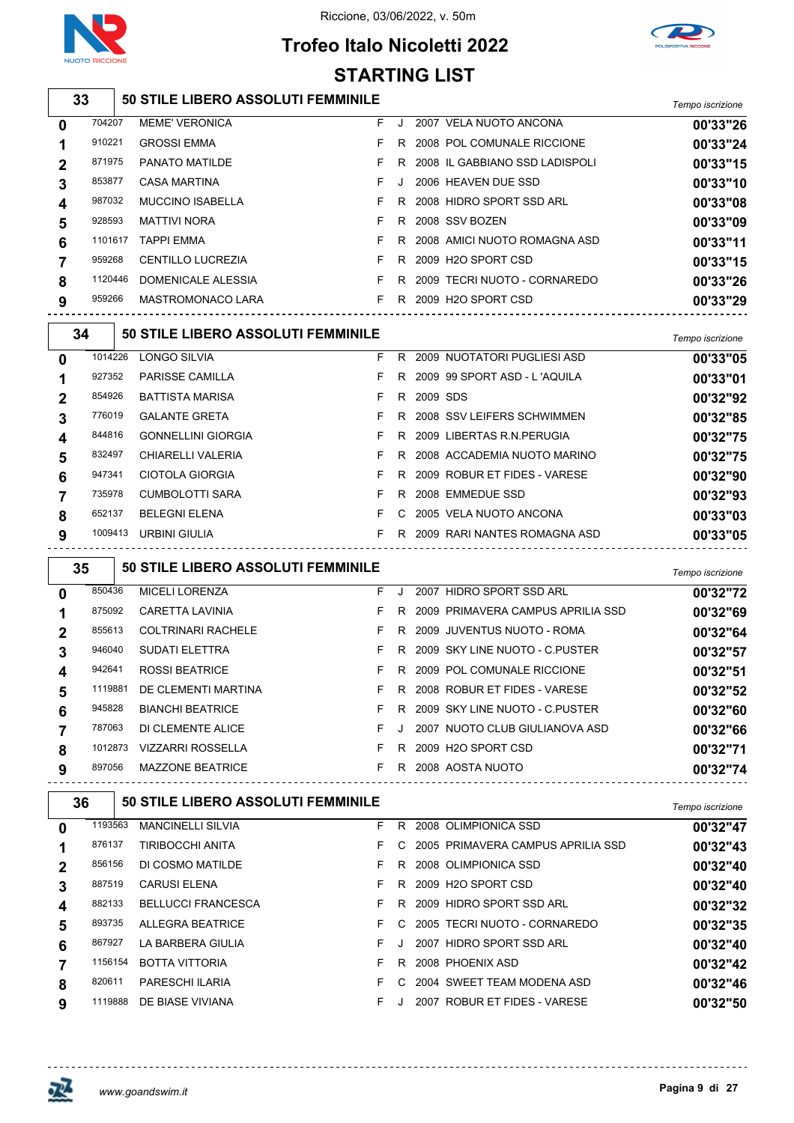



# **Trofeo Italo Nicoletti 2022 STARTING LIST**

**50 STILE LIBERO ASSOLUTI FEMMINILE** *Tempo iscrizione*

| 0           | 704207  | <b>MEME' VERONICA</b>   | F. | $\cdot$ | 2007 VELA NUOTO ANCONA          | 00'33"26 |
|-------------|---------|-------------------------|----|---------|---------------------------------|----------|
|             | 910221  | <b>GROSSI EMMA</b>      |    | R.      | 2008 POL COMUNALE RICCIONE      | 00'33"24 |
| $\mathbf 2$ | 871975  | PANATO MATILDE          |    | R.      | 2008 IL GABBIANO SSD LADISPOLI  | 00'33"15 |
| 3           | 853877  | CASA MARTINA            | F. | $\cdot$ | 2006 HEAVEN DUE SSD             | 00'33"10 |
| 4           | 987032  | <b>MUCCINO ISABELLA</b> |    | R.      | 2008 HIDRO SPORT SSD ARL        | 00'33"08 |
| 5           | 928593  | MATTIVI NORA            |    | R       | 2008 SSV BOZEN                  | 00'33"09 |
| 6           | 1101617 | TAPPI EMMA              |    | R.      | 2008 AMICI NUOTO ROMAGNA ASD    | 00'33"11 |
|             | 959268  | CENTILLO LUCREZIA       |    | R.      | 2009 H2O SPORT CSD              | 00'33"15 |
| 8           | 1120446 | DOMENICALE ALESSIA      |    | R       | 2009 TECRI NUOTO - CORNAREDO    | 00'33"26 |
| 9           | 959266  | MASTROMONACO LARA       |    | R       | 2009 H <sub>2</sub> O SPORT CSD | 00'33"29 |
|             |         |                         |    |         |                                 |          |

| 34           |         | <b>50 STILE LIBERO ASSOLUTI FEMMINILE</b> |    |    |                              | Tempo iscrizione |
|--------------|---------|-------------------------------------------|----|----|------------------------------|------------------|
| $\mathbf{0}$ | 1014226 | LONGO SILVIA                              | F  | R  | 2009 NUOTATORI PUGLIESI ASD  | 00'33"05         |
|              | 927352  | <b>PARISSE CAMILLA</b>                    | F  | R. | 2009 99 SPORT ASD - L'AQUILA | 00'33"01         |
|              | 854926  | <b>BATTISTA MARISA</b>                    | F  | R. | 2009 SDS                     | 00'32"92         |
| 3            | 776019  | <b>GALANTE GRETA</b>                      | F. | R. | 2008 SSV LEIFERS SCHWIMMEN   | 00'32"85         |
|              | 844816  | <b>GONNELLINI GIORGIA</b>                 | F  | R. | 2009 LIBERTAS R.N. PERUGIA   | 00'32"75         |
| 5            | 832497  | CHIARELLI VALERIA                         | F  | R. | 2008 ACCADEMIA NUOTO MARINO  | 00'32"75         |
| 6            | 947341  | CIOTOLA GIORGIA                           | F  | R. | 2009 ROBUR ET FIDES - VARESE | 00'32"90         |
|              | 735978  | CUMBOLOTTI SARA                           | F. | R  | 2008 EMMEDUE SSD             | 00'32"93         |
| 8            | 652137  | <b>BELEGNI ELENA</b>                      | F  | C. | 2005 VELA NUOTO ANCONA       | 00'33"03         |
| 9            | 1009413 | URBINI GIULIA                             | F  | R. | 2009 RARI NANTES ROMAGNA ASD | 00'33"05         |

|   | 35      | 50 STILE LIBERO ASSOLUTI FEMMINILE |    |    |                                    | Tempo iscrizione |
|---|---------|------------------------------------|----|----|------------------------------------|------------------|
| 0 | 850436  | <b>MICELI LORENZA</b>              | F  |    | <b>HIDRO SPORT SSD ARL</b><br>2007 | 00'32"72         |
|   | 875092  | CARETTA LAVINIA                    | F. | R. | 2009 PRIMAVERA CAMPUS APRILIA SSD  | 00'32"69         |
| 2 | 855613  | <b>COLTRINARI RACHELE</b>          | F. | R. | 2009 JUVENTUS NUOTO - ROMA         | 00'32"64         |
| 3 | 946040  | <b>SUDATI ELETTRA</b>              | F. | R. | 2009 SKY LINE NUOTO - C PUSTER     | 00'32"57         |
| 4 | 942641  | <b>ROSSI BEATRICE</b>              | F. | R. | 2009 POL COMUNALE RICCIONE         | 00'32"51         |
| 5 | 1119881 | DE CLEMENTI MARTINA                | F. | R  | 2008 ROBUR ET FIDES - VARESE       | 00'32"52         |
| 6 | 945828  | <b>BIANCHI BEATRICE</b>            | F  |    | R 2009 SKY LINE NUOTO - C.PUSTER   | 00'32"60         |
|   | 787063  | DI CLEMENTE ALICE                  | F. |    | 2007 NUOTO CLUB GIULIANOVA ASD     | 00'32"66         |
| 8 | 1012873 | <b>VIZZARRI ROSSELLA</b>           | F. | R  | 2009 H2O SPORT CSD                 | 00'32"71         |
| 9 | 897056  | <b>MAZZONE BEATRICE</b>            | F  | R  | 2008 AOSTA NUOTO                   | 00'32"74         |
|   |         |                                    |    |    |                                    |                  |

| 36          |         | <b>50 STILE LIBERO ASSOLUTI FEMMINILE</b> |    |               |                                   | Tempo iscrizione |
|-------------|---------|-------------------------------------------|----|---------------|-----------------------------------|------------------|
| 0           | 1193563 | <b>MANCINELLI SILVIA</b>                  | F  | R.            | 2008 OLIMPIONICA SSD              | 00'32"47         |
|             | 876137  | <b>TIRIBOCCHI ANITA</b>                   | F. | $\mathcal{C}$ | 2005 PRIMAVERA CAMPUS APRILIA SSD | 00'32"43         |
| $\mathbf 2$ | 856156  | DI COSMO MATILDE                          | F. | R.            | 2008 OLIMPIONICA SSD              | 00'32"40         |
|             | 887519  | <b>CARUSI ELENA</b>                       | F. | R.            | 2009 H2O SPORT CSD                | 00'32"40         |
| 4           | 882133  | <b>BELLUCCI FRANCESCA</b>                 | F. | R.            | 2009 HIDRO SPORT SSD ARL          | 00'32"32         |
| 5           | 893735  | ALLEGRA BEATRICE                          | F  | C.            | 2005 TECRI NUOTO - CORNAREDO      | 00'32"35         |
| 6           | 867927  | LA BARBERA GIULIA                         | F. | $\cdot$       | 2007 HIDRO SPORT SSD ARL          | 00'32"40         |
|             | 1156154 | <b>BOTTA VITTORIA</b>                     | F  | R.            | 2008 PHOENIX ASD                  | 00'32"42         |
| 8           | 820611  | <b>PARESCHI ILARIA</b>                    | F. | C.            | 2004 SWEET TEAM MODENA ASD        | 00'32"46         |
| 9           | 1119888 | DE BIASE VIVIANA                          | F. |               | 2007 ROBUR ET FIDES - VARESE      | 00'32"50         |

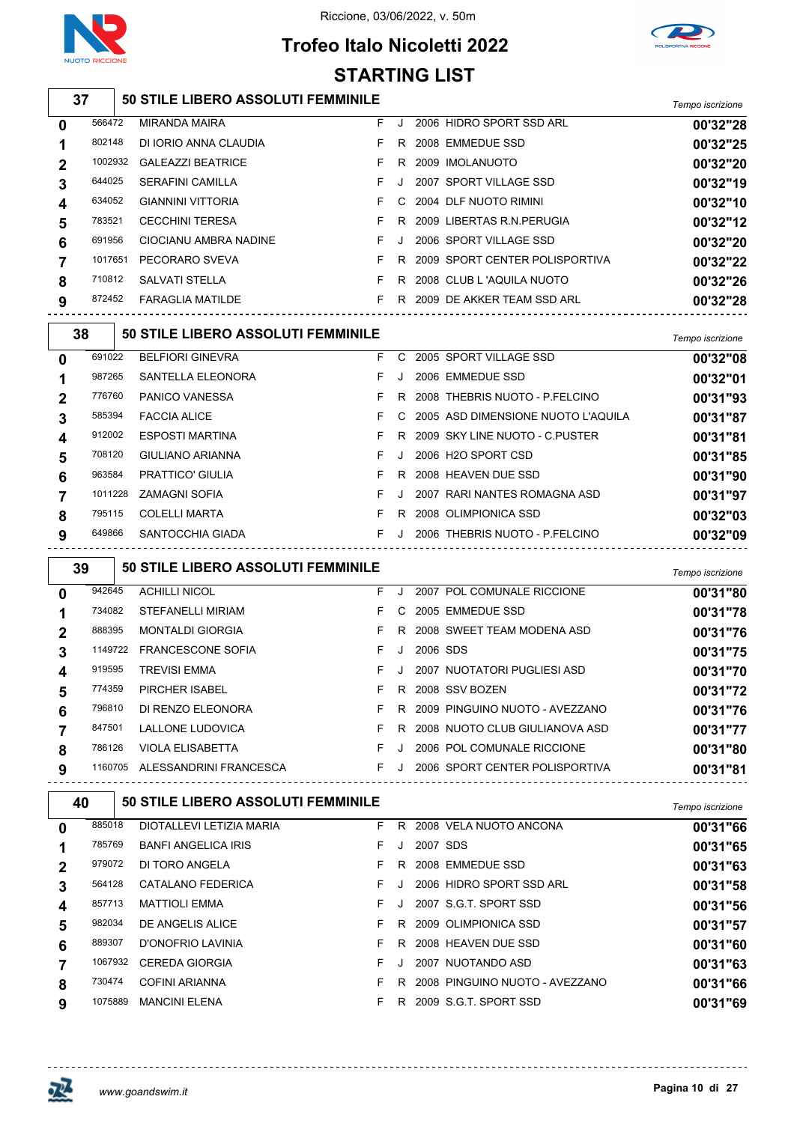

**STARTING LIST**





# **50 STILE LIBERO ASSOLUTI FEMMINILE** *Tempo iscrizione*

| $\bf{0}$    | 566472  | <b>MIRANDA MAIRA</b>     | F. | J.      | 2006 HIDRO SPORT SSD ARL       | 00'32"28 |
|-------------|---------|--------------------------|----|---------|--------------------------------|----------|
|             | 802148  | DI IORIO ANNA CLAUDIA    | F. | R       | 2008 EMMEDUE SSD               | 00'32"25 |
| $\mathbf 2$ | 1002932 | <b>GALEAZZI BEATRICE</b> |    | R.      | 2009 IMOLANUOTO                | 00'32"20 |
| 3           | 644025  | <b>SERAFINI CAMILLA</b>  |    | $\cdot$ | 2007 SPORT VILLAGE SSD         | 00'32"19 |
| 4           | 634052  | <b>GIANNINI VITTORIA</b> |    |         | C 2004 DLF NUOTO RIMINI        | 00'32"10 |
| 5           | 783521  | <b>CECCHINI TERESA</b>   |    | R.      | 2009 LIBERTAS R.N. PERUGIA     | 00'32"12 |
| 6           | 691956  | CIOCIANU AMBRA NADINE    | F. |         | 2006 SPORT VILLAGE SSD         | 00'32"20 |
|             | 1017651 | PECORARO SVEVA           |    | R.      | 2009 SPORT CENTER POLISPORTIVA | 00'32"22 |
| 8           | 710812  | <b>SALVATI STELLA</b>    |    | R.      | 2008 CLUB L 'AQUILA NUOTO      | 00'32"26 |
| 9           | 872452  | <b>FARAGLIA MATILDE</b>  |    | R       | 2009 DE AKKER TEAM SSD ARL     | 00'32"28 |
|             |         |                          |    |         |                                |          |

| 38           |         | <b>50 STILE LIBERO ASSOLUTI FEMMINILE</b> |    |    |                                    | Tempo iscrizione |
|--------------|---------|-------------------------------------------|----|----|------------------------------------|------------------|
| $\mathbf{0}$ | 691022  | <b>BELFIORI GINEVRA</b>                   | F. | C. | 2005 SPORT VILLAGE SSD             | 00'32"08         |
|              | 987265  | SANTELLA ELEONORA                         | F  | J  | 2006 EMMEDUE SSD                   | 00'32"01         |
|              | 776760  | <b>PANICO VANESSA</b>                     | F  | R. | 2008 THEBRIS NUOTO - P FELCINO     | 00'31"93         |
| 3            | 585394  | <b>FACCIA ALICE</b>                       | F. | C. | 2005 ASD DIMENSIONE NUOTO L'AQUILA | 00'31"87         |
| 4            | 912002  | <b>ESPOSTI MARTINA</b>                    | F. | R  | 2009 SKY LINE NUOTO - C PUSTER     | 00'31"81         |
| 5            | 708120  | GIULIANO ARIANNA                          | F  | Л. | 2006 H <sub>2</sub> O SPORT CSD    | 00'31"85         |
| 6            | 963584  | <b>PRATTICO' GIULIA</b>                   | F. | R  | 2008 HEAVEN DUE SSD                | 00'31"90         |
|              | 1011228 | <b>ZAMAGNI SOFIA</b>                      | F  |    | 2007 RARI NANTES ROMAGNA ASD       | 00'31"97         |
| 8            | 795115  | <b>COLELLI MARTA</b>                      | F  | R  | 2008 OLIMPIONICA SSD               | 00'32"03         |
| 9            | 649866  | SANTOCCHIA GIADA                          | F  |    | 2006 THEBRIS NUOTO - P.FELCINO     | 00'32"09         |

 **50 STILE LIBERO ASSOLUTI FEMMINILE** *Tempo iscrizione* ACHILLI NICOL F J 2007 POL COMUNALE RICCIONE **00'31"80** STEFANELLI MIRIAM F C 2005 EMMEDUE SSD **00'31"78** MONTALDI GIORGIA F R 2008 SWEET TEAM MODENA ASD **00'31"76** FRANCESCONE SOFIA F J 2006 SDS **00'31"75** TREVISI EMMA F J 2007 NUOTATORI PUGLIESI ASD **00'31"70** PIRCHER ISABEL F R 2008 SSV BOZEN **00'31"72** DI RENZO ELEONORA F R 2009 PINGUINO NUOTO - AVEZZANO **00'31"76** LALLONE LUDOVICA F R 2008 NUOTO CLUB GIULIANOVA ASD **00'31"77** VIOLA ELISABETTA F J 2006 POL COMUNALE RICCIONE **00'31"80** ALESSANDRINI FRANCESCA F J 2006 SPORT CENTER POLISPORTIVA **00'31"81**

| 40           |         | <b>50 STILE LIBERO ASSOLUTI FEMMINILE</b> |    |    |          |                                | Tempo iscrizione |
|--------------|---------|-------------------------------------------|----|----|----------|--------------------------------|------------------|
| $\mathbf{0}$ | 885018  | DIOTALLEVI LETIZIA MARIA                  | F. | R. |          | 2008 VELA NUOTO ANCONA         | 00'31"66         |
|              | 785769  | <b>BANFI ANGELICA IRIS</b>                | F. |    | 2007 SDS |                                | 00'31"65         |
| $\mathbf 2$  | 979072  | DI TORO ANGELA                            | F. | R. |          | 2008 EMMEDUE SSD               | 00'31"63         |
| 3            | 564128  | CATALANO FEDERICA                         | F. |    |          | 2006 HIDRO SPORT SSD ARL       | 00'31"58         |
| 4            | 857713  | <b>MATTIOLI EMMA</b>                      | F. |    |          | 2007 S.G.T. SPORT SSD          | 00'31"56         |
| 5            | 982034  | DE ANGELIS ALICE                          | F. | R. |          | 2009 OLIMPIONICA SSD           | 00'31"57         |
| 6            | 889307  | D'ONOFRIO LAVINIA                         | F. | R  |          | 2008 HEAVEN DUE SSD            | 00'31"60         |
|              | 1067932 | <b>CEREDA GIORGIA</b>                     | F. |    |          | 2007 NUOTANDO ASD              | 00'31"63         |
| 8            | 730474  | COFINI ARIANNA                            | F. | R. |          | 2008 PINGUINO NUOTO - AVEZZANO | 00'31"66         |
| 9            | 1075889 | <b>MANCINI ELENA</b>                      | F. | R. |          | 2009 S.G.T. SPORT SSD          | 00'31"69         |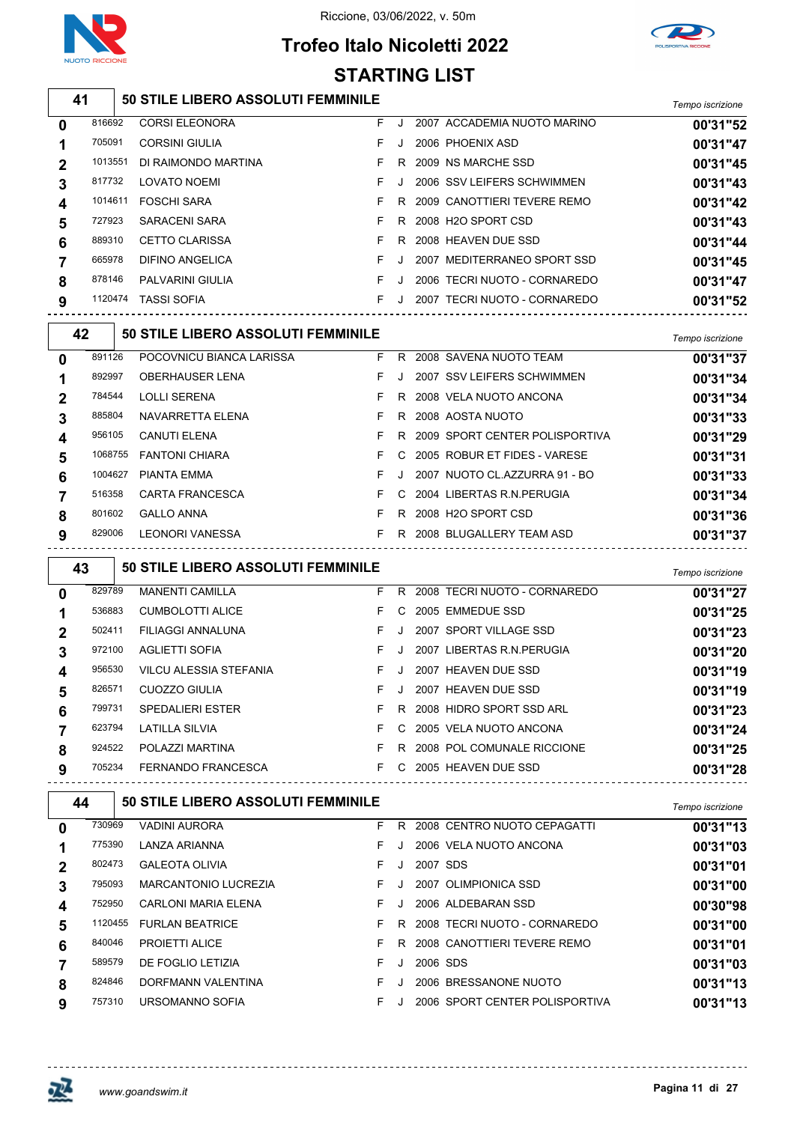

# **Trofeo Italo Nicoletti 2022**



### **50 STILE LIBERO ASSOLUTI FEMMINILE** *Tempo iscrizione* CORSI ELEONORA F J 2007 ACCADEMIA NUOTO MARINO **00'31"52 STARTING LIST**

| 0              | 01009Z  | <b>UURSI ELEUNURA</b> |         | <b>ZUUT ACCADEMIA NUOTO MARINO</b> | <b>UU 31 52</b> |
|----------------|---------|-----------------------|---------|------------------------------------|-----------------|
| 1              | 705091  | <b>CORSINI GIULIA</b> |         | 2006 PHOENIX ASD                   | 00'31"47        |
| $\overline{2}$ | 1013551 | DI RAIMONDO MARTINA   | R.      | 2009 NS MARCHE SSD                 | 00'31"45        |
| 3              | 817732  | <b>LOVATO NOEMI</b>   | $\cdot$ | 2006 SSV LEIFERS SCHWIMMEN         | 00'31"43        |
| 4              | 1014611 | <b>FOSCHI SARA</b>    | R.      | 2009 CANOTTIERI TEVERE REMO        | 00'31"42        |
| 5              | 727923  | SARACENI SARA         | R       | 2008 H2O SPORT CSD                 | 00'31"43        |
| 6              | 889310  | <b>CETTO CLARISSA</b> | R.      | 2008 HEAVEN DUE SSD                | 00'31"44        |
| $\overline{7}$ | 665978  | DIFINO ANGELICA       |         | 2007 MEDITERRANEO SPORT SSD        | 00'31"45        |
| 8              | 878146  | PALVARINI GIULIA      |         | 2006 TECRI NUOTO - CORNAREDO       | 00'31"47        |
| 9              | 1120474 | <b>TASSI SOFIA</b>    | J.      | 2007 TECRI NUOTO - CORNAREDO       | 00'31"52        |
|                |         |                       |         |                                    |                 |

| 42       |         | <b>50 STILE LIBERO ASSOLUTI FEMMINILE</b> |    |               |                                  | Tempo iscrizione |
|----------|---------|-------------------------------------------|----|---------------|----------------------------------|------------------|
| $\bf{0}$ | 891126  | POCOVNICU BIANCA LARISSA                  | F. | R.            | 2008 SAVENA NUOTO TEAM           | 00'31"37         |
|          | 892997  | <b>OBERHAUSER LENA</b>                    | F. |               | 2007 SSV LEIFERS SCHWIMMEN       | 00'31"34         |
|          | 784544  | <b>LOLLI SERENA</b>                       | F  |               | R 2008 VELA NUOTO ANCONA         | 00'31"34         |
| 3        | 885804  | NAVARRETTA ELENA                          | F. | R.            | 2008 AOSTA NUOTO                 | 00'31"33         |
| 4        | 956105  | <b>CANUTI ELENA</b>                       | F. |               | R 2009 SPORT CENTER POLISPORTIVA | 00'31"29         |
| 5        | 1068755 | <b>FANTONI CHIARA</b>                     | F  | $\mathcal{C}$ | 2005 ROBUR ET FIDES - VARESE     | 00'31"31         |
| 6        | 1004627 | PIANTA EMMA                               | F  |               | 2007 NUOTO CL.AZZURRA 91 - BO    | 00'31"33         |
|          | 516358  | <b>CARTA FRANCESCA</b>                    | F. |               | C 2004 LIBERTAS R.N. PERUGIA     | 00'31"34         |
| 8        | 801602  | <b>GALLO ANNA</b>                         | F  | R.            | 2008 H2O SPORT CSD               | 00'31"36         |
| 9        | 829006  | <b>LEONORI VANESSA</b>                    | F. |               | R 2008 BLUGALLERY TEAM ASD       | 00'31"37         |

|                | 43     | 50 STILE LIBERO ASSOLUTI FEMMINILE |    |         |                              | Tempo iscrizione |
|----------------|--------|------------------------------------|----|---------|------------------------------|------------------|
| $\mathbf{0}$   | 829789 | <b>MANENTI CAMILLA</b>             | F. | R       | 2008 TECRI NUOTO - CORNAREDO | 00'31"27         |
|                | 536883 | <b>CUMBOLOTTI ALICE</b>            | F. |         | C 2005 EMMEDUE SSD           | 00'31"25         |
| $\overline{2}$ | 502411 | <b>FILIAGGI ANNALUNA</b>           | F. |         | 2007 SPORT VILLAGE SSD       | 00'31"23         |
| 3              | 972100 | AGLIETTI SOFIA                     | F. |         | 2007 LIBERTAS R.N. PERUGIA   | 00'31"20         |
| 4              | 956530 | VILCU ALESSIA STEFANIA             | F. | $\cdot$ | 2007 HEAVEN DUE SSD          | 00'31"19         |
| 5              | 826571 | CUOZZO GIULIA                      | F. | J       | 2007 HEAVEN DUE SSD          | 00'31"19         |
| 6              | 799731 | <b>SPEDALIERI ESTER</b>            | F. | R.      | 2008 HIDRO SPORT SSD ARL     | 00'31"23         |
|                | 623794 | LATILLA SILVIA                     | F. |         | C 2005 VELA NUOTO ANCONA     | 00'31"24         |
| 8              | 924522 | POLAZZI MARTINA                    | F. | R       | 2008 POL COMUNALE RICCIONE   | 00'31"25         |
| 9              | 705234 | FERNANDO FRANCESCA                 | F. | C.      | 2005 HEAVEN DUE SSD          | 00'31"28         |
|                |        |                                    |    |         |                              |                  |

| 44 |         | <b>50 STILE LIBERO ASSOLUTI FEMMINILE</b> |    |    |          |                                | Tempo iscrizione |
|----|---------|-------------------------------------------|----|----|----------|--------------------------------|------------------|
| 0  | 730969  | <b>VADINI AURORA</b>                      | F. | R  |          | 2008 CENTRO NUOTO CEPAGATTI    | 00'31"13         |
|    | 775390  | LANZA ARIANNA                             | F. |    |          | 2006 VELA NUOTO ANCONA         | 00'31"03         |
|    | 802473  | <b>GALEOTA OLIVIA</b>                     | F. |    | 2007 SDS |                                | 00'31"01         |
| 3  | 795093  | <b>MARCANTONIO LUCREZIA</b>               | F. | J. |          | 2007 OLIMPIONICA SSD           | 00'31"00         |
| 4  | 752950  | CARLONI MARIA ELENA                       | F. |    |          | 2006 ALDEBARAN SSD             | 00'30"98         |
| 5  | 1120455 | <b>FURLAN BEATRICE</b>                    | F  | R  |          | 2008 TECRI NUOTO - CORNAREDO   | 00'31"00         |
| 6  | 840046  | <b>PROJETTI ALICE</b>                     | F. | R. |          | 2008 CANOTTIERI TEVERE REMO    | 00'31"01         |
|    | 589579  | DE FOGLIO LETIZIA                         | F. |    | 2006 SDS |                                | 00'31"03         |
| 8  | 824846  | DORFMANN VALENTINA                        | F. |    |          | 2006 BRESSANONE NUOTO          | 00'31"13         |
| 9  | 757310  | URSOMANNO SOFIA                           |    |    |          | 2006 SPORT CENTER POLISPORTIVA | 00'31"13         |

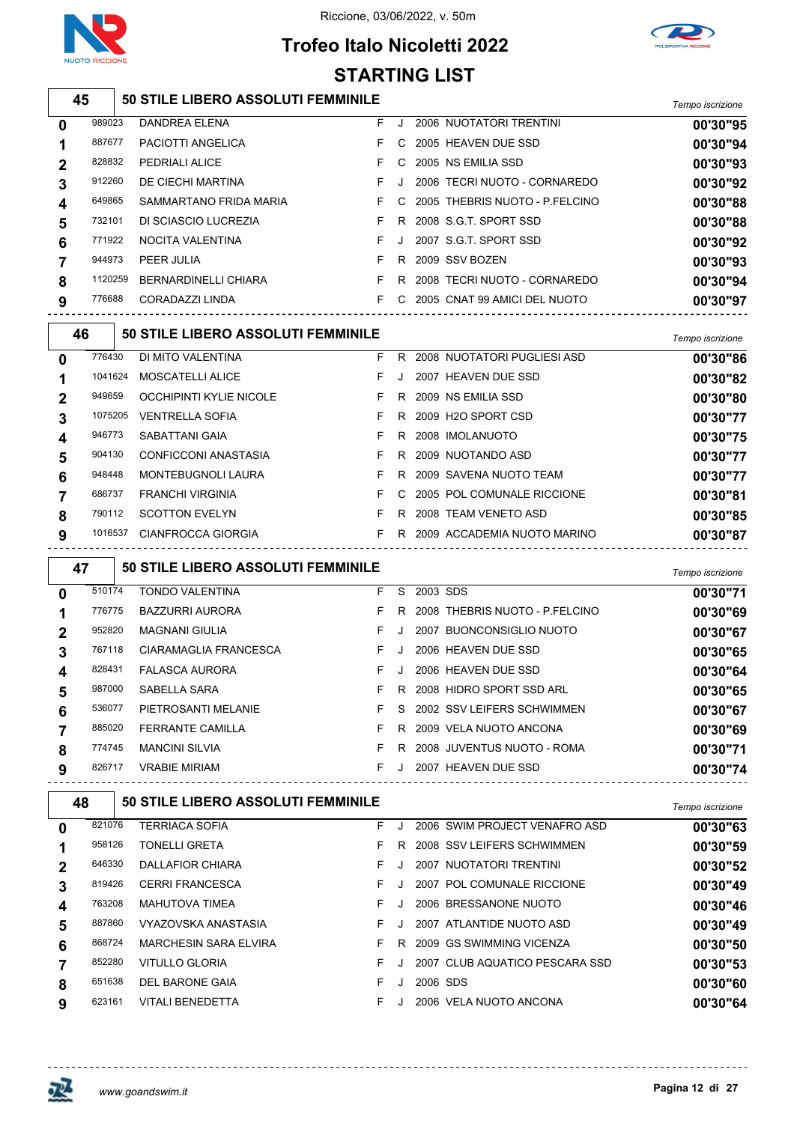

# **Trofeo Italo Nicoletti 2022**



#### **50 STILE LIBERO ASSOLUTI FEMMINILE** *Tempo iscrizione* DANDREA ELENA F J 2006 NUOTATORI TRENTINI **00'30"95** PACIOTTI ANGELICA F C 2005 HEAVEN DUE SSD **00'30"94** PEDRIALI ALICE F C 2005 NS EMILIA SSD **00'30"93** DE CIECHI MARTINA F J 2006 TECRI NUOTO - CORNAREDO **00'30"92** SAMMARTANO FRIDA MARIA F C 2005 THEBRIS NUOTO - P.FELCINO **00'30"88** DI SCIASCIO LUCREZIA F R 2008 S.G.T. SPORT SSD **00'30"88** NOCITA VALENTINA F J 2007 S.G.T. SPORT SSD **00'30"92** PEER JULIA F R 2009 SSV BOZEN **00'30"93** BERNARDINELLI CHIARA F R 2008 TECRI NUOTO - CORNAREDO **00'30"94** CORADAZZI LINDA F C 2005 CNAT 99 AMICI DEL NUOTO **00'30"97 50 STILE LIBERO ASSOLUTI FEMMINILE** *Tempo iscrizione* DI MITO VALENTINA F R 2008 NUOTATORI PUGLIESI ASD **00'30"86** MOSCATELLI ALICE F J 2007 HEAVEN DUE SSD **00'30"82** OCCHIPINTI KYLIE NICOLE F R 2009 NS EMILIA SSD **00'30"80** VENTRELLA SOFIA F R 2009 H2O SPORT CSD **00'30"77** SABATTANI GAIA F R 2008 IMOLANUOTO **00'30"75** CONFICCONI ANASTASIA F R 2009 NUOTANDO ASD **00'30"77** MONTEBUGNOLI LAURA F R 2009 SAVENA NUOTO TEAM **00'30"77** FRANCHI VIRGINIA F C 2005 POL COMUNALE RICCIONE **00'30"81** SCOTTON EVELYN F R 2008 TEAM VENETO ASD **00'30"85** CIANFROCCA GIORGIA F R 2009 ACCADEMIA NUOTO MARINO **00'30"87 50 STILE LIBERO ASSOLUTI FEMMINILE** *Tempo iscrizione* TONDO VALENTINA F S 2003 SDS **00'30"71** BAZZURRI AURORA F R 2008 THEBRIS NUOTO - P.FELCINO **00'30"69** MAGNANI GIULIA F J 2007 BUONCONSIGLIO NUOTO **00'30"67** CIARAMAGLIA FRANCESCA F J 2006 HEAVEN DUE SSD **00'30"65** FALASCA AURORA F J 2006 HEAVEN DUE SSD **00'30"64** SABELLA SARA F R 2008 HIDRO SPORT SSD ARL **00'30"65** PIETROSANTI MELANIE F S 2002 SSV LEIFERS SCHWIMMEN **00'30"67** FERRANTE CAMILLA F R 2009 VELA NUOTO ANCONA **00'30"69** MANCINI SILVIA F R 2008 JUVENTUS NUOTO - ROMA **00'30"71** VRABIE MIRIAM F J 2007 HEAVEN DUE SSD **00'30"74 STARTING LIST**

 **50 STILE LIBERO ASSOLUTI FEMMINILE** *Tempo iscrizione* TERRIACA SOFIA F J 2006 SWIM PROJECT VENAFRO ASD **00'30"63** TONELLI GRETA F R 2008 SSV LEIFERS SCHWIMMEN **00'30"59** DALLAFIOR CHIARA F J 2007 NUOTATORI TRENTINI **00'30"52** CERRI FRANCESCA F J 2007 POL COMUNALE RICCIONE **00'30"49** MAHUTOVA TIMEA F J 2006 BRESSANONE NUOTO **00'30"46** VYAZOVSKA ANASTASIA F J 2007 ATLANTIDE NUOTO ASD **00'30"49** MARCHESIN SARA ELVIRA F R 2009 GS SWIMMING VICENZA **00'30"50** VITULLO GLORIA F J 2007 CLUB AQUATICO PESCARA SSD **00'30"53** DEL BARONE GAIA F J 2006 SDS **00'30"60** VITALI BENEDETTA F J 2006 VELA NUOTO ANCONA **00'30"64**

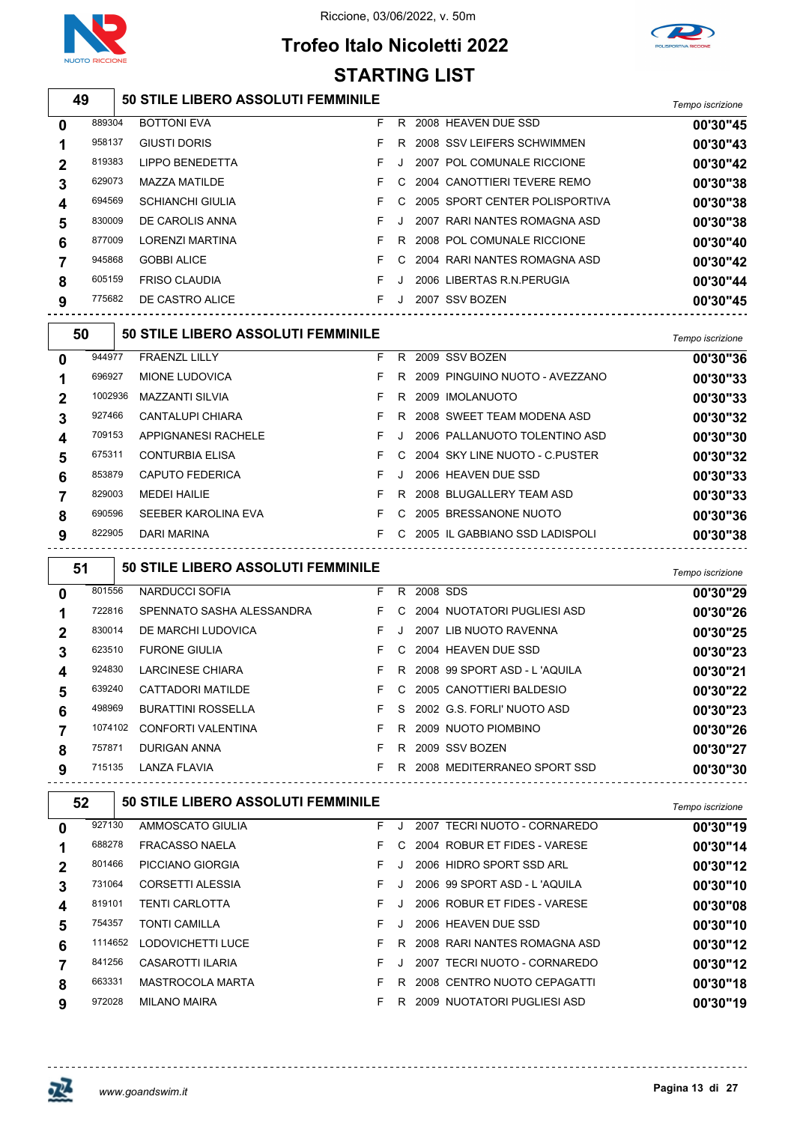

### Riccione, 03/06/2022, v. 50m

# **Trofeo Italo Nicoletti 2022**



#### **50 STILE LIBERO ASSOLUTI FEMMINILE** *Tempo iscrizione* BOTTONI EVA F R 2008 HEAVEN DUE SSD **00'30"45** GIUSTI DORIS F R 2008 SSV LEIFERS SCHWIMMEN **00'30"43** LIPPO BENEDETTA F J 2007 POL COMUNALE RICCIONE **00'30"42** MAZZA MATILDE F C 2004 CANOTTIERI TEVERE REMO **00'30"38** SCHIANCHI GIULIA F C 2005 SPORT CENTER POLISPORTIVA **00'30"38** DE CAROLIS ANNA F J 2007 RARI NANTES ROMAGNA ASD **00'30"38** LORENZI MARTINA F R 2008 POL COMUNALE RICCIONE **00'30"40** GOBBI ALICE F C 2004 RARI NANTES ROMAGNA ASD **00'30"42** FRISO CLAUDIA F J 2006 LIBERTAS R.N.PERUGIA **00'30"44** DE CASTRO ALICE F J 2007 SSV BOZEN **00'30"45 50 STILE LIBERO ASSOLUTI FEMMINILE** *Tempo iscrizione* FRAENZL LILLY F R 2009 SSV BOZEN **00'30"36** MIONE LUDOVICA F R 2009 PINGUINO NUOTO - AVEZZANO **00'30"33** MAZZANTI SILVIA F R 2009 IMOLANUOTO **00'30"33** CANTALUPI CHIARA F R 2008 SWEET TEAM MODENA ASD **00'30"32** APPIGNANESI RACHELE F J 2006 PALLANUOTO TOLENTINO ASD **00'30"30** CONTURBIA ELISA F C 2004 SKY LINE NUOTO - C.PUSTER **00'30"32 STARTING LIST**

| 853879 | CAPUTO FEDERICA     |  | F J 2006 HEAVEN DUE SSD            | 00'30"33 |
|--------|---------------------|--|------------------------------------|----------|
| 829003 | MFDFI HAII IF       |  | F R 2008 BLUGALLERY TEAM ASD       | 00'30"33 |
| 690596 | SEEBER KAROLINA EVA |  | F C 2005 BRESSANONE NUOTO          | 00'30"36 |
| 822905 | DARI MARINA         |  | F C 2005 IL GABBIANO SSD LADISPOLI | 00'30"38 |

 **50 STILE LIBERO ASSOLUTI FEMMINILE** *Tempo iscrizione* NARDUCCI SOFIA F R 2008 SDS **00'30"29** SPENNATO SASHA ALESSANDRA F C 2004 NUOTATORI PUGLIESI ASD **00'30"26** DE MARCHI LUDOVICA F J 2007 LIB NUOTO RAVENNA **00'30"25** FURONE GIULIA F C 2004 HEAVEN DUE SSD **00'30"23** LARCINESE CHIARA F R 2008 99 SPORT ASD - L 'AQUILA **00'30"21** CATTADORI MATILDE F C 2005 CANOTTIERI BALDESIO **00'30"22** BURATTINI ROSSELLA F S 2002 G.S. FORLI' NUOTO ASD **00'30"23** CONFORTI VALENTINA F R 2009 NUOTO PIOMBINO **00'30"26** DURIGAN ANNA F R 2009 SSV BOZEN **00'30"27** LANZA FLAVIA F R 2008 MEDITERRANEO SPORT SSD **00'30"30**

 **50 STILE LIBERO ASSOLUTI FEMMINILE** *Tempo iscrizione* AMMOSCATO GIULIA F J 2007 TECRI NUOTO - CORNAREDO **00'30"19** FRACASSO NAELA F C 2004 ROBUR ET FIDES - VARESE **00'30"14** PICCIANO GIORGIA F J 2006 HIDRO SPORT SSD ARL **00'30"12** CORSETTI ALESSIA F J 2006 99 SPORT ASD - L 'AQUILA **00'30"10** TENTI CARLOTTA F J 2006 ROBUR ET FIDES - VARESE **00'30"08** TONTI CAMILLA F J 2006 HEAVEN DUE SSD **00'30"10** LODOVICHETTI LUCE F R 2008 RARI NANTES ROMAGNA ASD **00'30"12** CASAROTTI ILARIA F J 2007 TECRI NUOTO - CORNAREDO **00'30"12**

MASTROCOLA MARTA F R 2008 CENTRO NUOTO CEPAGATTI **00'30"18**

MILANO MAIRA F R 2009 NUOTATORI PUGLIESI ASD **00'30"19**

**Pagina 13 di 27** *www.goandswim.it*

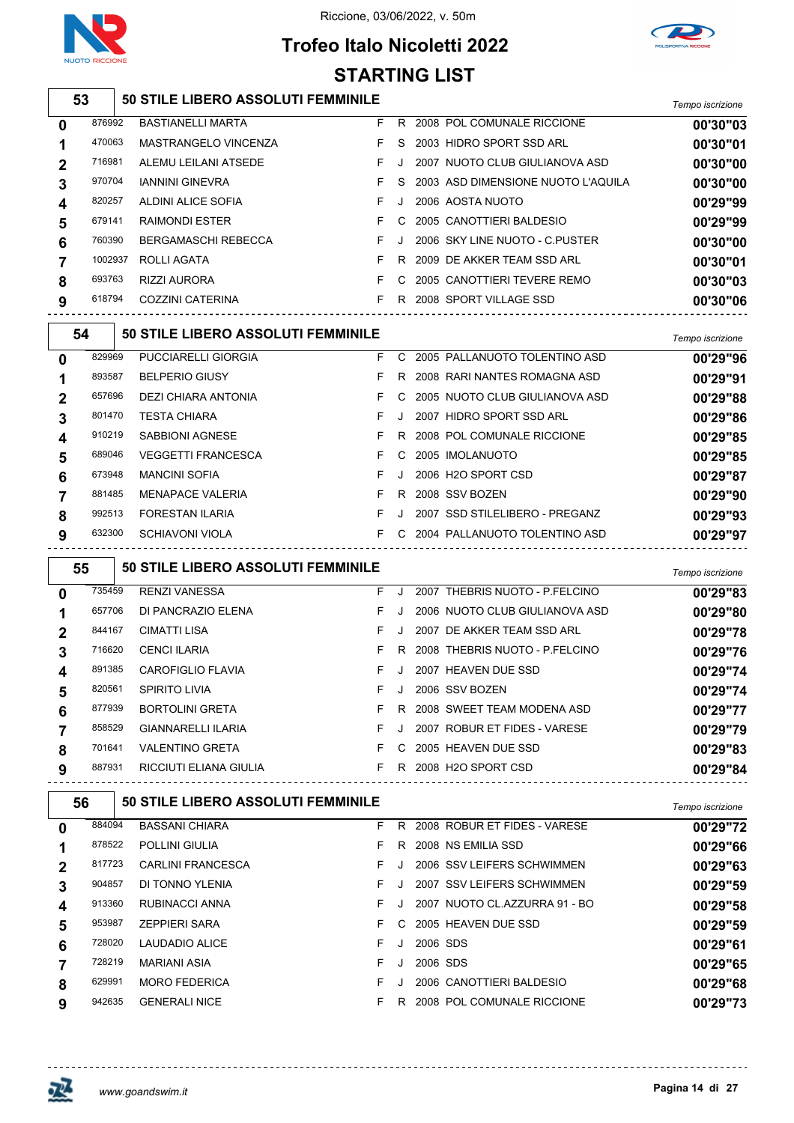



# **Trofeo Italo Nicoletti 2022 STARTING LIST**

| 53 | 50 STILE LIBERO ASSOLUTI FEMMINILE | Tempo iscrizione |
|----|------------------------------------|------------------|
|    |                                    |                  |

| 0           | 876992  | <b>BASTIANELLI MARTA</b>   | F. | R       | 2008 POL COMUNALE RICCIONE         | 00'30"03 |
|-------------|---------|----------------------------|----|---------|------------------------------------|----------|
|             | 470063  | MASTRANGELO VINCENZA       |    | S.      | 2003 HIDRO SPORT SSD ARL           | 00'30"01 |
| $\mathbf 2$ | 716981  | ALEMU LEILANI ATSEDE       | F. | J.      | 2007 NUOTO CLUB GIULIANOVA ASD     | 00'30"00 |
| 3           | 970704  | <b>IANNINI GINEVRA</b>     |    | S.      | 2003 ASD DIMENSIONE NUOTO L'AQUILA | 00'30"00 |
| 4           | 820257  | ALDINI ALICE SOFIA         |    | $\cdot$ | 2006 AOSTA NUOTO                   | 00'29"99 |
| 5           | 679141  | <b>RAIMONDI ESTER</b>      |    | C.      | 2005 CANOTTIERI BALDESIO           | 00'29"99 |
| 6           | 760390  | <b>BERGAMASCHI REBECCA</b> |    | J.      | 2006 SKY LINE NUOTO - C.PUSTER     | 00'30"00 |
|             | 1002937 | ROLLI AGATA                |    | R.      | 2009 DE AKKER TEAM SSD ARL         | 00'30"01 |
| 8           | 693763  | RIZZI AURORA               |    | C.      | 2005 CANOTTIERI TEVERE REMO        | 00'30"03 |
| 9           | 618794  | COZZINI CATERINA           |    | R       | 2008 SPORT VILLAGE SSD             | 00'30"06 |
|             |         |                            |    |         |                                    |          |

|   | 54     | <b>50 STILE LIBERO ASSOLUTI FEMMINILE</b> |    |    |      |                                 | Tempo iscrizione |
|---|--------|-------------------------------------------|----|----|------|---------------------------------|------------------|
| 0 | 829969 | PUCCIARELLI GIORGIA                       | F. | C. |      | 2005 PALLANUOTO TOLENTINO ASD   | 00'29"96         |
|   | 893587 | <b>BELPERIO GIUSY</b>                     | F  | R. |      | 2008 RARI NANTES ROMAGNA ASD    | 00'29"91         |
| 2 | 657696 | DEZI CHIARA ANTONIA                       | F. | C. |      | 2005 NUOTO CLUB GIULIANOVA ASD  | 00'29"88         |
| 3 | 801470 | <b>TESTA CHIARA</b>                       | F. |    | 2007 | HIDRO SPORT SSD ARL             | 00'29"86         |
| 4 | 910219 | SABBIONI AGNESE                           | F  | R. |      | 2008 POL COMUNALE RICCIONE      | 00'29"85         |
| 5 | 689046 | <b>VEGGETTI FRANCESCA</b>                 | F. | C. |      | 2005 IMOLANUOTO                 | 00'29"85         |
| 6 | 673948 | <b>MANCINI SOFIA</b>                      | F. |    |      | 2006 H <sub>2</sub> O SPORT CSD | 00'29"87         |
|   | 881485 | <b>MENAPACE VALERIA</b>                   | F  | R  |      | 2008 SSV BOZEN                  | 00'29"90         |
| 8 | 992513 | <b>FORESTAN ILARIA</b>                    | F. |    |      | 2007 SSD STILELIBERO - PREGANZ  | 00'29"93         |
| 9 | 632300 | SCHIAVONI VIOLA                           | F. | C. |      | 2004 PALLANUOTO TOLENTINO ASD   | 00'29"97         |
|   |        |                                           |    |    |      |                                 |                  |

|          | 55     | 50 STILE LIBERO ASSOLUTI FEMMINILE |    |         |                                | Tempo iscrizione |
|----------|--------|------------------------------------|----|---------|--------------------------------|------------------|
| $\bf{0}$ | 735459 | <b>RENZI VANESSA</b>               | F. | $\cdot$ | 2007 THEBRIS NUOTO - P.FELCINO | 00'29"83         |
|          | 657706 | DI PANCRAZIO ELENA                 | F  | $\cdot$ | 2006 NUOTO CLUB GIULIANOVA ASD | 00'29"80         |
| 2        | 844167 | CIMATTI LISA                       | F. | J       | 2007 DE AKKER TEAM SSD ARL     | 00'29"78         |
| 3        | 716620 | <b>CENCI ILARIA</b>                | F. | R.      | 2008 THEBRIS NUOTO - P FELCINO | 00'29"76         |
| 4        | 891385 | CAROFIGLIO FLAVIA                  | F. | $\cdot$ | 2007 HEAVEN DUE SSD            | 00'29"74         |
| 5        | 820561 | <b>SPIRITO LIVIA</b>               | F. | $\cdot$ | 2006 SSV BOZEN                 | 00'29"74         |
| 6        | 877939 | <b>BORTOLINI GRETA</b>             | F. | R.      | 2008 SWEET TEAM MODENA ASD     | 00'29"77         |
|          | 858529 | <b>GIANNARELLI ILARIA</b>          | F. | . J.    | 2007 ROBUR ET FIDES - VARESE   | 00'29"79         |
| 8        | 701641 | <b>VALENTINO GRETA</b>             | F. | C.      | 2005 HEAVEN DUE SSD            | 00'29"83         |
| 9        | 887931 | RICCIUTI ELIANA GIULIA             | F  | R.      | 2008 H2O SPORT CSD             | 00'29"84         |
|          |        |                                    |    |         |                                |                  |

| 56          |        | <b>50 STILE LIBERO ASSOLUTI FEMMINILE</b> |    |    |          |                               | Tempo iscrizione |
|-------------|--------|-------------------------------------------|----|----|----------|-------------------------------|------------------|
| 0           | 884094 | <b>BASSANI CHIARA</b>                     | F. | R  |          | 2008 ROBUR ET FIDES - VARESE  | 00'29"72         |
|             | 878522 | <b>POLLINI GIULIA</b>                     | F. | R. |          | 2008 NS EMILIA SSD            | 00'29"66         |
| $\mathbf 2$ | 817723 | <b>CARLINI FRANCESCA</b>                  | F. |    |          | 2006 SSV LEIFERS SCHWIMMEN    | 00'29"63         |
| 3           | 904857 | DI TONNO YLENIA                           | F  |    |          | 2007 SSV LEIFERS SCHWIMMEN    | 00'29"59         |
| 4           | 913360 | RUBINACCI ANNA                            | F. |    |          | 2007 NUOTO CL.AZZURRA 91 - BO | 00'29"58         |
| 5           | 953987 | <b>ZEPPIERI SARA</b>                      | F. | C. |          | 2005 HEAVEN DUE SSD           | 00'29"59         |
| 6           | 728020 | LAUDADIO ALICE                            | F. |    | 2006 SDS |                               | 00'29"61         |
|             | 728219 | <b>MARIANI ASIA</b>                       | F  |    | 2006 SDS |                               | 00'29"65         |
| 8           | 629991 | <b>MORO FEDERICA</b>                      | F  |    |          | 2006 CANOTTIERI BALDESIO      | 00'29"68         |
| 9           | 942635 | <b>GENERALI NICE</b>                      | F. | R. |          | 2008 POL COMUNALE RICCIONE    | 00'29"73         |

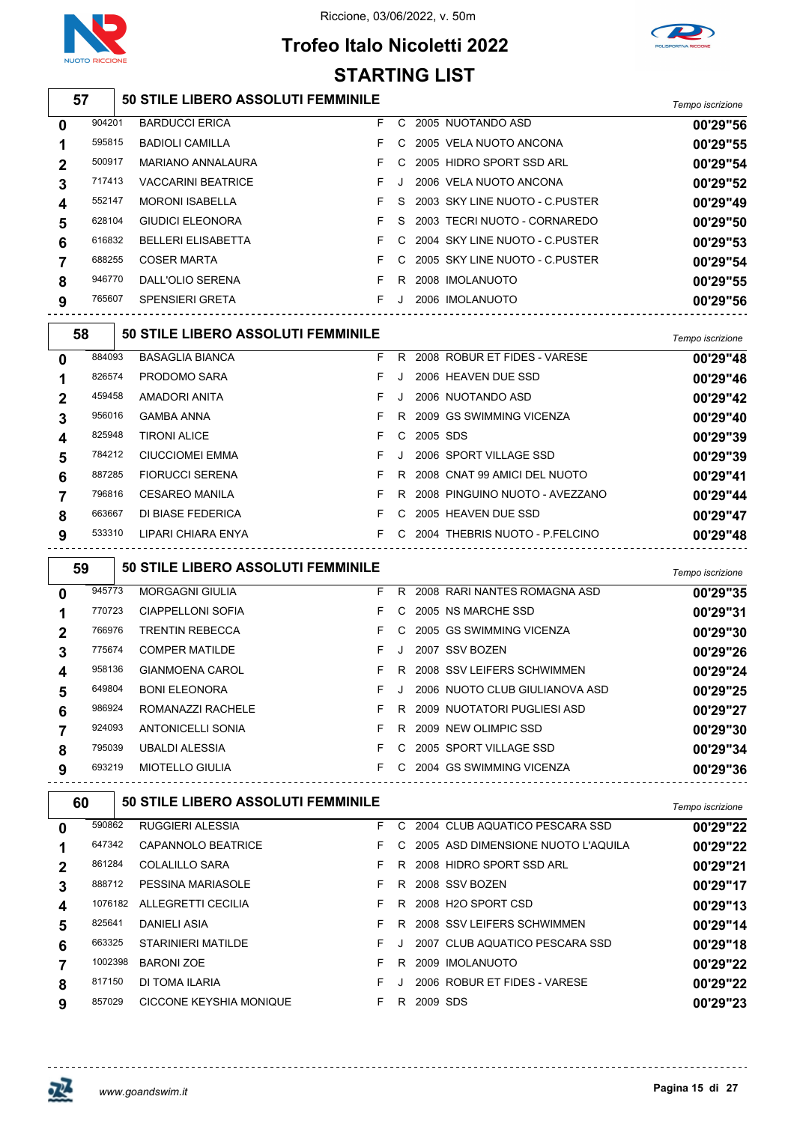

# **Trofeo Italo Nicoletti 2022**



#### **50 STILE LIBERO ASSOLUTI FEMMINILE** *Tempo iscrizione* BARDUCCI ERICA F C 2005 NUOTANDO ASD **00'29"56** BADIOLI CAMILLA F C 2005 VELA NUOTO ANCONA **00'29"55** MARIANO ANNALAURA F C 2005 HIDRO SPORT SSD ARL **00'29"54** VACCARINI BEATRICE F J 2006 VELA NUOTO ANCONA **00'29"52** MORONI ISABELLA F S 2003 SKY LINE NUOTO - C.PUSTER **00'29"49** GIUDICI ELEONORA F S 2003 TECRI NUOTO - CORNAREDO **00'29"50** BELLERI ELISABETTA F C 2004 SKY LINE NUOTO - C.PUSTER **00'29"53** COSER MARTA F C 2005 SKY LINE NUOTO - C.PUSTER **00'29"54** DALL'OLIO SERENA F R 2008 IMOLANUOTO **00'29"55** SPENSIERI GRETA F J 2006 IMOLANUOTO **00'29"56 50 STILE LIBERO ASSOLUTI FEMMINILE** *Tempo iscrizione* BASAGLIA BIANCA F R 2008 ROBUR ET FIDES - VARESE **00'29"48** PRODOMO SARA F J 2006 HEAVEN DUE SSD **00'29"46** AMADORI ANITA F J 2006 NUOTANDO ASD **00'29"42** GAMBA ANNA F R 2009 GS SWIMMING VICENZA **00'29"40** TIRONI ALICE F C 2005 SDS **00'29"39** CIUCCIOMEI EMMA F J 2006 SPORT VILLAGE SSD **00'29"39** FIORUCCI SERENA F R 2008 CNAT 99 AMICI DEL NUOTO **00'29"41** CESAREO MANILA F R 2008 PINGUINO NUOTO - AVEZZANO **00'29"44** DI BIASE FEDERICA F C 2005 HEAVEN DUE SSD **00'29"47** LIPARI CHIARA ENYA F C 2004 THEBRIS NUOTO - P.FELCINO **00'29"48 50 STILE LIBERO ASSOLUTI FEMMINILE** *Tempo iscrizione* MORGAGNI GIULIA F R 2008 RARI NANTES ROMAGNA ASD **00'29"35** CIAPPELLONI SOFIA F C 2005 NS MARCHE SSD **00'29"31** TRENTIN REBECCA F C 2005 GS SWIMMING VICENZA **00'29"30** COMPER MATILDE F J 2007 SSV BOZEN **00'29"26** GIANMOENA CAROL F R 2008 SSV LEIFERS SCHWIMMEN **00'29"24** BONI ELEONORA F J 2006 NUOTO CLUB GIULIANOVA ASD **00'29"25** ROMANAZZI RACHELE F R 2009 NUOTATORI PUGLIESI ASD **00'29"27** ANTONICELLI SONIA F R 2009 NEW OLIMPIC SSD **00'29"30** UBALDI ALESSIA F C 2005 SPORT VILLAGE SSD **00'29"34** MIOTELLO GIULIA F C 2004 GS SWIMMING VICENZA **00'29"36 50 STILE LIBERO ASSOLUTI FEMMINILE** *Tempo iscrizione* RUGGIERI ALESSIA F C 2004 CLUB AQUATICO PESCARA SSD **00'29"22** CAPANNOLO BEATRICE F C 2005 ASD DIMENSIONE NUOTO L'AQUILA **00'29"22** COLALILLO SARA F R 2008 HIDRO SPORT SSD ARL **00'29"21** PESSINA MARIASOLE F R 2008 SSV BOZEN **00'29"17** ALLEGRETTI CECILIA F R 2008 H2O SPORT CSD **00'29"13** DANIELI ASIA F R 2008 SSV LEIFERS SCHWIMMEN **00'29"14 STARTING LIST**

 STARINIERI MATILDE F J 2007 CLUB AQUATICO PESCARA SSD **00'29"18** BARONI ZOE F R 2009 IMOLANUOTO **00'29"22** DI TOMA ILARIA F J 2006 ROBUR ET FIDES - VARESE **00'29"22** CICCONE KEYSHIA MONIQUE F R 2009 SDS **00'29"23**

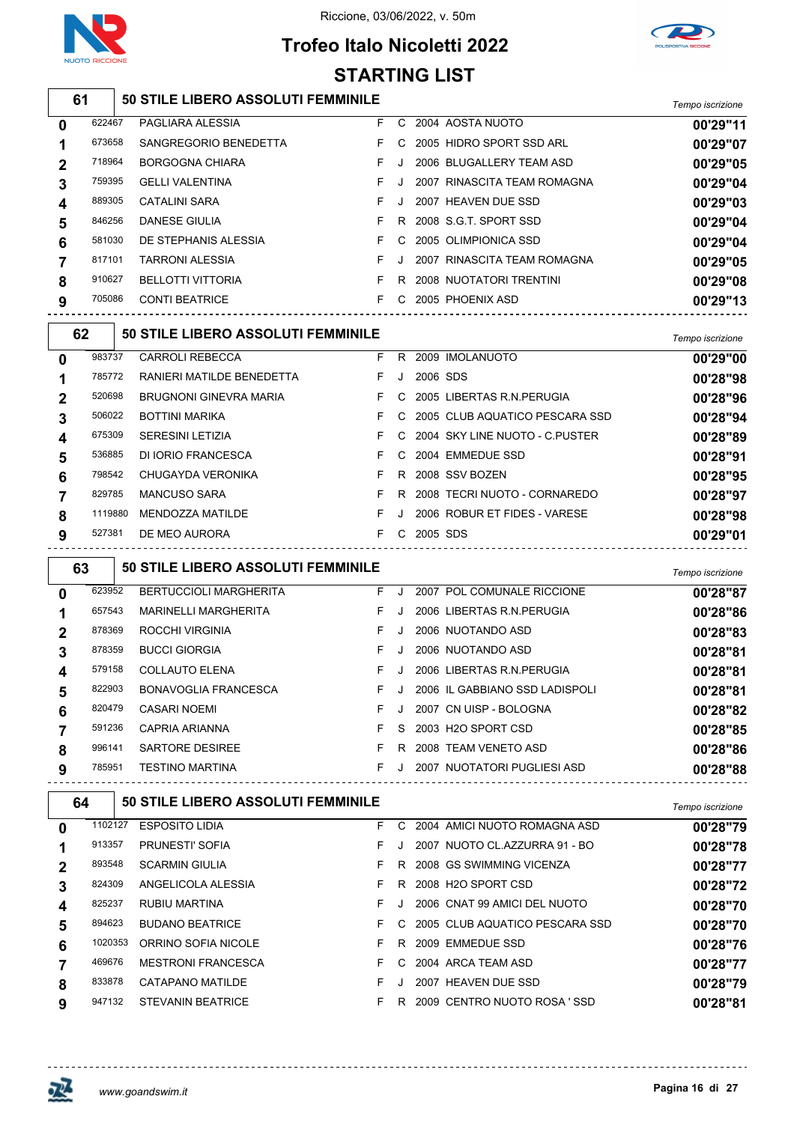

# **Trofeo Italo Nicoletti 2022**



|             | <b>STARTING LIST</b> |  |                                           |    |         |              |                                       |                  |  |  |
|-------------|----------------------|--|-------------------------------------------|----|---------|--------------|---------------------------------------|------------------|--|--|
|             | 61                   |  | 50 STILE LIBERO ASSOLUTI FEMMINILE        |    |         |              |                                       | Tempo iscrizione |  |  |
| $\mathbf 0$ | 622467               |  | PAGLIARA ALESSIA                          | F. |         |              | C 2004 AOSTA NUOTO                    | 00'29"11         |  |  |
| 1           | 673658               |  | SANGREGORIO BENEDETTA                     | F. | C       |              | 2005 HIDRO SPORT SSD ARL              | 00'29"07         |  |  |
| 2           | 718964               |  | <b>BORGOGNA CHIARA</b>                    | F. | J       |              | 2006 BLUGALLERY TEAM ASD              | 00'29"05         |  |  |
| 3           | 759395               |  | <b>GELLI VALENTINA</b>                    | F. | J       |              | 2007 RINASCITA TEAM ROMAGNA           | 00'29"04         |  |  |
| 4           | 889305               |  | <b>CATALINI SARA</b>                      | F. | J       |              | 2007 HEAVEN DUE SSD                   | 00'29"03         |  |  |
| 5           | 846256               |  | <b>DANESE GIULIA</b>                      | F. | R       |              | 2008 S.G.T. SPORT SSD                 | 00'29"04         |  |  |
| 6           | 581030               |  | DE STEPHANIS ALESSIA                      | F. | C       |              | 2005 OLIMPIONICA SSD                  | 00'29"04         |  |  |
| 7           | 817101               |  | <b>TARRONI ALESSIA</b>                    | F  | J       |              | 2007 RINASCITA TEAM ROMAGNA           | 00'29"05         |  |  |
| 8           | 910627               |  | <b>BELLOTTI VITTORIA</b>                  | F. |         |              | R 2008 NUOTATORI TRENTINI             | 00'29"08         |  |  |
| 9           | 705086               |  | <b>CONTI BEATRICE</b>                     | F  |         |              | C 2005 PHOENIX ASD                    | 00'29"13         |  |  |
|             | 62                   |  | <b>50 STILE LIBERO ASSOLUTI FEMMINILE</b> |    |         |              |                                       | Tempo iscrizione |  |  |
| 0           | 983737               |  | <b>CARROLI REBECCA</b>                    | F. |         |              | R 2009 IMOLANUOTO                     | 00'29"00         |  |  |
| 1           | 785772               |  | RANIERI MATILDE BENEDETTA                 | F. | J       | 2006 SDS     |                                       | 00'28"98         |  |  |
| 2           | 520698               |  | <b>BRUGNONI GINEVRA MARIA</b>             | F. | C       |              | 2005 LIBERTAS R.N. PERUGIA            | 00'28"96         |  |  |
| 3           | 506022               |  | <b>BOTTINI MARIKA</b>                     | F. | C       |              | 2005 CLUB AQUATICO PESCARA SSD        | 00'28"94         |  |  |
| 4           | 675309               |  | <b>SERESINI LETIZIA</b>                   | F  | C       |              | 2004 SKY LINE NUOTO - C. PUSTER       | 00'28"89         |  |  |
| 5           | 536885               |  | DI IORIO FRANCESCA                        | F. | C       |              | 2004 EMMEDUE SSD                      | 00'28"91         |  |  |
| 6           | 798542               |  | CHUGAYDA VERONIKA                         | F. |         |              | R 2008 SSV BOZEN                      | 00'28"95         |  |  |
| 7           | 829785               |  | <b>MANCUSO SARA</b>                       | F. |         |              | R 2008 TECRI NUOTO - CORNAREDO        | 00'28"97         |  |  |
| 8           | 1119880              |  | MENDOZZA MATILDE                          | F. | J       |              | 2006 ROBUR ET FIDES - VARESE          | 00'28"98         |  |  |
| 9           | 527381               |  | DE MEO AURORA                             |    |         | F C 2005 SDS | ------------------------------------- | 00'29"01         |  |  |
|             | 63                   |  | 50 STILE LIBERO ASSOLUTI FEMMINILE        |    |         |              |                                       | Tempo iscrizione |  |  |
| 0           | 623952               |  | <b>BERTUCCIOLI MARGHERITA</b>             | F. | J       |              | 2007 POL COMUNALE RICCIONE            | 00'28"87         |  |  |
| 1           | 657543               |  | <b>MARINELLI MARGHERITA</b>               | F. | J       |              | 2006 LIBERTAS R.N. PERUGIA            | 00'28"86         |  |  |
| 2           | 878369               |  | ROCCHI VIRGINIA                           | F. | $\cdot$ |              | 2006 NUOTANDO ASD                     | 00'28"83         |  |  |
| 3           | 878359               |  | <b>BUCCI GIORGIA</b>                      | F. | J       |              | 2006 NUOTANDO ASD                     | 00'28"81         |  |  |
| 4           | 579158               |  | COLLAUTO ELENA                            | F. | J       |              | 2006 LIBERTAS R.N. PERUGIA            | 00'28"81         |  |  |
| 5           | 822903               |  | BONAVOGLIA FRANCESCA                      | F. | J       |              | 2006 IL GABBIANO SSD LADISPOLI        | 00'28"81         |  |  |
| 6           | 820479               |  | <b>CASARI NOEMI</b>                       | F  | J       |              | 2007 CN UISP - BOLOGNA                | 00'28"82         |  |  |
| 7           | 591236               |  | <b>CAPRIA ARIANNA</b>                     | F. | S.      |              | 2003 H2O SPORT CSD                    | 00'28"85         |  |  |
| 8           | 996141               |  | SARTORE DESIREE                           | F. |         |              | R 2008 TEAM VENETO ASD                | 00'28"86         |  |  |
| 9           | 785951               |  | <b>TESTINO MARTINA</b>                    | F. |         |              | J 2007 NUOTATORI PUGLIESI ASD         | 00'28"88         |  |  |
|             | 64                   |  | <b>50 STILE LIBERO ASSOLUTI FEMMINILE</b> |    |         |              |                                       | Tempo iscrizione |  |  |
| 0           | 1102127              |  | <b>ESPOSITO LIDIA</b>                     | F. |         |              | C 2004 AMICI NUOTO ROMAGNA ASD        | 00'28"79         |  |  |
|             |                      |  | <b>PRUNESTI' SOFIA</b>                    |    | J       |              | 2007 NUOTO CL.AZZURRA 91 - BO         | 00'28"78         |  |  |
| 1           | 913357               |  |                                           | F. |         |              |                                       |                  |  |  |
| 2           | 893548               |  | <b>SCARMIN GIULIA</b>                     | F. |         |              | R 2008 GS SWIMMING VICENZA            | 00'28"77         |  |  |
| 3           | 824309               |  | ANGELICOLA ALESSIA                        | F  |         |              | R 2008 H2O SPORT CSD                  | 00'28"72         |  |  |
| 4           | 825237               |  | RUBIU MARTINA                             | F. | J       |              | 2006 CNAT 99 AMICI DEL NUOTO          | 00'28"70         |  |  |
| 5           | 894623               |  | <b>BUDANO BEATRICE</b>                    | F. | C       |              | 2005 CLUB AQUATICO PESCARA SSD        | 00'28"70         |  |  |
| 6           | 1020353              |  | ORRINO SOFIA NICOLE                       | F. |         |              | R 2009 EMMEDUE SSD                    | 00'28"76         |  |  |

833878 CATAPANO MATILDE **F** J 2007 HEAVEN DUE SSD **00'28"79** 

STEVANIN BEATRICE F R 2009 CENTRO NUOTO ROSA ' SSD **00'28"81**



 $- - - - - - -$ 

<u> - - - - - - - - - - - - -</u>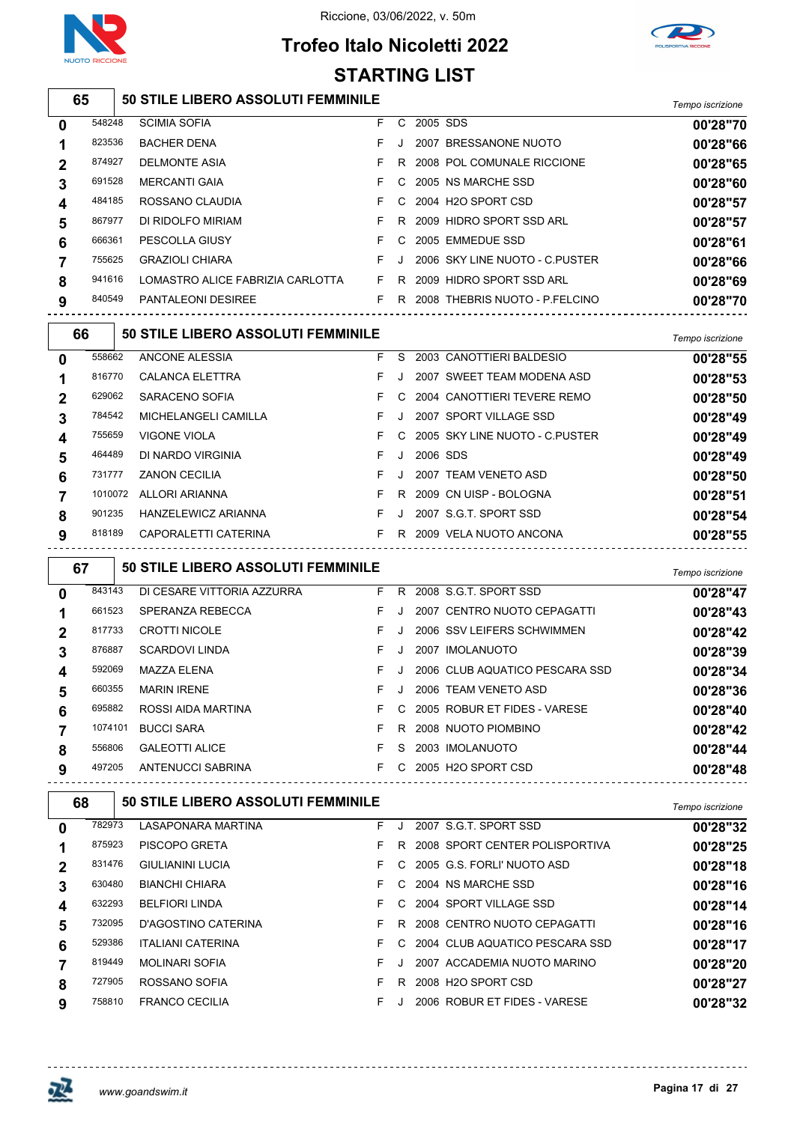

# **Trofeo Italo Nicoletti 2022**



#### **50 STILE LIBERO ASSOLUTI FEMMINILE** *Tempo iscrizione* SCIMIA SOFIA F C 2005 SDS **00'28"70** BACHER DENA F J 2007 BRESSANONE NUOTO **00'28"66** DELMONTE ASIA F R 2008 POL COMUNALE RICCIONE **00'28"65** MERCANTI GAIA F C 2005 NS MARCHE SSD **00'28"60** ROSSANO CLAUDIA F C 2004 H2O SPORT CSD **00'28"57** DI RIDOLFO MIRIAM F R 2009 HIDRO SPORT SSD ARL **00'28"57** PESCOLLA GIUSY F C 2005 EMMEDUE SSD **00'28"61** GRAZIOLI CHIARA F J 2006 SKY LINE NUOTO - C.PUSTER **00'28"66** LOMASTRO ALICE FABRIZIA CARLOTTA F R 2009 HIDRO SPORT SSD ARL **00'28"69** PANTALEONI DESIREE F R 2008 THEBRIS NUOTO - P.FELCINO **00'28"70 50 STILE LIBERO ASSOLUTI FEMMINILE** *Tempo iscrizione* ANCONE ALESSIA F S 2003 CANOTTIERI BALDESIO **00'28"55** CALANCA ELETTRA F J 2007 SWEET TEAM MODENA ASD **00'28"53** SARACENO SOFIA F C 2004 CANOTTIERI TEVERE REMO **00'28"50** MICHELANGELI CAMILLA F J 2007 SPORT VILLAGE SSD **00'28"49** VIGONE VIOLA F C 2005 SKY LINE NUOTO - C.PUSTER **00'28"49** DI NARDO VIRGINIA F J 2006 SDS **00'28"49** ZANON CECILIA F J 2007 TEAM VENETO ASD **00'28"50** ALLORI ARIANNA F R 2009 CN UISP - BOLOGNA **00'28"51** HANZELEWICZ ARIANNA F J 2007 S.G.T. SPORT SSD **00'28"54** CAPORALETTI CATERINA F R 2009 VELA NUOTO ANCONA **00'28"55 50 STILE LIBERO ASSOLUTI FEMMINILE** *Tempo iscrizione* DI CESARE VITTORIA AZZURRA F R 2008 S.G.T. SPORT SSD **00'28"47 STARTING LIST**

|   | 661523  | SPERANZA REBECCA      | F. |    | 2007 CENTRO NUOTO CEPAGATTI    | 00'28"43 |
|---|---------|-----------------------|----|----|--------------------------------|----------|
|   | 817733  | <b>CROTTI NICOLE</b>  | F. |    | 2006 SSV LEIFERS SCHWIMMEN     | 00'28"42 |
|   | 876887  | <b>SCARDOVI LINDA</b> | F. |    | 2007 IMOLANUOTO                | 00'28"39 |
|   | 592069  | <b>MAZZA ELENA</b>    | F. |    | 2006 CLUB AQUATICO PESCARA SSD | 00'28"34 |
| 5 | 660355  | <b>MARIN IRENE</b>    | F. |    | 2006 TEAM VENETO ASD           | 00'28"36 |
| 6 | 695882  | ROSSI AIDA MARTINA    | F. |    | C 2005 ROBUR ET FIDES - VARESE | 00'28"40 |
|   | 1074101 | <b>BUCCI SARA</b>     | F. | R  | 2008 NUOTO PIOMBINO            | 00'28"42 |
| 8 | 556806  | <b>GALEOTTI ALICE</b> | F. | S. | 2003 IMOLANUOTO                | 00'28"44 |
| 9 | 497205  | ANTENUCCI SABRINA     | F. |    | C 2005 H2O SPORT CSD           | 00'28"48 |
|   |         |                       |    |    |                                |          |

| 68 |        | <b>50 STILE LIBERO ASSOLUTI FEMMINILE</b> |    |              |                                | Tempo iscrizione |
|----|--------|-------------------------------------------|----|--------------|--------------------------------|------------------|
| 0  | 782973 | <b>LASAPONARA MARTINA</b>                 | F. | $\mathbf{I}$ | 2007 S.G.T. SPORT SSD          | 00'28"32         |
|    | 875923 | PISCOPO GRETA                             | F. | R.           | 2008 SPORT CENTER POLISPORTIVA | 00'28"25         |
|    | 831476 | <b>GIULIANINI LUCIA</b>                   | F. | C.           | 2005 G.S. FORLI' NUOTO ASD     | 00'28"18         |
| 3  | 630480 | <b>BIANCHI CHIARA</b>                     | F. | $\mathbf{C}$ | 2004 NS MARCHE SSD             | 00'28"16         |
|    | 632293 | <b>BELFIORI LINDA</b>                     | F. | C.           | 2004 SPORT VILLAGE SSD         | 00'28"14         |
| 5  | 732095 | D'AGOSTINO CATERINA                       | F. | R.           | 2008 CENTRO NUOTO CEPAGATTI    | 00'28"16         |
| 6  | 529386 | <b>ITALIANI CATERINA</b>                  | F. | C.           | 2004 CLUB AQUATICO PESCARA SSD | 00'28"17         |
|    | 819449 | <b>MOLINARI SOFIA</b>                     | F. |              | 2007 ACCADEMIA NUOTO MARINO    | 00'28"20         |
| 8  | 727905 | ROSSANO SOFIA                             | F. | R            | 2008 H2O SPORT CSD             | 00'28"27         |
| 9  | 758810 | <b>FRANCO CECILIA</b>                     | F. |              | 2006 ROBUR ET FIDES - VARESE   | 00'28"32         |

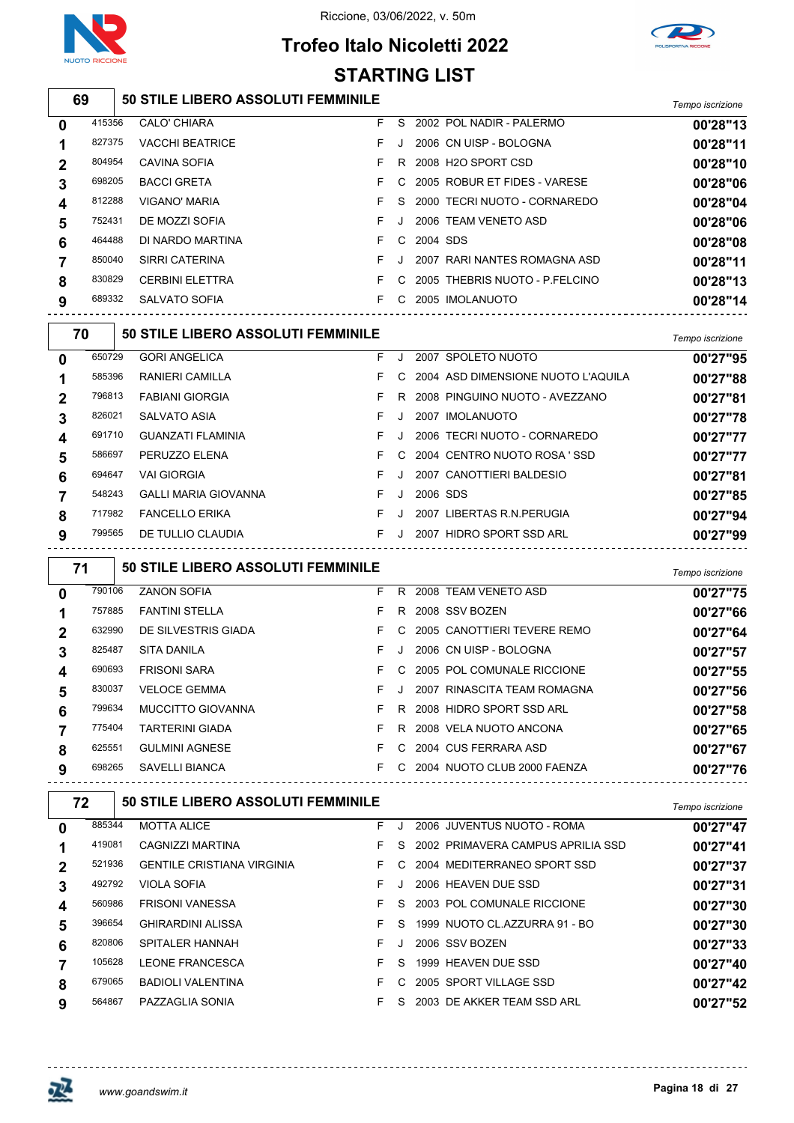



# **Trofeo Italo Nicoletti 2022 STARTING LIST**

| 50 STILE LIBERO ASSOLUTI FEMMINILE | Tempo iscrizione |
|------------------------------------|------------------|

| $\mathbf 0$ | 415356 | <b>CALO' CHIARA</b>    | F. | S.      |          | 2002 POL NADIR - PALERMO       | 00'28"13 |
|-------------|--------|------------------------|----|---------|----------|--------------------------------|----------|
| 1           | 827375 | <b>VACCHI BEATRICE</b> |    |         |          | 2006 CN UISP - BOLOGNA         | 00'28"11 |
| $\mathbf 2$ | 804954 | CAVINA SOFIA           |    | R.      |          | 2008 H2O SPORT CSD             | 00'28"10 |
| 3           | 698205 | <b>BACCI GRETA</b>     |    | C.      |          | 2005 ROBUR ET FIDES - VARESE   | 00'28"06 |
| 4           | 812288 | <b>VIGANO' MARIA</b>   |    | S.      |          | 2000 TECRI NUOTO - CORNAREDO   | 00'28"04 |
| 5           | 752431 | DE MOZZI SOFIA         |    | J.      |          | 2006 TEAM VENETO ASD           | 00'28"06 |
| 6           | 464488 | DI NARDO MARTINA       |    | C.      | 2004 SDS |                                | 00'28"08 |
| 7           | 850040 | SIRRI CATERINA         |    | $\cdot$ |          | 2007 RARI NANTES ROMAGNA ASD   | 00'28"11 |
| 8           | 830829 | <b>CERBINI ELETTRA</b> |    | C.      |          | 2005 THEBRIS NUOTO - P FELCINO | 00'28"13 |
| 9           | 689332 | SALVATO SOFIA          |    | C.      |          | 2005 IMOLANUOTO                | 00'28"14 |
|             |        |                        |    |         |          |                                |          |

|                                                                                         | 00'27"95 |
|-----------------------------------------------------------------------------------------|----------|
| 650729<br><b>GORI ANGELICA</b><br>2007 SPOLETO NUOTO<br>F.<br>$\mathbf 0$<br>J          |          |
| 585396<br><b>RANIERI CAMILLA</b><br>2004 ASD DIMENSIONE NUOTO L'AQUILA<br>C.<br>1       | 00'27"88 |
| 796813<br><b>FABIANI GIORGIA</b><br>2008 PINGUINO NUOTO - AVEZZANO<br>R.<br>$\mathbf 2$ | 00'27"81 |
| 826021<br>SALVATO ASIA<br>2007 IMOLANUOTO<br>F.<br>3<br>J                               | 00'27"78 |
| 691710<br>2006 TECRI NUOTO - CORNAREDO<br><b>GUANZATI FLAMINIA</b><br>J.<br>4           | 00'27"77 |
| 586697<br>PERUZZO ELENA<br>2004 CENTRO NUOTO ROSA 'SSD<br>C.<br>5                       | 00'27"77 |
| 694647<br><b>VAI GIORGIA</b><br>2007 CANOTTIERI BALDESIO<br>6<br>J                      | 00'27"81 |
| 548243<br><b>GALLI MARIA GIOVANNA</b><br>2006 SDS<br>F.<br>$\overline{7}$<br>J.         | 00'27"85 |
| <b>FANCELLO ERIKA</b><br>2007 LIBERTAS R.N. PERUGIA<br>717982<br>F.<br>8<br>$\cdot$     | 00'27"94 |
| 799565<br>DE TULLIO CLAUDIA<br>2007 HIDRO SPORT SSD ARL<br>9<br>J                       | 00'27"99 |

| 71 |        | <b>50 STILE LIBERO ASSOLUTI FEMMINILE</b> |    |    |                             | Tempo iscrizione |
|----|--------|-------------------------------------------|----|----|-----------------------------|------------------|
| 0  | 790106 | <b>ZANON SOFIA</b>                        | F. | R. | 2008 TEAM VENETO ASD        | 00'27"75         |
| 1  | 757885 | <b>FANTINI STELLA</b>                     | F. | R. | 2008 SSV BOZEN              | 00'27"66         |
| 2  | 632990 | DE SILVESTRIS GIADA                       | F. | C. | 2005 CANOTTIERI TEVERE REMO | 00'27"64         |
| 3  | 825487 | <b>SITA DANILA</b>                        | F. | J. | 2006 CN UISP - BOLOGNA      | 00'27"57         |
| 4  | 690693 | <b>FRISONI SARA</b>                       | F. | C. | 2005 POL COMUNALE RICCIONE  | 00'27"55         |
| 5  | 830037 | <b>VELOCE GEMMA</b>                       | F. | J  | 2007 RINASCITA TEAM ROMAGNA | 00'27"56         |
| 6  | 799634 | <b>MUCCITTO GIOVANNA</b>                  | F. | R. | 2008 HIDRO SPORT SSD ARL    | 00'27"58         |
|    | 775404 | <b>TARTERINI GIADA</b>                    | F. | R. | 2008 VELA NUOTO ANCONA      | 00'27"65         |
| 8  | 625551 | <b>GULMINI AGNESE</b>                     | F. | C. | 2004 CUS FERRARA ASD        | 00'27"67         |
| 9  | 698265 | SAVELLI BIANCA                            | F. | C. | 2004 NUOTO CLUB 2000 FAENZA | 00'27"76         |

|   | 72     | 50 STILE LIBERO ASSOLUTI FEMMINILE |    |               |                                   | Tempo iscrizione |
|---|--------|------------------------------------|----|---------------|-----------------------------------|------------------|
| 0 | 885344 | <b>MOTTA ALICE</b>                 | F. |               | 2006 JUVENTUS NUOTO - ROMA        | 00'27"47         |
|   | 419081 | CAGNIZZI MARTINA                   | F. | S.            | 2002 PRIMAVERA CAMPUS APRILIA SSD | 00'27"41         |
|   | 521936 | <b>GENTILE CRISTIANA VIRGINIA</b>  | F. | $\mathcal{C}$ | 2004 MEDITERRANEO SPORT SSD       | 00'27"37         |
| 3 | 492792 | <b>VIOLA SOFIA</b>                 | F  |               | 2006 HEAVEN DUE SSD               | 00'27"31         |
| 4 | 560986 | <b>FRISONI VANESSA</b>             | F. | S.            | 2003 POL COMUNALE RICCIONE        | 00'27"30         |
| 5 | 396654 | <b>GHIRARDINI ALISSA</b>           | F. | S.            | 1999 NUOTO CL. AZZURRA 91 - BO    | 00'27"30         |
| 6 | 820806 | <b>SPITALER HANNAH</b>             | F. | J             | 2006 SSV BOZEN                    | 00'27"33         |
|   | 105628 | LEONE FRANCESCA                    | F. | S.            | 1999 HEAVEN DUE SSD               | 00'27"40         |
| 8 | 679065 | <b>BADIOLI VALENTINA</b>           | F. | C.            | 2005 SPORT VILLAGE SSD            | 00'27"42         |
| 9 | 564867 | PAZZAGLIA SONIA                    | F. | S.            | 2003 DE AKKER TEAM SSD ARL        | 00'27"52         |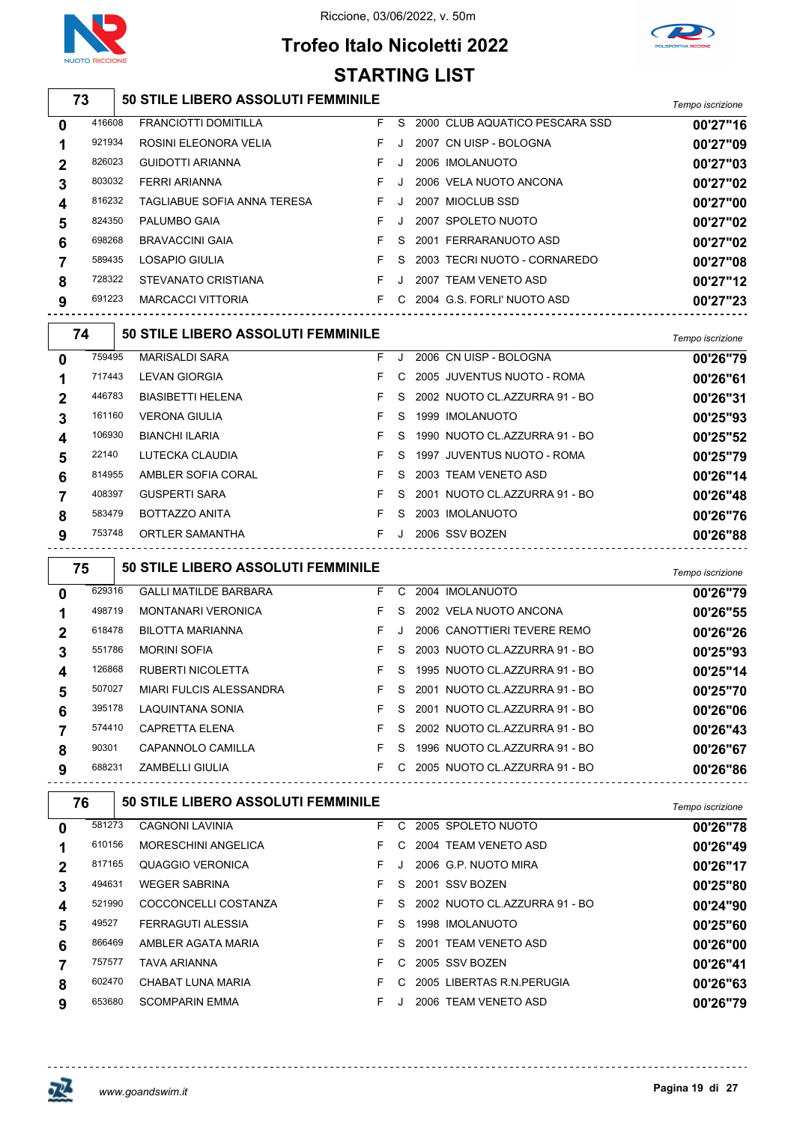



## **Trofeo Italo Nicoletti 2022 STARTING LIST**

|                         |        |                                           |    |              | <b>JIANIIIVY LIJI</b>                                   |                  |
|-------------------------|--------|-------------------------------------------|----|--------------|---------------------------------------------------------|------------------|
|                         | 73     | 50 STILE LIBERO ASSOLUTI FEMMINILE        |    |              |                                                         | Tempo iscrizione |
| 0                       | 416608 | <b>FRANCIOTTI DOMITILLA</b>               | F. | S            | 2000 CLUB AQUATICO PESCARA SSD                          | 00'27"16         |
| 1                       | 921934 | ROSINI ELEONORA VELIA                     | F  | $\cdot$      | 2007 CN UISP - BOLOGNA                                  | 00'27"09         |
| $\boldsymbol{2}$        | 826023 | <b>GUIDOTTI ARIANNA</b>                   | F. | J            | 2006 IMOLANUOTO                                         | 00'27"03         |
| 3                       | 803032 | FERRI ARIANNA                             | F  | $\cdot$      | 2006 VELA NUOTO ANCONA                                  | 00'27"02         |
| 4                       | 816232 | TAGLIABUE SOFIA ANNA TERESA               | F  | J            | 2007 MIOCLUB SSD                                        | 00'27"00         |
| 5                       | 824350 | PALUMBO GAIA                              | F  | J            | 2007 SPOLETO NUOTO                                      | 00'27"02         |
| 6                       | 698268 | <b>BRAVACCINI GAIA</b>                    | F  | S            | 2001 FERRARANUOTO ASD                                   | 00'27"02         |
| 7                       | 589435 | LOSAPIO GIULIA                            | F  | S            | 2003 TECRI NUOTO - CORNAREDO                            | 00'27"08         |
| 8                       | 728322 | STEVANATO CRISTIANA                       | F. | $\cdot$      | 2007 TEAM VENETO ASD                                    | 00'27"12         |
| 9                       | 691223 | <b>MARCACCI VITTORIA</b>                  | F  |              | C 2004 G.S. FORLI' NUOTO ASD                            | 00'27"23         |
|                         | 74     | 50 STILE LIBERO ASSOLUTI FEMMINILE        |    |              |                                                         | Tempo iscrizione |
| 0                       | 759495 | <b>MARISALDI SARA</b>                     | F. |              | J 2006 CN UISP - BOLOGNA                                | 00'26"79         |
| 1                       | 717443 | <b>LEVAN GIORGIA</b>                      | F  |              | C 2005 JUVENTUS NUOTO - ROMA                            | 00'26"61         |
| $\boldsymbol{2}$        | 446783 | <b>BIASIBETTI HELENA</b>                  | F  | S            | 2002 NUOTO CL.AZZURRA 91 - BO                           | 00'26"31         |
| 3                       | 161160 | <b>VERONA GIULIA</b>                      | F  | S            | 1999 IMOLANUOTO                                         | 00'25"93         |
| 4                       | 106930 | <b>BIANCHI ILARIA</b>                     | F  | S            | 1990 NUOTO CL.AZZURRA 91 - BO                           | 00'25"52         |
| 5                       | 22140  | LUTECKA CLAUDIA                           | F  | S            | 1997 JUVENTUS NUOTO - ROMA                              | 00'25"79         |
| 6                       | 814955 | AMBLER SOFIA CORAL                        | F  | S            | 2003 TEAM VENETO ASD                                    | 00'26"14         |
| 7                       | 408397 | <b>GUSPERTI SARA</b>                      | F  | S            | 2001 NUOTO CL.AZZURRA 91 - BO                           | 00'26"48         |
| 8                       | 583479 | BOTTAZZO ANITA                            | F. | S            | 2003 IMOLANUOTO                                         | 00'26"76         |
| 9                       | 753748 | ORTLER SAMANTHA                           |    |              | F J 2006 SSV BOZEN<br>--------------------------------- | 00'26"88         |
|                         | 75     | 50 STILE LIBERO ASSOLUTI FEMMINILE        |    |              |                                                         | Tempo iscrizione |
| 0                       | 629316 | <b>GALLI MATILDE BARBARA</b>              | F  |              | C 2004 IMOLANUOTO                                       | 00'26"79         |
| 1                       | 498719 | <b>MONTANARI VERONICA</b>                 | F. | <sub>S</sub> | 2002 VELA NUOTO ANCONA                                  | 00'26"55         |
| $\boldsymbol{2}$        | 618478 | <b>BILOTTA MARIANNA</b>                   | F  | $\cdot$      | 2006 CANOTTIERI TEVERE REMO                             | 00'26"26         |
| 3                       | 551786 | <b>MORINI SOFIA</b>                       | F  | S            | 2003 NUOTO CL.AZZURRA 91 - BO                           | 00'25"93         |
| 4                       | 126868 | RUBERTI NICOLETTA                         | F  |              | S 1995 NUOTO CL.AZZURRA 91 - BO                         | 00'25"14         |
| 5                       | 507027 | MIARI FULCIS ALESSANDRA                   | F. |              | S 2001 NUOTO CL.AZZURRA 91 - BO                         | 00'25"70         |
| 6                       | 395178 | LAQUINTANA SONIA                          | F. |              | S 2001 NUOTO CL.AZZURRA 91 - BO                         | 00'26"06         |
| 7                       | 574410 | CAPRETTA ELENA                            | F. |              | S 2002 NUOTO CL.AZZURRA 91 - BO                         | 00'26"43         |
| 8                       | 90301  | CAPANNOLO CAMILLA                         | F. |              | S 1996 NUOTO CL.AZZURRA 91 - BO                         | 00'26"67         |
| 9                       | 688231 | ZAMBELLI GIULIA                           |    |              | F C 2005 NUOTO CL.AZZURRA 91 - BO                       | 00'26"86         |
|                         | 76     | <b>50 STILE LIBERO ASSOLUTI FEMMINILE</b> |    |              |                                                         | Tempo iscrizione |
| $\mathbf 0$             | 581273 | <b>CAGNONI LAVINIA</b>                    | F  |              | C 2005 SPOLETO NUOTO                                    | 00'26"78         |
| 1                       | 610156 | MORESCHINI ANGELICA                       | F. |              | C 2004 TEAM VENETO ASD                                  | 00'26"49         |
| $\boldsymbol{2}$        | 817165 | <b>QUAGGIO VERONICA</b>                   | F. | J            | 2006 G.P. NUOTO MIRA                                    | 00'26"17         |
| 3                       | 494631 | <b>WEGER SABRINA</b>                      | F. |              | S 2001 SSV BOZEN                                        | 00'25"80         |
| 4                       | 521990 | COCCONCELLI COSTANZA                      | F. |              | S 2002 NUOTO CL.AZZURRA 91 - BO                         | 00'24"90         |
| 5                       | 49527  | FERRAGUTI ALESSIA                         | F  |              | S 1998 IMOLANUOTO                                       | 00'25"60         |
| 6                       | 866469 | AMBLER AGATA MARIA                        | F. |              | S 2001 TEAM VENETO ASD                                  | 00'26"00         |
| $\overline{\mathbf{7}}$ | 757577 | TAVA ARIANNA                              | F  |              | C 2005 SSV BOZEN                                        | 00'26"41         |
| 8                       | 602470 | CHABAT LUNA MARIA                         | F. |              | C 2005 LIBERTAS R.N. PERUGIA                            | 00'26"63         |
| 9                       | 653680 | <b>SCOMPARIN EMMA</b>                     | F. |              | J 2006 TEAM VENETO ASD                                  | 00'26"79         |

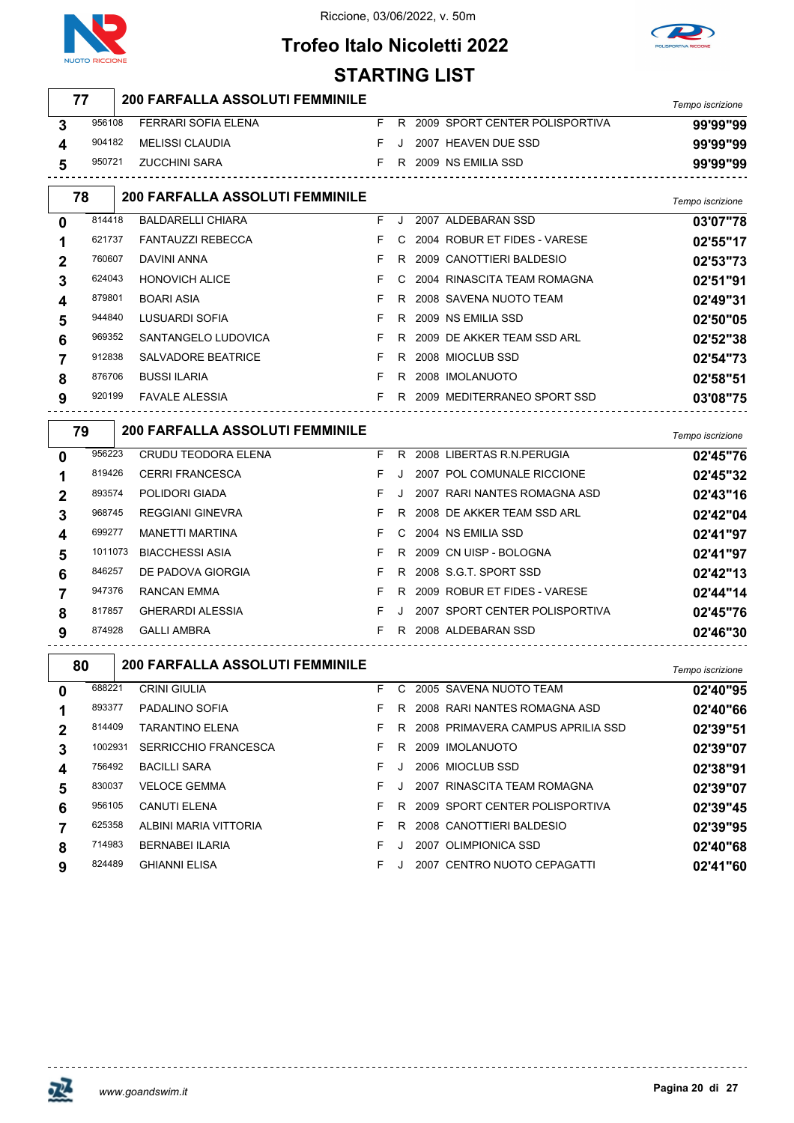



## **Trofeo Italo Nicoletti 2022** STARTING **LIST**

|                  |         |                                        | ו טום טוווואוט |    |                  |                                     |                  |
|------------------|---------|----------------------------------------|----------------|----|------------------|-------------------------------------|------------------|
|                  | 77      | <b>200 FARFALLA ASSOLUTI FEMMINILE</b> |                |    |                  |                                     | Tempo iscrizione |
| 3                | 956108  | FERRARI SOFIA ELENA                    | F.             |    |                  | R 2009 SPORT CENTER POLISPORTIVA    | 99'99"99         |
| 4                | 904182  | <b>MELISSI CLAUDIA</b>                 | F              | J. |                  | 2007 HEAVEN DUE SSD                 | 99'99"99         |
| 5                | 950721  | <b>ZUCCHINI SARA</b>                   | F.             |    |                  | R 2009 NS EMILIA SSD                | 99'99"99         |
|                  | 78      | <b>200 FARFALLA ASSOLUTI FEMMINILE</b> |                |    | Tempo iscrizione |                                     |                  |
| 0                | 814418  | <b>BALDARELLI CHIARA</b>               | F              | J  |                  | 2007 ALDEBARAN SSD                  | 03'07"78         |
|                  | 621737  | <b>FANTAUZZI REBECCA</b>               | F              | C. |                  | 2004 ROBUR ET FIDES - VARESE        | 02'55"17         |
| 2                | 760607  | <b>DAVINI ANNA</b>                     | F              |    |                  | R 2009 CANOTTIERI BALDESIO          | 02'53"73         |
| 3                | 624043  | <b>HONOVICH ALICE</b>                  | F              |    |                  | 2004 RINASCITA TEAM ROMAGNA         | 02'51"91         |
| 4                | 879801  | <b>BOARI ASIA</b>                      | F              | R  |                  | 2008 SAVENA NUOTO TEAM              | 02'49"31         |
| 5                | 944840  | LUSUARDI SOFIA                         | F              |    |                  | R 2009 NS EMILIA SSD                | 02'50"05         |
| 6                | 969352  | SANTANGELO LUDOVICA                    | F              | R  |                  | 2009 DE AKKER TEAM SSD ARL          | 02'52"38         |
| 7                | 912838  | SALVADORE BEATRICE                     | F              | R  |                  | 2008 MIOCLUB SSD                    | 02'54"73         |
| 8                | 876706  | <b>BUSSI ILARIA</b>                    | F              | R. |                  | 2008 IMOLANUOTO                     | 02'58"51         |
| 9                | 920199  | <b>FAVALE ALESSIA</b>                  | F.             |    |                  | R 2009 MEDITERRANEO SPORT SSD       | 03'08"75         |
|                  | 79      | <b>200 FARFALLA ASSOLUTI FEMMINILE</b> |                |    |                  |                                     | Tempo iscrizione |
| 0                | 956223  | CRUDU TEODORA ELENA                    | F.             |    |                  | R 2008 LIBERTAS R.N. PERUGIA        | 02'45"76         |
|                  | 819426  | <b>CERRI FRANCESCA</b>                 | F              | J  |                  | 2007 POL COMUNALE RICCIONE          | 02'45"32         |
| 2                | 893574  | POLIDORI GIADA                         | F              | J  |                  | 2007 RARI NANTES ROMAGNA ASD        | 02'43"16         |
| 3                | 968745  | <b>REGGIANI GINEVRA</b>                | F              | R  |                  | 2008 DE AKKER TEAM SSD ARL          | 02'42"04         |
| 4                | 699277  | <b>MANETTI MARTINA</b>                 | F              | C. |                  | 2004 NS EMILIA SSD                  | 02'41"97         |
| 5                | 1011073 | <b>BIACCHESSI ASIA</b>                 | F              | R. |                  | 2009 CN UISP - BOLOGNA              | 02'41"97         |
| 6                | 846257  | DE PADOVA GIORGIA                      | F              | R. |                  | 2008 S.G.T. SPORT SSD               | 02'42"13         |
| 7                | 947376  | RANCAN EMMA                            | F              |    |                  | R 2009 ROBUR ET FIDES - VARESE      | 02'44"14         |
| 8                | 817857  | <b>GHERARDI ALESSIA</b>                | F              | J. |                  | 2007 SPORT CENTER POLISPORTIVA      | 02'45"76         |
| 9                | 874928  | <b>GALLI AMBRA</b>                     | F.             |    |                  | R 2008 ALDEBARAN SSD                | 02'46"30         |
|                  | 80      | <b>200 FARFALLA ASSOLUTI FEMMINILE</b> |                |    |                  |                                     | Tempo iscrizione |
| 0                | 688221  | <b>CRINI GIULIA</b>                    | F.             |    |                  | C 2005 SAVENA NUOTO TEAM            | 02'40"95         |
| 1                | 893377  | PADALINO SOFIA                         | F.             |    |                  | R 2008 RARI NANTES ROMAGNA ASD      | 02'40"66         |
| $\boldsymbol{2}$ | 814409  | TARANTINO ELENA                        | F              |    |                  | R 2008 PRIMAVERA CAMPUS APRILIA SSD | 02'39"51         |
| 3                | 1002931 | <b>SERRICCHIO FRANCESCA</b>            | F              |    |                  | R 2009 IMOLANUOTO                   | 02'39"07         |
| 4                | 756492  | <b>BACILLI SARA</b>                    | F              | J. |                  | 2006 MIOCLUB SSD                    | 02'38"91         |
| 5                | 830037  | <b>VELOCE GEMMA</b>                    | F              | J  |                  | 2007 RINASCITA TEAM ROMAGNA         | 02'39"07         |
| 6                | 956105  | CANUTI ELENA                           | F.             |    |                  | R 2009 SPORT CENTER POLISPORTIVA    | 02'39"45         |
| $\overline{7}$   | 625358  | ALBINI MARIA VITTORIA                  | F.             |    |                  | R 2008 CANOTTIERI BALDESIO          | 02'39"95         |
| 8                | 714983  | <b>BERNABEI ILARIA</b>                 | F.             | J  |                  | 2007 OLIMPIONICA SSD                | 02'40"68         |
| 9                | 824489  | <b>GHIANNI ELISA</b>                   | F.             | J  |                  | 2007 CENTRO NUOTO CEPAGATTI         | 02'41"60         |

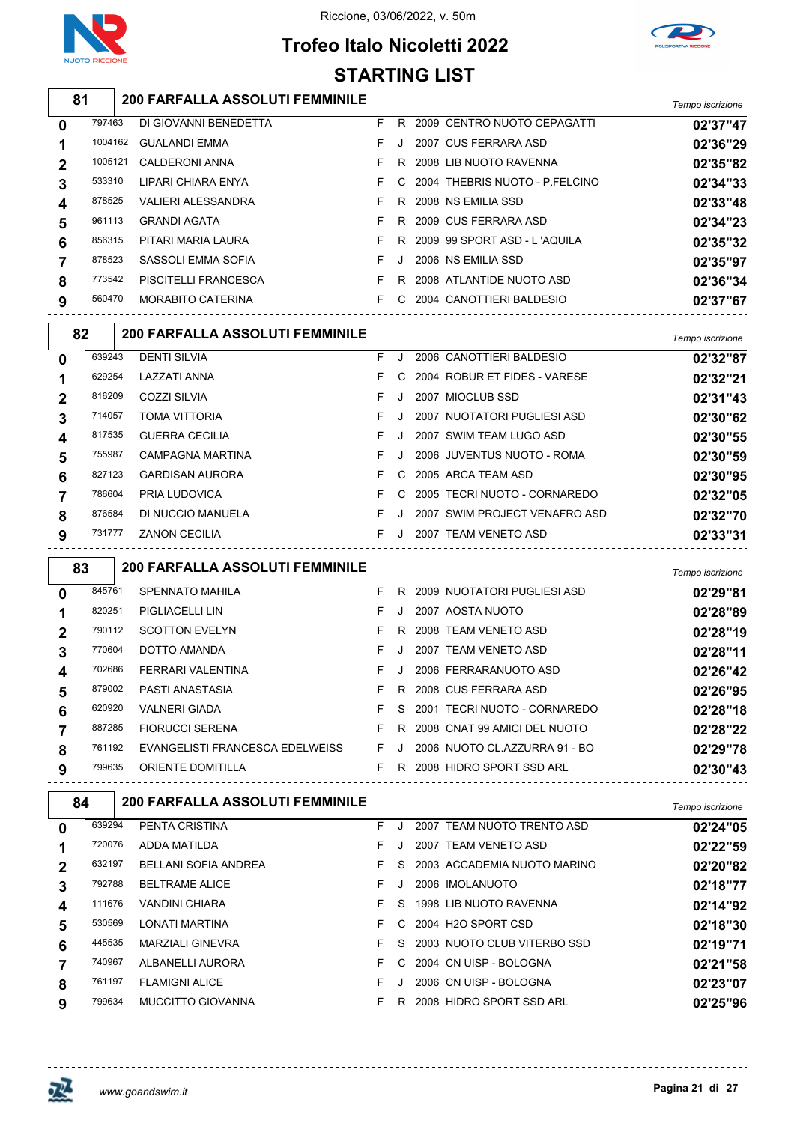





|                |         | <b>STARTING LIST</b>                                              |    |         |                                  |                  |
|----------------|---------|-------------------------------------------------------------------|----|---------|----------------------------------|------------------|
|                | 81      | <b>200 FARFALLA ASSOLUTI FEMMINILE</b>                            |    |         |                                  | Tempo iscrizione |
| 0              | 797463  | DI GIOVANNI BENEDETTA                                             | F. |         | R 2009 CENTRO NUOTO CEPAGATTI    | 02'37"47         |
| 1              | 1004162 | <b>GUALANDI EMMA</b>                                              | F  | J.      | 2007 CUS FERRARA ASD             | 02'36"29         |
| 2              | 1005121 | <b>CALDERONI ANNA</b>                                             | F  | R       | 2008 LIB NUOTO RAVENNA           | 02'35"82         |
| 3              | 533310  | LIPARI CHIARA ENYA                                                | F. | C       | 2004 THEBRIS NUOTO - P.FELCINO   | 02'34"33         |
| 4              | 878525  | VALIERI ALESSANDRA                                                | F. | R       | 2008 NS EMILIA SSD               | 02'33"48         |
| 5              | 961113  | <b>GRANDI AGATA</b>                                               | F  | R       | 2009 CUS FERRARA ASD             | 02'34"23         |
| 6              | 856315  | PITARI MARIA LAURA                                                | F  | R       | 2009 99 SPORT ASD - L'AQUILA     | 02'35"32         |
| 7              | 878523  | SASSOLI EMMA SOFIA                                                | F. | J       | 2006 NS EMILIA SSD               | 02'35"97         |
| 8              | 773542  | PISCITELLI FRANCESCA                                              | F. |         | R 2008 ATLANTIDE NUOTO ASD       | 02'36"34         |
| 9              | 560470  | MORABITO CATERINA                                                 | F. |         | C 2004 CANOTTIERI BALDESIO       | 02'37"67         |
|                | 82      | 200 FARFALLA ASSOLUTI FEMMINILE                                   |    |         |                                  | Tempo iscrizione |
| 0              | 639243  | <b>DENTI SILVIA</b>                                               | F. | J       | 2006 CANOTTIERI BALDESIO         | 02'32"87         |
| 1              | 629254  | LAZZATI ANNA                                                      | F  | C       | 2004 ROBUR ET FIDES - VARESE     | 02'32"21         |
| 2              | 816209  | <b>COZZI SILVIA</b>                                               | F  | $\cdot$ | 2007 MIOCLUB SSD                 | 02'31"43         |
| 3              | 714057  | <b>TOMA VITTORIA</b>                                              | F  | J       | 2007 NUOTATORI PUGLIESI ASD      | 02'30"62         |
| 4              | 817535  | <b>GUERRA CECILIA</b>                                             | F  | J       | 2007 SWIM TEAM LUGO ASD          | 02'30"55         |
| 5              | 755987  | CAMPAGNA MARTINA                                                  | F  | J       | 2006 JUVENTUS NUOTO - ROMA       | 02'30"59         |
| 6              | 827123  | <b>GARDISAN AURORA</b>                                            | F  | C       | 2005 ARCA TEAM ASD               | 02'30"95         |
| 7              | 786604  | PRIA LUDOVICA                                                     | F  | C       | 2005 TECRI NUOTO - CORNAREDO     | 02'32"05         |
| 8              | 876584  | DI NUCCIO MANUELA                                                 | F. | J       | 2007 SWIM PROJECT VENAFRO ASD    | 02'32"70         |
| 9              | 731777  | <b>ZANON CECILIA</b>                                              | F. | J       | 2007 TEAM VENETO ASD             | 02'33"31         |
|                | 83      | 200 FARFALLA ASSOLUTI FEMMINILE                                   |    |         |                                  | Tempo iscrizione |
| 0              | 845761  | <b>SPENNATO MAHILA</b>                                            | F. |         | R 2009 NUOTATORI PUGLIESI ASD    | 02'29"81         |
| 1              | 820251  | PIGLIACELLI LIN                                                   | F  | J       | 2007 AOSTA NUOTO                 | 02'28"89         |
| 2              | 790112  | <b>SCOTTON EVELYN</b>                                             | F  | R       | 2008 TEAM VENETO ASD             | 02'28"19         |
| 3              | 770604  | DOTTO AMANDA                                                      | F  | J       | 2007 TEAM VENETO ASD             | 02'28"11         |
| 4              | 702686  | FERRARI VALENTINA                                                 |    |         | 2006 FERRARANUOTO ASD            | 02'26"42         |
| 5              | 879002  | PASTI ANASTASIA                                                   | F. |         | R 2008 CUS FERRARA ASD           | 02'26"95         |
| 6              | 620920  | <b>VALNERI GIADA</b>                                              |    |         | F S 2001 TECRI NUOTO - CORNAREDO | 02'28"18         |
| $\overline{7}$ | 887285  | FIORUCCI SERENA                                                   |    |         | F R 2008 CNAT 99 AMICI DEL NUOTO | 02'28"22         |
| 8              | 761192  | EVANGELISTI FRANCESCA EDELWEISS F J 2006 NUOTO CL.AZZURRA 91 - BO |    |         |                                  | 02'29"78         |
| 9              | 799635  | ORIENTE DOMITILLA                                                 |    |         | F R 2008 HIDRO SPORT SSD ARL     | 02'30"43         |
|                | 84      | <b>200 FARFALLA ASSOLUTI FEMMINILE</b>                            |    |         |                                  | Tempo iscrizione |
| $\mathbf 0$    | 639294  | PENTA CRISTINA                                                    |    |         | F J 2007 TEAM NUOTO TRENTO ASD   | 02'24"05         |
| 1              | 720076  | ADDA MATILDA                                                      | F. |         | J 2007 TEAM VENETO ASD           | 02'22"59         |
| $\mathbf 2$    | 632197  | BELLANI SOFIA ANDREA                                              |    |         | F S 2003 ACCADEMIA NUOTO MARINO  | 02'20"82         |
| 3              | 792788  | <b>BELTRAME ALICE</b>                                             | F. |         | J 2006 IMOLANUOTO                | 02'18"77         |
| 4              | 111676  | VANDINI CHIARA                                                    | F. |         | S 1998 LIB NUOTO RAVENNA         | 02'14"92         |
| 5              | 530569  | LONATI MARTINA                                                    | F. |         | C 2004 H2O SPORT CSD             | 02'18"30         |
| 6              | 445535  | MARZIALI GINEVRA                                                  | F. |         | S 2003 NUOTO CLUB VITERBO SSD    | 02'19"71         |
| $\overline{7}$ | 740967  | ALBANELLI AURORA                                                  | F. |         | C 2004 CN UISP - BOLOGNA         | 02'21"58         |
| 8              | 761197  | <b>FLAMIGNI ALICE</b>                                             | F. |         | J 2006 CN UISP - BOLOGNA         | 02'23"07         |

MUCCITTO GIOVANNA F R 2008 HIDRO SPORT SSD ARL **02'25"96**

巫

 $- - - - - - -$ 

 $\frac{1}{2}$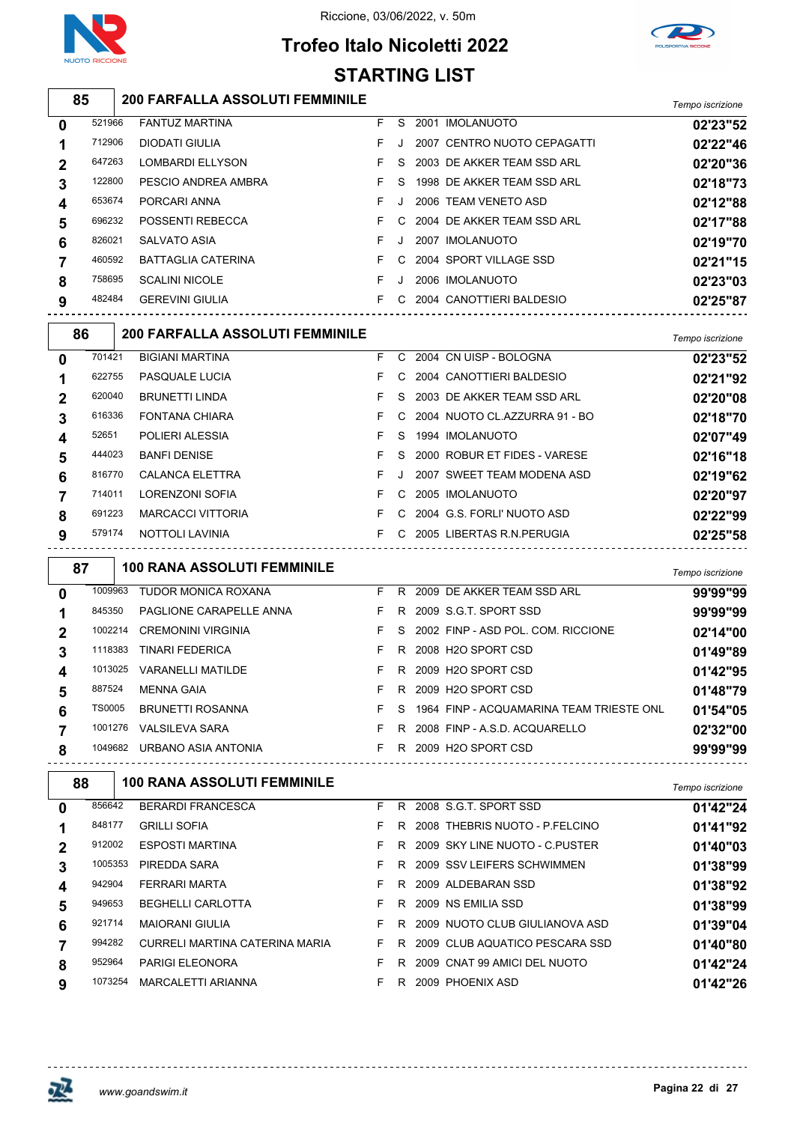





|   | <b>STARTING LIST</b> |  |                                                                   |    |         |  |                                              |                  |  |  |  |  |
|---|----------------------|--|-------------------------------------------------------------------|----|---------|--|----------------------------------------------|------------------|--|--|--|--|
|   | 85                   |  | 200 FARFALLA ASSOLUTI FEMMINILE                                   |    |         |  |                                              | Tempo iscrizione |  |  |  |  |
| 0 | 521966               |  | FANTUZ MARTINA                                                    | F. |         |  | S 2001 IMOLANUOTO                            | 02'23"52         |  |  |  |  |
| 1 | 712906               |  | <b>DIODATI GIULIA</b>                                             | F  | J       |  | 2007 CENTRO NUOTO CEPAGATTI                  | 02'22"46         |  |  |  |  |
| 2 | 647263               |  | <b>LOMBARDI ELLYSON</b>                                           | F  | S       |  | 2003 DE AKKER TEAM SSD ARL                   | 02'20"36         |  |  |  |  |
| 3 | 122800               |  | PESCIO ANDREA AMBRA                                               | F  | S       |  | 1998 DE AKKER TEAM SSD ARL                   | 02'18"73         |  |  |  |  |
| 4 | 653674               |  | PORCARI ANNA                                                      | F  | J.      |  | 2006 TEAM VENETO ASD                         | 02'12"88         |  |  |  |  |
| 5 | 696232               |  | POSSENTI REBECCA                                                  | F  | C       |  | 2004 DE AKKER TEAM SSD ARL                   | 02'17"88         |  |  |  |  |
| 6 | 826021               |  | SALVATO ASIA                                                      | F  | J       |  | 2007 IMOLANUOTO                              | 02'19"70         |  |  |  |  |
| 7 | 460592               |  | <b>BATTAGLIA CATERINA</b>                                         | F  | C       |  | 2004 SPORT VILLAGE SSD                       | 02'21"15         |  |  |  |  |
| 8 | 758695               |  | <b>SCALINI NICOLE</b>                                             | F. | $\cdot$ |  | 2006 IMOLANUOTO                              | 02'23"03         |  |  |  |  |
| 9 | 482484               |  | <b>GEREVINI GIULIA</b>                                            | F. |         |  | C 2004 CANOTTIERI BALDESIO                   | 02'25"87         |  |  |  |  |
|   | 86                   |  | <b>200 FARFALLA ASSOLUTI FEMMINILE</b>                            |    |         |  |                                              | Tempo iscrizione |  |  |  |  |
| 0 | 701421               |  | <b>BIGIANI MARTINA</b>                                            | F. | C       |  | 2004 CN UISP - BOLOGNA                       | 02'23"52         |  |  |  |  |
| 1 | 622755               |  | PASQUALE LUCIA                                                    | F  | C       |  | 2004 CANOTTIERI BALDESIO                     | 02'21"92         |  |  |  |  |
| 2 | 620040               |  | <b>BRUNETTI LINDA</b>                                             | F  | S       |  | 2003 DE AKKER TEAM SSD ARL                   | 02'20"08         |  |  |  |  |
| 3 | 616336               |  | <b>FONTANA CHIARA</b>                                             | F. | С       |  | 2004 NUOTO CL.AZZURRA 91 - BO                | 02'18"70         |  |  |  |  |
| 4 | 52651                |  | POLIERI ALESSIA                                                   | F. | S       |  | 1994 IMOLANUOTO                              | 02'07"49         |  |  |  |  |
| 5 | 444023               |  | <b>BANFI DENISE</b>                                               | F  | S       |  | 2000 ROBUR ET FIDES - VARESE                 | 02'16"18         |  |  |  |  |
| 6 | 816770               |  | CALANCA ELETTRA                                                   | F  |         |  | 2007 SWEET TEAM MODENA ASD                   | 02'19"62         |  |  |  |  |
| 7 | 714011               |  | LORENZONI SOFIA                                                   | F  | С       |  | 2005 IMOLANUOTO                              | 02'20"97         |  |  |  |  |
| 8 | 691223               |  | <b>MARCACCI VITTORIA</b>                                          | F. | C       |  | 2004 G.S. FORLI' NUOTO ASD                   | 02'22"99         |  |  |  |  |
| 9 | 579174               |  | NOTTOLI LAVINIA                                                   | F. | C.      |  | 2005 LIBERTAS R.N.PERUGIA                    | 02'25"58         |  |  |  |  |
|   | 87                   |  | <b>100 RANA ASSOLUTI FEMMINILE</b>                                |    |         |  |                                              | Tempo iscrizione |  |  |  |  |
| 0 | 1009963              |  | <b>TUDOR MONICA ROXANA</b>                                        | F. | R.      |  | 2009 DE AKKER TEAM SSD ARL                   | 99'99"99         |  |  |  |  |
| 1 | 845350               |  | PAGLIONE CARAPELLE ANNA                                           | F. |         |  | R 2009 S.G.T. SPORT SSD                      | 99'99"99         |  |  |  |  |
| 2 | 1002214              |  | <b>CREMONINI VIRGINIA</b>                                         | F  | S       |  | 2002 FINP - ASD POL. COM. RICCIONE           | 02'14"00         |  |  |  |  |
| 3 | 1118383              |  | <b>TINARI FEDERICA</b>                                            | F. |         |  | R 2008 H2O SPORT CSD                         | 01'49"89         |  |  |  |  |
| 4 |                      |  | 1013025 VARANELLI MATILDE                                         |    |         |  | F R 2009 H2O SPORT CSD                       | 01'42"95         |  |  |  |  |
| 5 | 887524               |  | <b>MENNA GAIA</b>                                                 |    |         |  | F R 2009 H2O SPORT CSD                       | 01'48"79         |  |  |  |  |
| 6 | <b>TS0005</b>        |  | BRUNETTI ROSANNA                                                  |    |         |  | F S 1964 FINP - ACQUAMARINA TEAM TRIESTE ONL | 01'54"05         |  |  |  |  |
| 7 |                      |  | 1001276 VALSILEVA SARA                                            |    |         |  | F R 2008 FINP - A.S.D. ACQUARELLO            | 02'32"00         |  |  |  |  |
| 8 |                      |  | 1049682 URBANO ASIA ANTONIA                                       |    |         |  | F R 2009 H2O SPORT CSD                       | 99'99"99         |  |  |  |  |
|   | 88                   |  | <b>100 RANA ASSOLUTI FEMMINILE</b>                                |    |         |  |                                              | Tempo iscrizione |  |  |  |  |
| 0 | 856642               |  | <b>BERARDI FRANCESCA</b>                                          |    |         |  | F R 2008 S.G.T. SPORT SSD                    | 01'42"24         |  |  |  |  |
| 1 | 848177               |  | <b>GRILLI SOFIA</b>                                               |    |         |  | F R 2008 THEBRIS NUOTO - P.FELCINO           | 01'41"92         |  |  |  |  |
| 2 | 912002               |  | ESPOSTI MARTINA                                                   |    |         |  | F R 2009 SKY LINE NUOTO - C.PUSTER           | 01'40"03         |  |  |  |  |
| 3 | 1005353              |  | PIREDDA SARA                                                      | F. |         |  | R   2009  SSV LEIFERS SCHWIMMEN              | 01'38"99         |  |  |  |  |
| 4 | 942904               |  | FERRARI MARTA                                                     | F. |         |  | R 2009 ALDEBARAN SSD                         | 01'38"92         |  |  |  |  |
| 5 | 949653               |  | BEGHELLI CARLOTTA                                                 | F. |         |  | R 2009 NS EMILIA SSD                         | 01'38"99         |  |  |  |  |
| 6 | 921714               |  | <b>MAIORANI GIULIA</b>                                            |    |         |  | F R 2009 NUOTO CLUB GIULIANOVA ASD           | 01'39"04         |  |  |  |  |
| 7 | 994282               |  | CURRELI MARTINA CATERINA MARIA F R 2009 CLUB AQUATICO PESCARA SSD |    |         |  |                                              | 01'40"80         |  |  |  |  |
|   | 952964               |  | PARIGI ELEONORA                                                   |    |         |  | F R 2009 CNAT 99 AMICI DEL NUOTO             | 01'42"24         |  |  |  |  |

MARCALETTI ARIANNA F R 2009 PHOENIX ASD **01'42"26**



<u>--------------</u>

-------------------------------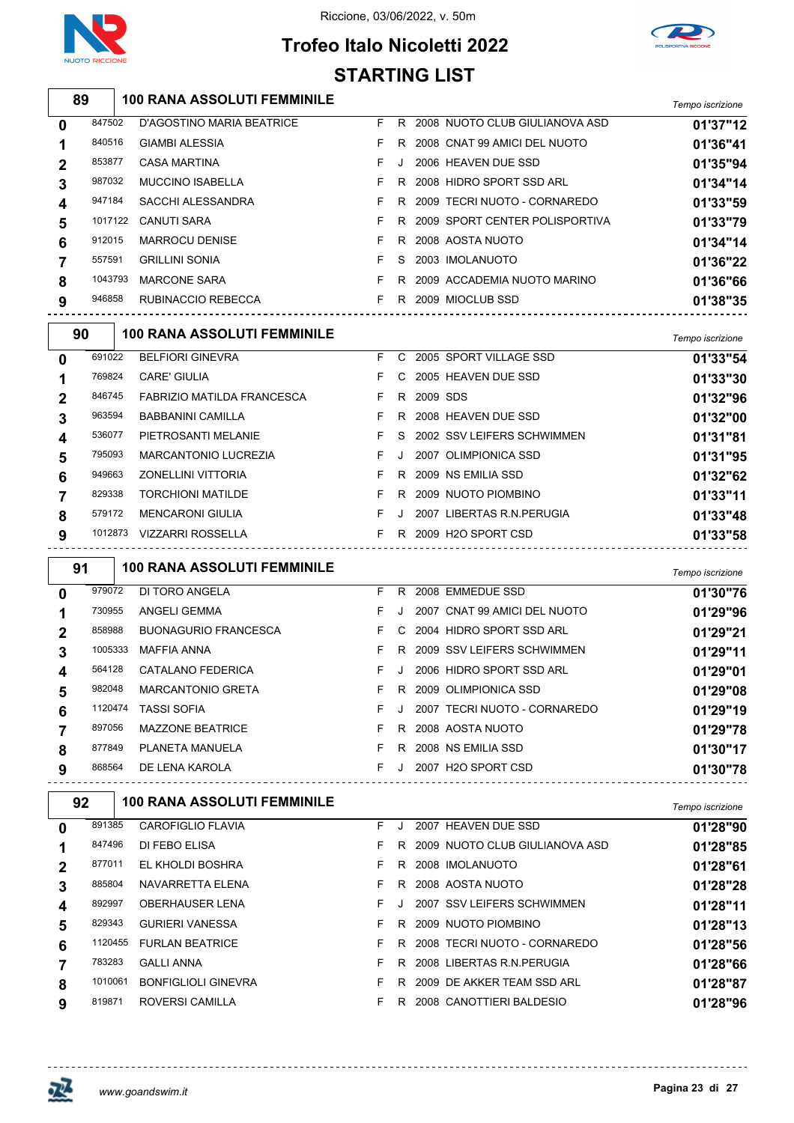

## **Trofeo Italo Nicoletti 2022 STARTING LIST**



|   | 89     |         | <b>100 RANA ASSOLUTI FEMMINILE</b>                               |    |         |            |                                  |                  |
|---|--------|---------|------------------------------------------------------------------|----|---------|------------|----------------------------------|------------------|
|   |        |         |                                                                  |    |         |            |                                  | Tempo iscrizione |
| 0 | 847502 |         | D'AGOSTINO MARIA BEATRICE                                        | F. |         |            | R 2008 NUOTO CLUB GIULIANOVA ASD | 01'37"12         |
| 1 | 840516 |         | <b>GIAMBI ALESSIA</b>                                            | F  | R       |            | 2008 CNAT 99 AMICI DEL NUOTO     | 01'36"41         |
| 2 | 853877 |         | <b>CASA MARTINA</b>                                              | F  | J       |            | 2006 HEAVEN DUE SSD              | 01'35"94         |
| 3 | 987032 |         | <b>MUCCINO ISABELLA</b>                                          | F  | R       |            | 2008 HIDRO SPORT SSD ARL         | 01'34"14         |
| 4 | 947184 |         | SACCHI ALESSANDRA                                                | F  | R       |            | 2009 TECRI NUOTO - CORNAREDO     | 01'33"59         |
| 5 |        | 1017122 | <b>CANUTI SARA</b>                                               | F  | R       |            | 2009 SPORT CENTER POLISPORTIVA   | 01'33"79         |
| 6 | 912015 |         | <b>MARROCU DENISE</b>                                            | F  | R       |            | 2008 AOSTA NUOTO                 | 01'34"14         |
| 7 | 557591 |         | <b>GRILLINI SONIA</b>                                            | F  | S       |            | 2003 IMOLANUOTO                  | 01'36"22         |
| 8 |        | 1043793 | <b>MARCONE SARA</b>                                              | F  | R       |            | 2009 ACCADEMIA NUOTO MARINO      | 01'36"66         |
| 9 | 946858 |         | RUBINACCIO REBECCA                                               | F. |         |            | R 2009 MIOCLUB SSD               | 01'38"35         |
|   | 90     |         | <b>100 RANA ASSOLUTI FEMMINILE</b>                               |    |         |            |                                  | Tempo iscrizione |
| 0 | 691022 |         | <b>BELFIORI GINEVRA</b>                                          | F. |         |            | C 2005 SPORT VILLAGE SSD         | 01'33"54         |
| 1 | 769824 |         | <b>CARE' GIULIA</b>                                              | F. | C       |            | 2005 HEAVEN DUE SSD              | 01'33"30         |
| 2 | 846745 |         | FABRIZIO MATILDA FRANCESCA                                       | F. |         | R 2009 SDS |                                  | 01'32"96         |
| 3 | 963594 |         | <b>BABBANINI CAMILLA</b>                                         | F  | R       |            | 2008 HEAVEN DUE SSD              | 01'32"00         |
| 4 | 536077 |         | PIETROSANTI MELANIE                                              | F. | S       |            | 2002 SSV LEIFERS SCHWIMMEN       | 01'31"81         |
| 5 | 795093 |         | <b>MARCANTONIO LUCREZIA</b>                                      | F  | J       |            | 2007 OLIMPIONICA SSD             | 01'31"95         |
| 6 | 949663 |         | ZONELLINI VITTORIA                                               | F. | R       |            | 2009 NS EMILIA SSD               | 01'32"62         |
| 7 | 829338 |         | <b>TORCHIONI MATILDE</b>                                         | F  | R       |            | 2009 NUOTO PIOMBINO              | 01'33"11         |
| 8 | 579172 |         | <b>MENCARONI GIULIA</b>                                          | F. | J       |            | 2007 LIBERTAS R.N. PERUGIA       | 01'33"48         |
| 9 |        |         | 1012873 VIZZARRI ROSSELLA<br>----------------------------------- | F. |         |            | R 2009 H2O SPORT CSD             | 01'33"58         |
|   | 91     |         | <b>100 RANA ASSOLUTI FEMMINILE</b>                               |    |         |            |                                  | Tempo iscrizione |
| 0 | 979072 |         | DI TORO ANGELA                                                   | F. | R.      |            | 2008 EMMEDUE SSD                 | 01'30"76         |
| 1 | 730955 |         | ANGELI GEMMA                                                     | F. | $\cdot$ |            | 2007 CNAT 99 AMICI DEL NUOTO     | 01'29"96         |
| 2 | 858988 |         | <b>BUONAGURIO FRANCESCA</b>                                      | F. | C       |            | 2004 HIDRO SPORT SSD ARL         | 01'29"21         |
| 3 |        | 1005333 | <b>MAFFIA ANNA</b>                                               | F  | R       |            | 2009 SSV LEIFERS SCHWIMMEN       | 01'29"11         |
| 4 | 564128 |         | <b>CATALANO FEDERICA</b>                                         | F. | J       |            | 2006 HIDRO SPORT SSD ARL         | 01'29"01         |
| 5 | 982048 |         | <b>MARCANTONIO GRETA</b>                                         | F. |         |            | R 2009 OLIMPIONICA SSD           | 01'29"08         |
| 6 |        | 1120474 | <b>TASSI SOFIA</b>                                               | F  | J.      |            | 2007 TECRI NUOTO - CORNAREDO     | 01'29"19         |
| 7 | 897056 |         | MAZZONE BEATRICE                                                 | F. |         |            | R 2008 AOSTA NUOTO               | 01'29"78         |
| 8 | 877849 |         | PLANETA MANUELA                                                  | F. |         |            | R 2008 NS EMILIA SSD             | 01'30"17         |
| 9 | 868564 |         | DE LENA KAROLA                                                   | F. |         |            | J 2007 H2O SPORT CSD             | 01'30"78         |
|   | 92     |         | <b>100 RANA ASSOLUTI FEMMINILE</b>                               |    |         |            | -----------------------          | Tempo iscrizione |
| 0 | 891385 |         | CAROFIGLIO FLAVIA                                                |    |         |            | F J 2007 HEAVEN DUE SSD          | 01'28"90         |
| 1 | 847496 |         | DI FEBO ELISA                                                    | F. |         |            | R 2009 NUOTO CLUB GIULIANOVA ASD | 01'28"85         |
| 2 | 877011 |         | EL KHOLDI BOSHRA                                                 | F. |         |            | R 2008 IMOLANUOTO                | 01'28"61         |
| 3 | 885804 |         | NAVARRETTA ELENA                                                 | F. |         |            | R 2008 AOSTA NUOTO               | 01'28"28         |
| 4 | 892997 |         | OBERHAUSER LENA                                                  | F. | J       |            | 2007 SSV LEIFERS SCHWIMMEN       | 01'28"11         |

GURIERI VANESSA F R 2009 NUOTO PIOMBINO **01'28"13**

FURLAN BEATRICE F R 2008 TECRI NUOTO - CORNAREDO **01'28"56**

GALLI ANNA F R 2008 LIBERTAS R.N.PERUGIA **01'28"66**

BONFIGLIOLI GINEVRA F R 2009 DE AKKER TEAM SSD ARL **01'28"87**

ROVERSI CAMILLA F R 2008 CANOTTIERI BALDESIO **01'28"96**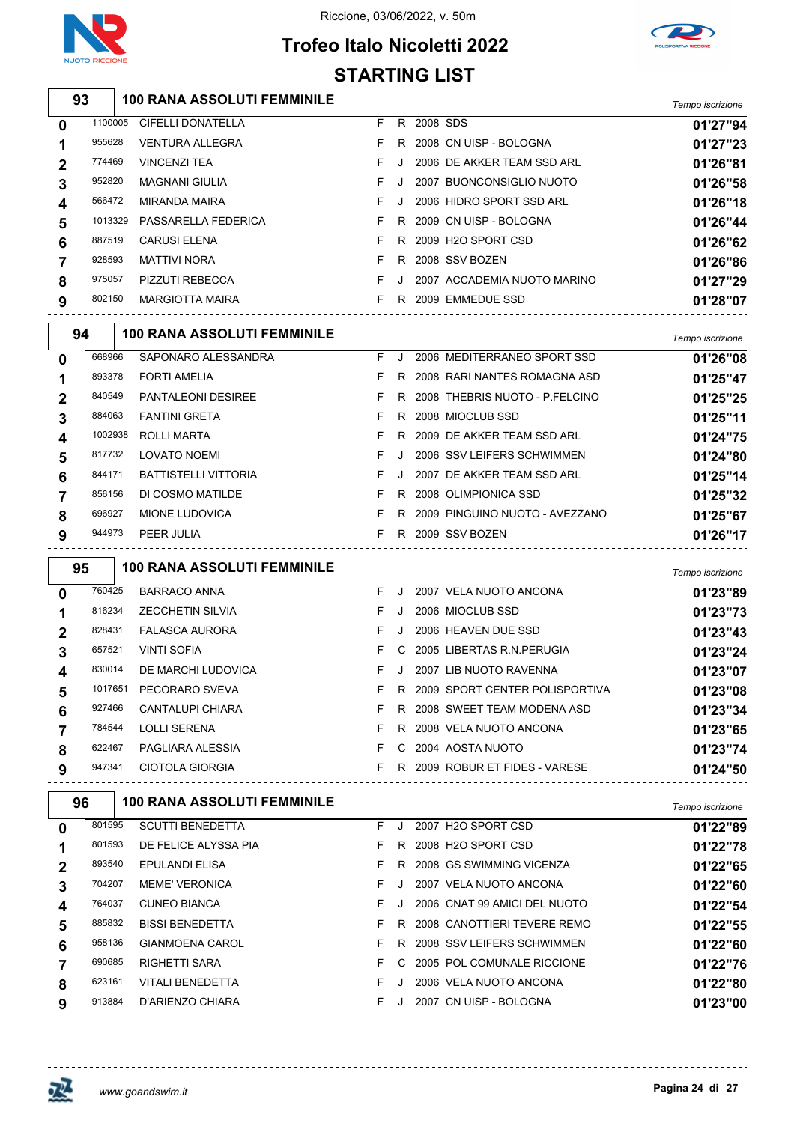

巫

### Riccione, 03/06/2022, v. 50m

# **Trofeo Italo Nicoletti 2022**



|             |         |                                    | <b>STARTING LIST</b> |    |            |                                  |                  |
|-------------|---------|------------------------------------|----------------------|----|------------|----------------------------------|------------------|
|             | 93      | <b>100 RANA ASSOLUTI FEMMINILE</b> |                      |    |            |                                  | Tempo iscrizione |
| 0           | 1100005 | <b>CIFELLI DONATELLA</b>           | F.                   |    | R 2008 SDS |                                  | 01'27"94         |
| 1           | 955628  | <b>VENTURA ALLEGRA</b>             | F.                   |    |            | R 2008 CN UISP - BOLOGNA         | 01'27"23         |
| 2           | 774469  | <b>VINCENZI TEA</b>                | F.                   | J  |            | 2006 DE AKKER TEAM SSD ARL       | 01'26"81         |
| 3           | 952820  | <b>MAGNANI GIULIA</b>              | F.                   | J  |            | 2007 BUONCONSIGLIO NUOTO         | 01'26"58         |
| 4           | 566472  | <b>MIRANDA MAIRA</b>               | F                    | J  |            | 2006 HIDRO SPORT SSD ARL         | 01'26"18         |
| 5           | 1013329 | PASSARELLA FEDERICA                | F.                   | R  |            | 2009 CN UISP - BOLOGNA           | 01'26"44         |
| 6           | 887519  | <b>CARUSI ELENA</b>                | F.                   | R  |            | 2009 H2O SPORT CSD               | 01'26"62         |
| 7           | 928593  | <b>MATTIVI NORA</b>                | F.                   |    |            | R 2008 SSV BOZEN                 | 01'26"86         |
| 8           | 975057  | PIZZUTI REBECCA                    | F.                   | J  |            | 2007 ACCADEMIA NUOTO MARINO      | 01'27"29         |
| 9           | 802150  | <b>MARGIOTTA MAIRA</b>             | F.                   |    |            | R 2009 EMMEDUE SSD               | 01'28"07         |
|             | 94      | <b>100 RANA ASSOLUTI FEMMINILE</b> |                      |    |            |                                  | Tempo iscrizione |
| 0           | 668966  | SAPONARO ALESSANDRA                | F.                   | J  |            | 2006 MEDITERRANEO SPORT SSD      | 01'26"08         |
| 1           | 893378  | <b>FORTI AMELIA</b>                | F                    | R  |            | 2008 RARI NANTES ROMAGNA ASD     | 01'25"47         |
| 2           | 840549  | PANTALEONI DESIREE                 | F.                   | R  |            | 2008 THEBRIS NUOTO - P.FELCINO   | 01'25"25         |
| 3           | 884063  | <b>FANTINI GRETA</b>               | F                    | R. |            | 2008 MIOCLUB SSD                 | 01'25"11         |
| 4           | 1002938 | ROLLI MARTA                        | F                    | R  |            | 2009 DE AKKER TEAM SSD ARL       | 01'24"75         |
| 5           | 817732  | <b>LOVATO NOEMI</b>                | F                    | J  |            | 2006 SSV LEIFERS SCHWIMMEN       | 01'24"80         |
| 6           | 844171  | <b>BATTISTELLI VITTORIA</b>        | F.                   | J  |            | 2007 DE AKKER TEAM SSD ARL       | 01'25"14         |
| 7           | 856156  | DI COSMO MATILDE                   | F.                   |    |            | R 2008 OLIMPIONICA SSD           | 01'25"32         |
| 8           | 696927  | MIONE LUDOVICA                     | F.                   |    |            | R 2009 PINGUINO NUOTO - AVEZZANO | 01'25"67         |
| 9           | 944973  | PEER JULIA                         | F.                   |    |            | R 2009 SSV BOZEN                 | 01'26"17         |
|             | 95      | <b>100 RANA ASSOLUTI FEMMINILE</b> |                      |    |            |                                  | Tempo iscrizione |
| 0           | 760425  | <b>BARRACO ANNA</b>                | F.                   | J  |            | 2007 VELA NUOTO ANCONA           | 01'23"89         |
| 1           | 816234  | <b>ZECCHETIN SILVIA</b>            | F.                   | J  |            | 2006 MIOCLUB SSD                 | 01'23"73         |
| 2           | 828431  | <b>FALASCA AURORA</b>              | F.                   | J  |            | 2006 HEAVEN DUE SSD              | 01'23"43         |
| 3           | 657521  | <b>VINTI SOFIA</b>                 | F.                   | C  |            | 2005 LIBERTAS R.N. PERUGIA       | 01'23"24         |
| 4           | 830014  | DE MARCHI LUDOVICA                 |                      |    |            | 2007 LIB NUOTO RAVENNA           | 01'23"07         |
| 5           | 1017651 | PECORARO SVEVA                     | F.                   |    |            | R 2009 SPORT CENTER POLISPORTIVA | 01'23"08         |
| 6           | 927466  | CANTALUPI CHIARA                   | F.                   |    |            | R 2008 SWEET TEAM MODENA ASD     | 01'23"34         |
| 7           | 784544  | LOLLI SERENA                       | F.                   |    |            | R 2008 VELA NUOTO ANCONA         | 01'23"65         |
| 8           | 622467  | PAGLIARA ALESSIA                   |                      |    |            | F C 2004 AOSTA NUOTO             | 01'23"74         |
| 9           | 947341  | CIOTOLA GIORGIA                    |                      |    |            | F R 2009 ROBUR ET FIDES - VARESE | 01'24"50         |
|             | 96      | <b>100 RANA ASSOLUTI FEMMINILE</b> |                      |    |            |                                  | Tempo iscrizione |
| 0           | 801595  | <b>SCUTTI BENEDETTA</b>            |                      |    |            | F J 2007 H2O SPORT CSD           | 01'22"89         |
| 1           | 801593  | DE FELICE ALYSSA PIA               | F.                   |    |            | R 2008 H2O SPORT CSD             | 01'22"78         |
| $\mathbf 2$ | 893540  | EPULANDI ELISA                     | F.                   |    |            | R 2008 GS SWIMMING VICENZA       | 01'22"65         |
| 3           | 704207  | <b>MEME' VERONICA</b>              | F.                   |    |            | J 2007 VELA NUOTO ANCONA         | 01'22"60         |
| 4           | 764037  | <b>CUNEO BIANCA</b>                | F.                   |    |            | J 2006 CNAT 99 AMICI DEL NUOTO   | 01'22"54         |
| 5           | 885832  | <b>BISSI BENEDETTA</b>             | F.                   |    |            | R 2008 CANOTTIERI TEVERE REMO    | 01'22"55         |
| 6           | 958136  | GIANMOENA CAROL                    | F.                   |    |            | R 2008 SSV LEIFERS SCHWIMMEN     | 01'22"60         |
| 7           | 690685  | RIGHETTI SARA                      | F.                   |    |            | C 2005 POL COMUNALE RICCIONE     | 01'22"76         |
| 8           | 623161  | VITALI BENEDETTA                   | F.                   |    |            | J 2006 VELA NUOTO ANCONA         | 01'22"80         |

D'ARIENZO CHIARA F J 2007 CN UISP - BOLOGNA **01'23"00**



 $- - -$ 

<u>--------------</u>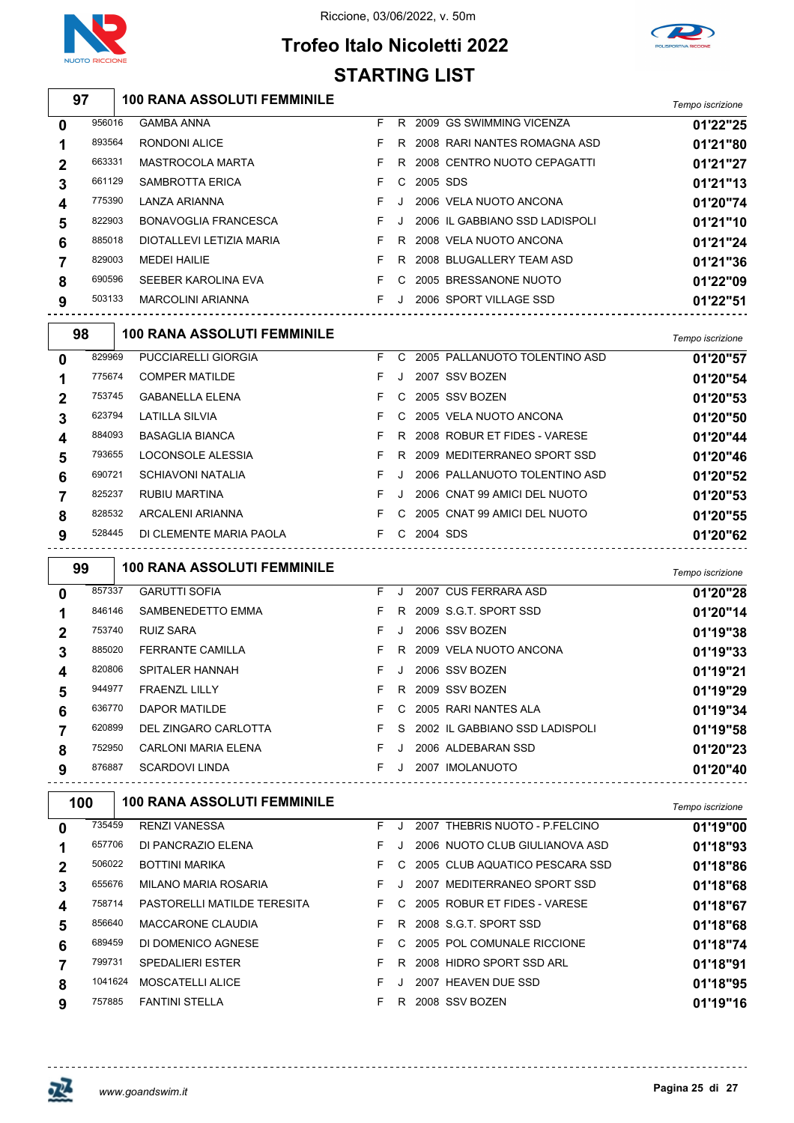





|              | 97     | <b>100 RANA ASSOLUTI FEMMINILE</b> |    |              |                                | Tempo iscrizione |
|--------------|--------|------------------------------------|----|--------------|--------------------------------|------------------|
| 0            | 956016 | <b>GAMBA ANNA</b>                  | F. |              | R 2009 GS SWIMMING VICENZA     | 01'22"25         |
| 1            | 893564 | <b>RONDONI ALICE</b>               | F. | R.           | 2008 RARI NANTES ROMAGNA ASD   | 01'21"80         |
| $\mathbf{2}$ | 663331 | MASTROCOLA MARTA                   | F  | R.           | 2008 CENTRO NUOTO CEPAGATTI    | 01'21"27         |
| 3            | 661129 | <b>SAMBROTTA ERICA</b>             | F  | С            | 2005 SDS                       | 01'21"13         |
| 4            | 775390 | LANZA ARIANNA                      | F. |              | 2006 VELA NUOTO ANCONA         | 01'20"74         |
| 5            | 822903 | <b>BONAVOGLIA FRANCESCA</b>        | F. | $\mathbf{J}$ | 2006 IL GABBIANO SSD LADISPOLI | 01'21"10         |
| 6            | 885018 | DIOTALLEVI LETIZIA MARIA           | F. | R.           | 2008 VELA NUOTO ANCONA         | 01'21"24         |
| 7            | 829003 | <b>MEDEI HAILIE</b>                | F. | R.           | 2008 BLUGALLERY TEAM ASD       | 01'21"36         |
| 8            | 690596 | SEEBER KAROLINA EVA                | F  | C            | 2005 BRESSANONE NUOTO          | 01'22"09         |
| 9            | 503133 | <b>MARCOLINI ARIANNA</b>           | F. | $\mathbf{J}$ | 2006 SPORT VILLAGE SSD         | 01'22"51         |
|              | 98     | <b>100 RANA ASSOLUTI FEMMINILE</b> |    |              |                                | Tempo iscrizione |
| 0            | 829969 | <b>PUCCIARELLI GIORGIA</b>         | F  | C.           | 2005 PALLANUOTO TOLENTINO ASD  | 01'20"57         |
| 1            | 775674 | <b>COMPER MATILDE</b>              | F  |              | 2007 SSV BOZEN                 | 01'20"54         |
| $\mathbf 2$  | 753745 | <b>GABANELLA ELENA</b>             | F. | C            | 2005 SSV BOZEN                 | 01'20"53         |
|              |        |                                    |    |              |                                |                  |

| <u>_</u>         |        |                         |  |            |                                   | .        |
|------------------|--------|-------------------------|--|------------|-----------------------------------|----------|
| 3                | 623794 | LATILLA SILVIA          |  |            | F C 2005 VELA NUOTO ANCONA        | 01'20"50 |
| $\boldsymbol{4}$ | 884093 | <b>BASAGLIA BIANCA</b>  |  |            | F R 2008 ROBUR ET FIDES - VARESE  | 01'20"44 |
| 5                | 793655 | LOCONSOLE ALESSIA       |  |            | F R 2009 MEDITERRANEO SPORT SSD   | 01'20"46 |
| 6                | 690721 | SCHIAVONI NATALIA       |  |            | F J 2006 PALLANUOTO TOLENTINO ASD | 01'20"52 |
|                  | 825237 | RUBIU MARTINA           |  |            | F J 2006 CNAT 99 AMICI DEL NUOTO  | 01'20"53 |
| 8                | 828532 | ARCALENI ARIANNA        |  |            | F C 2005 CNAT 99 AMICI DEL NUOTO  | 01'20"55 |
| 9                | 528445 | DI CLEMENTE MARIA PAOLA |  | C 2004 SDS |                                   | 01'20"62 |
|                  |        |                         |  |            |                                   |          |

| 99           |        | <b>100 RANA ASSOLUTI FEMMINILE</b> |    |         |                                  | Tempo iscrizione |
|--------------|--------|------------------------------------|----|---------|----------------------------------|------------------|
| $\mathbf{0}$ | 857337 | <b>GARUTTI SOFIA</b>               | F. | J.      | 2007 CUS FERRARA ASD             | 01'20"28         |
|              | 846146 | SAMBENEDETTO EMMA                  | F. | R.      | 2009 S.G.T. SPORT SSD            | 01'20"14         |
| 2            | 753740 | <b>RUIZ SARA</b>                   | F  |         | 2006 SSV BOZEN                   | 01'19"38         |
| 3            | 885020 | <b>FERRANTE CAMILLA</b>            | F. | R.      | 2009 VELA NUOTO ANCONA           | 01'19"33         |
| 4            | 820806 | SPITALER HANNAH                    | F. | $\cdot$ | 2006 SSV BOZEN                   | 01'19"21         |
| 5            | 944977 | <b>FRAENZL LILLY</b>               | F. | R.      | 2009 SSV BOZEN                   | 01'19"29         |
| 6            | 636770 | DAPOR MATILDE                      | F. | C.      | 2005 RARI NANTES ALA             | 01'19"34         |
|              | 620899 | DEL ZINGARO CARLOTTA               | F. |         | S 2002 IL GABBIANO SSD LADISPOLI | 01'19"58         |
| 8            | 752950 | CARLONI MARIA ELENA                | F. | $\cdot$ | 2006 ALDEBARAN SSD               | 01'20"23         |
| 9            | 876887 | <b>SCARDOVI LINDA</b>              | F. | $\cdot$ | 2007 IMOLANUOTO                  | 01'20"40         |

| 100 |         | <b>100 RANA ASSOLUTI FEMMINILE</b> |    |    |                                | Tempo iscrizione |
|-----|---------|------------------------------------|----|----|--------------------------------|------------------|
| 0   | 735459  | <b>RENZI VANESSA</b>               | F. |    | 2007 THEBRIS NUOTO - P.FELCINO | 01'19"00         |
|     | 657706  | DI PANCRAZIO ELENA                 | F. |    | 2006 NUOTO CLUB GIULIANOVA ASD | 01'18"93         |
|     | 506022  | <b>BOTTINI MARIKA</b>              | F. | C. | 2005 CLUB AQUATICO PESCARA SSD | 01'18"86         |
|     | 655676  | MILANO MARIA ROSARIA               | F. |    | 2007 MEDITERRANEO SPORT SSD    | 01'18"68         |
| 4   | 758714  | <b>PASTORELLI MATILDE TERESITA</b> | F. | C. | 2005 ROBUR ET FIDES - VARESE   | 01'18"67         |
| 5   | 856640  | <b>MACCARONE CLAUDIA</b>           | F. | R. | 2008 S.G.T. SPORT SSD          | 01'18"68         |
| 6   | 689459  | DI DOMENICO AGNESE                 | F. | C. | 2005 POL COMUNALE RICCIONE     | 01'18"74         |
|     | 799731  | <b>SPEDALIERI ESTER</b>            | F. | R. | 2008 HIDRO SPORT SSD ARL       | 01'18"91         |
| 8   | 1041624 | <b>MOSCATELLI ALICE</b>            | F. |    | 2007 HEAVEN DUE SSD            | 01'18"95         |
| 9   | 757885  | <b>FANTINI STELLA</b>              | F. | R  | 2008 SSV BOZEN                 | 01'19"16         |

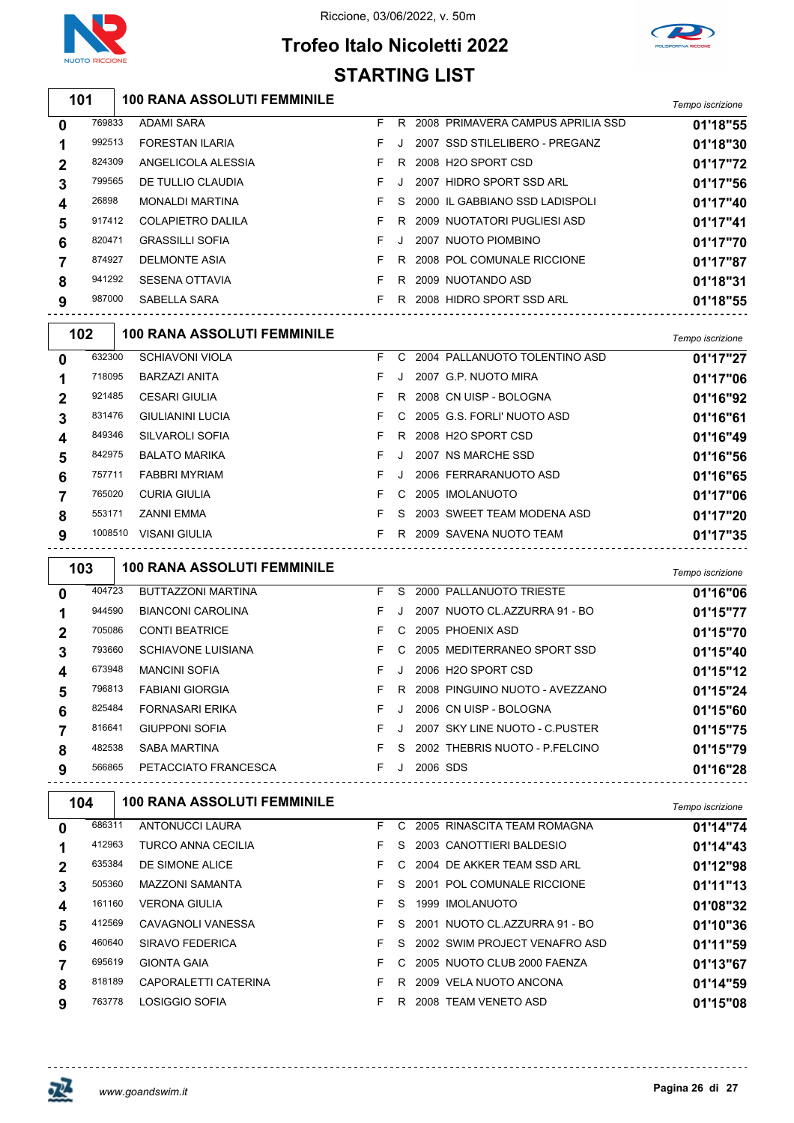



# **Trofeo Italo Nicoletti 2022 STARTING LIST**

| 101 |        | <b>100 RANA ASSOLUTI FEMMINILE</b> |  |                                     | Tempo iscrizione |
|-----|--------|------------------------------------|--|-------------------------------------|------------------|
| 0   | 769833 | ADAMI SARA                         |  | R 2008 PRIMAVERA CAMPUS APRILIA SSD | 01'18"55         |
|     | 992513 | <b>FORESTAN ILARIA</b>             |  | 2007 SSD STILELIBERO - PREGANZ      | 01'18"30         |

| 824309<br>ANGELICOLA ALESSIA<br>2008 H <sub>2</sub> O SPORT CSD<br>$\mathbf{2}$<br>R. | 01'17"72 |
|---------------------------------------------------------------------------------------|----------|
|                                                                                       |          |
| 2007 HIDRO SPORT SSD ARL<br>799565<br>DE TULLIO CLAUDIA<br>3                          | 01'17"56 |
| 26898<br><b>MONALDI MARTINA</b><br>2000 IL GABBIANO SSD LADISPOLI<br>S.<br>4          | 01'17"40 |
| 917412<br><b>COLAPIETRO DALILA</b><br>2009 NUOTATORI PUGLIESI ASD<br>5<br>R.          | 01'17"41 |
| <b>GRASSILLI SOFIA</b><br>820471<br>2007 NUOTO PIOMBINO<br>F.<br>6                    | 01'17"70 |
| 874927<br>2008 POL COMUNALE RICCIONE<br><b>DELMONTE ASIA</b><br>7<br>R.               | 01'17"87 |
| 941292<br><b>SESENA OTTAVIA</b><br>2009 NUOTANDO ASD<br>R.<br>8                       | 01'18"31 |
| 987000<br>SABELLA SARA<br>2008 HIDRO SPORT SSD ARL<br>R.<br>9                         | 01'18"55 |

| 102         |         | <b>100 RANA ASSOLUTI FEMMINILE</b> |    |         |                               | Tempo iscrizione |
|-------------|---------|------------------------------------|----|---------|-------------------------------|------------------|
| $\mathbf 0$ | 632300  | <b>SCHIAVONI VIOLA</b>             | F. | C.      | 2004 PALLANUOTO TOLENTINO ASD | 01'17"27         |
|             | 718095  | <b>BARZAZI ANITA</b>               | F  |         | 2007 G.P. NUOTO MIRA          | 01'17"06         |
| $\mathbf 2$ | 921485  | <b>CESARI GIULIA</b>               | F. | R.      | 2008 CN UISP - BOLOGNA        | 01'16"92         |
| 3           | 831476  | <b>GIULIANINI LUCIA</b>            | F. |         | C 2005 G.S. FORLI' NUOTO ASD  | 01'16"61         |
| 4           | 849346  | SILVAROLI SOFIA                    | F. | R       | 2008 H2O SPORT CSD            | 01'16"49         |
| 5           | 842975  | <b>BALATO MARIKA</b>               | F. | $\cdot$ | 2007 NS MARCHE SSD            | 01'16"56         |
| 6           | 757711  | <b>FABBRI MYRIAM</b>               | F. | J.      | 2006 FERRARANUOTO ASD         | 01'16"65         |
|             | 765020  | <b>CURIA GIULIA</b>                | F. | C.      | 2005 IMOLANUOTO               | 01'17"06         |
| 8           | 553171  | <b>ZANNI EMMA</b>                  | F  | S.      | 2003 SWEET TEAM MODENA ASD    | 01'17"20         |
| 9           | 1008510 | <b>VISANI GIULIA</b>               | F. | R       | 2009 SAVENA NUOTO TEAM        | 01'17"35         |

| 103          |        | <b>100 RANA ASSOLUTI FEMMINILE</b> |    |         |                                | Tempo iscrizione |
|--------------|--------|------------------------------------|----|---------|--------------------------------|------------------|
| 0            | 404723 | <b>BUTTAZZONI MARTINA</b>          | F. | S.      | 2000 PALLANUOTO TRIESTE        | 01'16"06         |
|              | 944590 | <b>BIANCONI CAROLINA</b>           | F. | $\cdot$ | 2007 NUOTO CL.AZZURRA 91 - BO  | 01'15"77         |
| $\mathbf{2}$ | 705086 | <b>CONTI BEATRICE</b>              | F. | C.      | 2005 PHOENIX ASD               | 01'15"70         |
| 3            | 793660 | <b>SCHIAVONE LUISIANA</b>          | F. | C.      | 2005 MEDITERRANEO SPORT SSD    | 01'15"40         |
| 4            | 673948 | <b>MANCINI SOFIA</b>               | F. | J       | 2006 H2O SPORT CSD             | 01'15"12         |
| 5            | 796813 | <b>FABIANI GIORGIA</b>             | F. | R       | 2008 PINGUINO NUOTO - AVEZZANO | 01'15"24         |
| 6            | 825484 | <b>FORNASARI ERIKA</b>             | F. |         | 2006 CN UISP - BOLOGNA         | 01'15"60         |
|              | 816641 | <b>GIUPPONI SOFIA</b>              | F. | $\cdot$ | 2007 SKY LINE NUOTO - C.PUSTER | 01'15"75         |
| 8            | 482538 | <b>SABA MARTINA</b>                | F. | S.      | 2002 THEBRIS NUOTO - P.FELCINO | 01'15"79         |
| 9            | 566865 | PETACCIATO FRANCESCA               | F. | J       | 2006 SDS                       | 01'16"28         |

| 104 | <b>100 RANA ASSOLUTI FEMMINILE</b> |                                                                                                  |    |                               | Tempo iscrizione                                                                                    |
|-----|------------------------------------|--------------------------------------------------------------------------------------------------|----|-------------------------------|-----------------------------------------------------------------------------------------------------|
|     | ANTONUCCI LAURA                    | F.                                                                                               | C. | 2005 RINASCITA TEAM ROMAGNA   | 01'14"74                                                                                            |
|     | <b>TURCO ANNA CECILIA</b>          | F.                                                                                               | S. | 2003 CANOTTIERI BALDESIO      | 01'14"43                                                                                            |
|     | DE SIMONE ALICE                    | F.                                                                                               |    |                               | 01'12"98                                                                                            |
|     | <b>MAZZONI SAMANTA</b>             | F.                                                                                               |    |                               | 01'11"13                                                                                            |
|     | <b>VERONA GIULIA</b>               | F.                                                                                               | S. | 1999 IMOLANUOTO               | 01'08"32                                                                                            |
|     | CAVAGNOLI VANESSA                  | F.                                                                                               | S. | 2001 NUOTO CL.AZZURRA 91 - BO | 01'10"36                                                                                            |
|     | SIRAVO FEDERICA                    | F.                                                                                               |    | 2002 SWIM PROJECT VENAFRO ASD | 01'11"59                                                                                            |
|     | <b>GIONTA GAIA</b>                 | F.                                                                                               |    |                               | 01'13"67                                                                                            |
|     | CAPORALETTI CATERINA               | F.                                                                                               | R. | 2009 VELA NUOTO ANCONA        | 01'14"59                                                                                            |
|     | LOSIGGIO SOFIA                     | F.                                                                                               | R. | 2008 TEAM VENETO ASD          | 01'15"08                                                                                            |
|     |                                    | 686311<br>412963<br>635384<br>505360<br>161160<br>412569<br>460640<br>695619<br>818189<br>763778 |    |                               | C 2004 DE AKKER TEAM SSD ARL<br>S 2001 POL COMUNALE RICCIONE<br>S.<br>C 2005 NUOTO CLUB 2000 FAENZA |

------------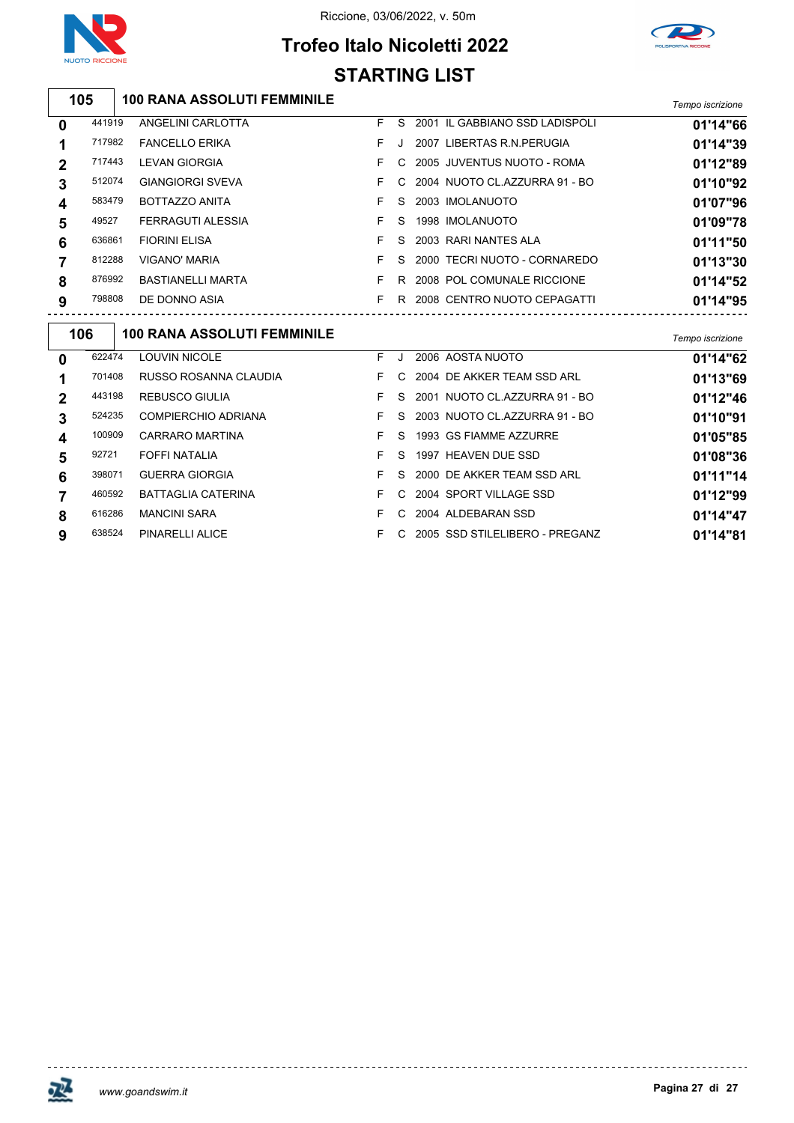



# **Trofeo Italo Nicoletti 2022 STARTING LIST**

**100 RANA ASSOLUTI FEMMINILE** *Tempo iscrizione*

| 0              | 441919 | ANGELINI CARLOTTA        | F. | S. | 2001 IL GABBIANO SSD LADISPOLI  | 01'14"66 |
|----------------|--------|--------------------------|----|----|---------------------------------|----------|
|                | 717982 | <b>FANCELLO ERIKA</b>    | F. | J  | 2007 LIBERTAS R.N. PERUGIA      | 01'14"39 |
| $\overline{2}$ | 717443 | <b>LEVAN GIORGIA</b>     |    | C. | 2005 JUVENTUS NUOTO - ROMA      | 01'12"89 |
| 3              | 512074 | <b>GIANGIORGI SVEVA</b>  |    |    | C 2004 NUOTO CL.AZZURRA 91 - BO | 01'10"92 |
| 4              | 583479 | <b>BOTTAZZO ANITA</b>    |    | S. | 2003 IMOLANUOTO                 | 01'07"96 |
| 5              | 49527  | FERRAGUTI ALESSIA        |    | S. | 1998 IMOLANUOTO                 | 01'09"78 |
| 6              | 636861 | <b>FIORINI ELISA</b>     | F. | S. | 2003 RARI NANTES ALA            | 01'11"50 |
|                | 812288 | <b>VIGANO' MARIA</b>     |    | S. | 2000 TECRI NUOTO - CORNAREDO    | 01'13"30 |
| 8              | 876992 | <b>BASTIANELLI MARTA</b> |    | R  | 2008 POL COMUNALE RICCIONE      | 01'14"52 |
| 9              | 798808 | DE DONNO ASIA            |    | R  | 2008 CENTRO NUOTO CEPAGATTI     | 01'14"95 |
|                |        |                          |    |    |                                 |          |

| 106         |        | <b>100 RANA ASSOLUTI FEMMINILE</b> |    |    |                                | Tempo iscrizione |
|-------------|--------|------------------------------------|----|----|--------------------------------|------------------|
| $\mathbf 0$ | 622474 | <b>LOUVIN NICOLE</b>               | F. | J  | 2006 AOSTA NUOTO               | 01'14"62         |
|             | 701408 | RUSSO ROSANNA CLAUDIA              | F. | C. | 2004 DE AKKER TEAM SSD ARL     | 01'13"69         |
| $\mathbf 2$ | 443198 | <b>REBUSCO GIULIA</b>              | F. | S  | 2001 NUOTO CL.AZZURRA 91 - BO  | 01'12"46         |
| 3           | 524235 | COMPIERCHIO ADRIANA                | F. | S. | 2003 NUOTO CL.AZZURRA 91 - BO  | 01'10"91         |
| 4           | 100909 | CARRARO MARTINA                    | F. | S. | 1993 GS FIAMME AZZURRE         | 01'05"85         |
| 5           | 92721  | FOFFI NATALIA                      |    | S. | 1997 HEAVEN DUE SSD            | 01'08"36         |
| 6           | 398071 | <b>GUERRA GIORGIA</b>              | F. | S. | 2000 DE AKKER TEAM SSD ARL     | 01'11"14         |
|             | 460592 | <b>BATTAGLIA CATERINA</b>          |    | C. | 2004 SPORT VILLAGE SSD         | 01'12"99         |
| 8           | 616286 | <b>MANCINI SARA</b>                | F. | C. | 2004 ALDEBARAN SSD             | 01'14"47         |
| 9           | 638524 | PINARELLI ALICE                    |    | C. | 2005 SSD STILELIBERO - PREGANZ | 01'14"81         |



<u> - - - - - - - - - - - -</u>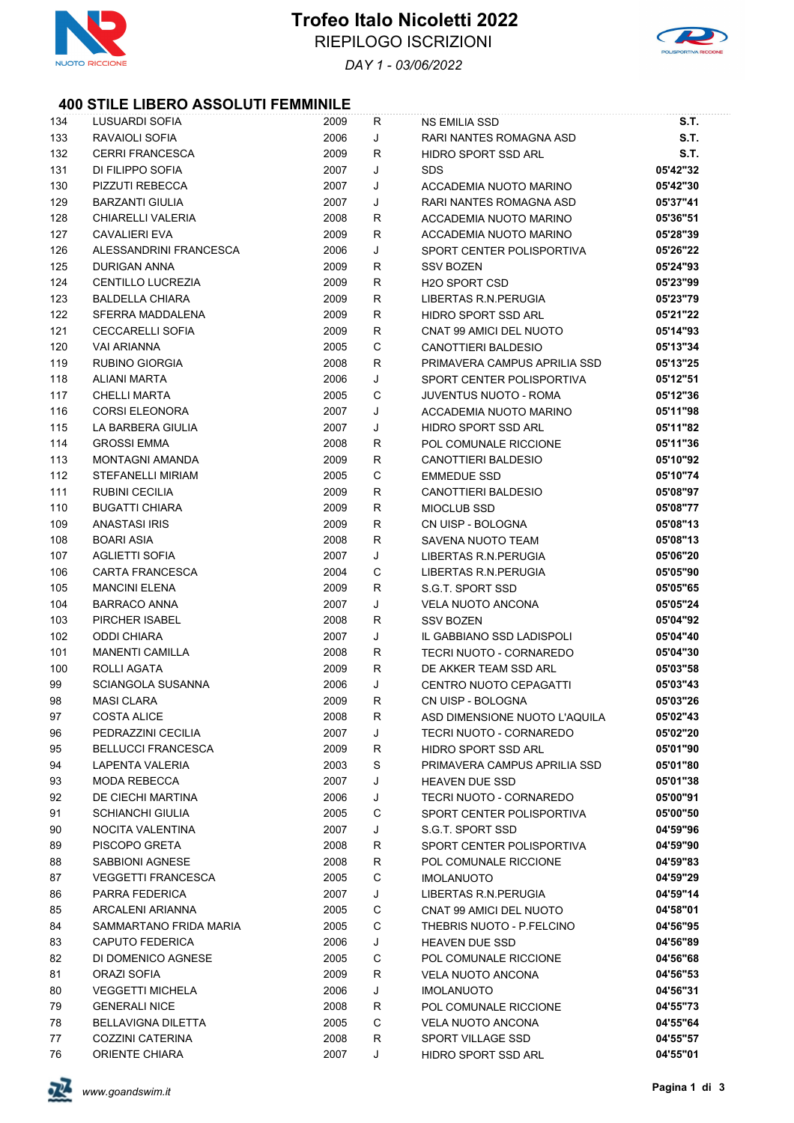



*DAY 1 - 03/06/2022*

### **400 STILE LIBERO ASSOLUTI FEMMINILE**

| 134 | LUSUARDI SOFIA            | 2009 | R | <b>NS EMILIA SSD</b>                      | S.T.        |
|-----|---------------------------|------|---|-------------------------------------------|-------------|
| 133 | RAVAIOLI SOFIA            | 2006 | J | RARI NANTES ROMAGNA ASD                   | <b>S.T.</b> |
| 132 | <b>CERRI FRANCESCA</b>    | 2009 | R | HIDRO SPORT SSD ARL                       | S.T.        |
| 131 | DI FILIPPO SOFIA          | 2007 | J | <b>SDS</b>                                | 05'42"32    |
| 130 | PIZZUTI REBECCA           | 2007 | J | ACCADEMIA NUOTO MARINO                    | 05'42"30    |
| 129 | <b>BARZANTI GIULIA</b>    | 2007 | J | RARI NANTES ROMAGNA ASD                   | 05'37"41    |
| 128 | CHIARELLI VALERIA         | 2008 | R | ACCADEMIA NUOTO MARINO                    | 05'36"51    |
| 127 | <b>CAVALIERI EVA</b>      | 2009 | R | ACCADEMIA NUOTO MARINO                    | 05'28"39    |
| 126 | ALESSANDRINI FRANCESCA    | 2006 | J | SPORT CENTER POLISPORTIVA                 | 05'26"22    |
| 125 | DURIGAN ANNA              | 2009 | R | <b>SSV BOZEN</b>                          | 05'24"93    |
| 124 | CENTILLO LUCREZIA         | 2009 | R | <b>H2O SPORT CSD</b>                      | 05'23"99    |
| 123 | <b>BALDELLA CHIARA</b>    | 2009 | R | LIBERTAS R.N. PERUGIA                     | 05'23"79    |
| 122 | SFERRA MADDALENA          | 2009 | R | HIDRO SPORT SSD ARL                       | 05'21"22    |
| 121 | <b>CECCARELLI SOFIA</b>   | 2009 | R | CNAT 99 AMICI DEL NUOTO                   | 05'14"93    |
| 120 | <b>VAI ARIANNA</b>        | 2005 | С | CANOTTIERI BALDESIO                       | 05'13"34    |
| 119 | RUBINO GIORGIA            | 2008 | R | PRIMAVERA CAMPUS APRILIA SSD              | 05'13"25    |
| 118 | <b>ALIANI MARTA</b>       | 2006 | J | SPORT CENTER POLISPORTIVA                 | 05'12"51    |
| 117 | <b>CHELLI MARTA</b>       | 2005 | C | <b>JUVENTUS NUOTO - ROMA</b>              | 05'12"36    |
| 116 | <b>CORSI ELEONORA</b>     | 2007 | J | ACCADEMIA NUOTO MARINO                    | 05'11"98    |
| 115 | LA BARBERA GIULIA         | 2007 | J | HIDRO SPORT SSD ARL                       | 05'11"82    |
| 114 | <b>GROSSI EMMA</b>        | 2008 | R | POL COMUNALE RICCIONE                     | 05'11"36    |
| 113 | <b>MONTAGNI AMANDA</b>    | 2009 | R | <b>CANOTTIERI BALDESIO</b>                | 05'10"92    |
| 112 | <b>STEFANELLI MIRIAM</b>  | 2005 | C | <b>EMMEDUE SSD</b>                        | 05'10"74    |
| 111 | RUBINI CECILIA            | 2009 | R | CANOTTIERI BALDESIO                       | 05'08"97    |
| 110 | <b>BUGATTI CHIARA</b>     | 2009 | R | <b>MIOCLUB SSD</b>                        | 05'08"77    |
| 109 | <b>ANASTASI IRIS</b>      | 2009 | R | CN UISP - BOLOGNA                         | 05'08"13    |
|     |                           | 2008 |   |                                           |             |
| 108 | <b>BOARI ASIA</b>         |      | R | SAVENA NUOTO TEAM<br>LIBERTAS R.N.PERUGIA | 05'08"13    |
| 107 | <b>AGLIETTI SOFIA</b>     | 2007 | J |                                           | 05'06"20    |
| 106 | <b>CARTA FRANCESCA</b>    | 2004 | C | LIBERTAS R.N. PERUGIA                     | 05'05"90    |
| 105 | <b>MANCINI ELENA</b>      | 2009 | R | S.G.T. SPORT SSD                          | 05'05"65    |
| 104 | <b>BARRACO ANNA</b>       | 2007 | J | <b>VELA NUOTO ANCONA</b>                  | 05'05"24    |
| 103 | PIRCHER ISABEL            | 2008 | R | <b>SSV BOZEN</b>                          | 05'04"92    |
| 102 | <b>ODDI CHIARA</b>        | 2007 | J | IL GABBIANO SSD LADISPOLI                 | 05'04"40    |
| 101 | <b>MANENTI CAMILLA</b>    | 2008 | R | TECRI NUOTO - CORNAREDO                   | 05'04"30    |
| 100 | ROLLI AGATA               | 2009 | R | DE AKKER TEAM SSD ARL                     | 05'03"58    |
| 99  | <b>SCIANGOLA SUSANNA</b>  | 2006 | J | CENTRO NUOTO CEPAGATTI                    | 05'03"43    |
| 98  | <b>MASI CLARA</b>         | 2009 | R | CN UISP - BOLOGNA                         | 05'03"26    |
| 97  | <b>COSTA ALICE</b>        | 2008 | R | ASD DIMENSIONE NUOTO L'AQUILA             | 05'02"43    |
| 96  | PEDRAZZINI CECILIA        | 2007 | J | TECRI NUOTO - CORNAREDO                   | 05'02"20    |
| 95  | <b>BELLUCCI FRANCESCA</b> | 2009 | R | HIDRO SPORT SSD ARL                       | 05'01"90    |
| 94  | LAPENTA VALERIA           | 2003 | S | PRIMAVERA CAMPUS APRILIA SSD              | 05'01"80    |
| 93  | MODA REBECCA              | 2007 | J | <b>HEAVEN DUE SSD</b>                     | 05'01"38    |
| 92  | DE CIECHI MARTINA         | 2006 | J | TECRI NUOTO - CORNAREDO                   | 05'00"91    |
| 91  | <b>SCHIANCHI GIULIA</b>   | 2005 | С | SPORT CENTER POLISPORTIVA                 | 05'00"50    |
| 90  | NOCITA VALENTINA          | 2007 | J | S.G.T. SPORT SSD                          | 04'59"96    |
| 89  | PISCOPO GRETA             | 2008 | R | SPORT CENTER POLISPORTIVA                 | 04'59"90    |
| 88  | SABBIONI AGNESE           | 2008 | R | POL COMUNALE RICCIONE                     | 04'59"83    |
| 87  | <b>VEGGETTI FRANCESCA</b> | 2005 | C | <b>IMOLANUOTO</b>                         | 04'59"29    |
| 86  | PARRA FEDERICA            | 2007 | J | LIBERTAS R.N. PERUGIA                     | 04'59"14    |
| 85  | ARCALENI ARIANNA          | 2005 | С | CNAT 99 AMICI DEL NUOTO                   | 04'58"01    |
| 84  | SAMMARTANO FRIDA MARIA    | 2005 | C | THEBRIS NUOTO - P.FELCINO                 | 04'56"95    |
| 83  | CAPUTO FEDERICA           | 2006 | J | <b>HEAVEN DUE SSD</b>                     | 04'56"89    |
| 82  | DI DOMENICO AGNESE        | 2005 | C | POL COMUNALE RICCIONE                     | 04'56"68    |
| 81  | ORAZI SOFIA               | 2009 | R | <b>VELA NUOTO ANCONA</b>                  | 04'56"53    |
| 80  | <b>VEGGETTI MICHELA</b>   | 2006 | J | <b>IMOLANUOTO</b>                         | 04'56"31    |
| 79  | <b>GENERALI NICE</b>      | 2008 | R | POL COMUNALE RICCIONE                     | 04'55"73    |
| 78  | <b>BELLAVIGNA DILETTA</b> | 2005 | С | <b>VELA NUOTO ANCONA</b>                  | 04'55"64    |
| 77  | <b>COZZINI CATERINA</b>   | 2008 | R | SPORT VILLAGE SSD                         | 04'55"57    |
| 76  | ORIENTE CHIARA            | 2007 | J | HIDRO SPORT SSD ARL                       | 04'55"01    |

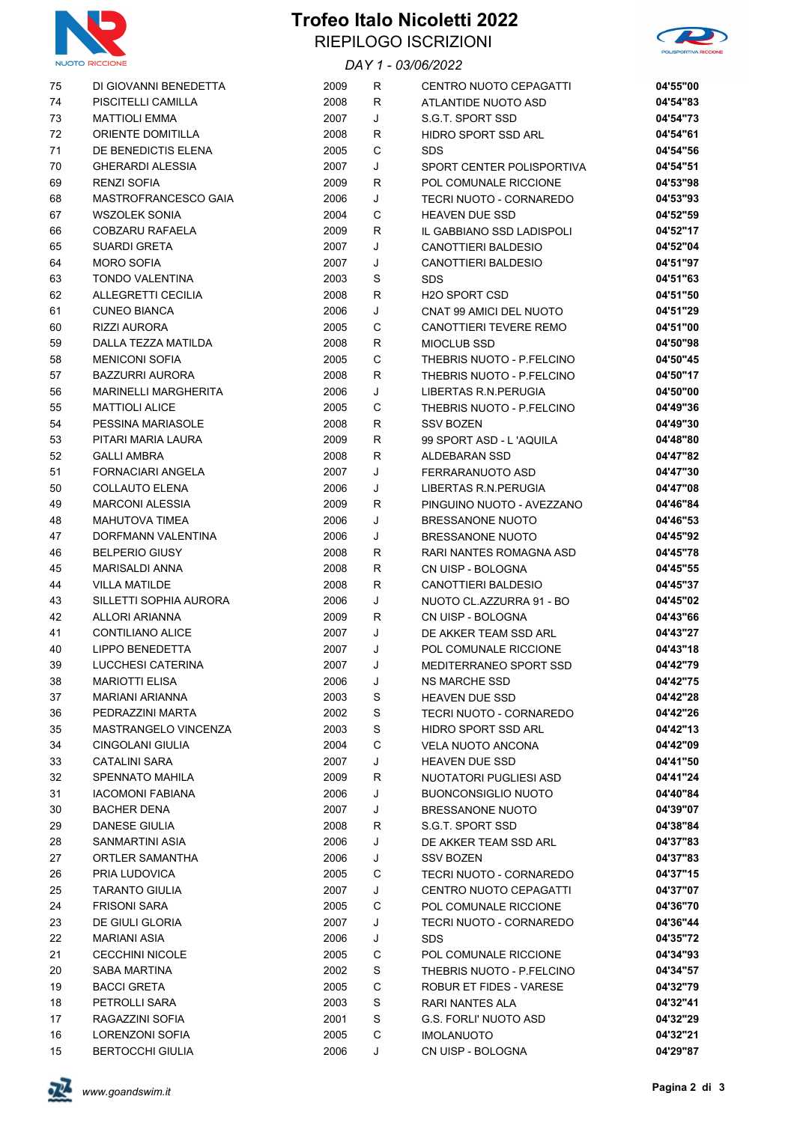

## **Trofeo Italo Nicoletti 2022** RIEPILOGO ISCRIZIONI





| 75 | DI GIOVANNI BENEDETTA       | 2009 | R      | CENTRO NUOTO CEPAGATTI        | 04'55"00 |
|----|-----------------------------|------|--------|-------------------------------|----------|
| 74 | PISCITELLI CAMILLA          | 2008 | R      | ATLANTIDE NUOTO ASD           | 04'54"83 |
| 73 | <b>MATTIOLI EMMA</b>        | 2007 | J      | S.G.T. SPORT SSD              | 04'54"73 |
| 72 | ORIENTE DOMITILLA           | 2008 | R      | HIDRO SPORT SSD ARL           | 04'54"61 |
| 71 | DE BENEDICTIS ELENA         | 2005 | C      | <b>SDS</b>                    | 04'54"56 |
| 70 | <b>GHERARDI ALESSIA</b>     | 2007 | J      | SPORT CENTER POLISPORTIVA     | 04'54"51 |
| 69 | <b>RENZI SOFIA</b>          | 2009 | R      | POL COMUNALE RICCIONE         | 04'53"98 |
| 68 | MASTROFRANCESCO GAIA        | 2006 | J      | TECRI NUOTO - CORNAREDO       | 04'53"93 |
| 67 | <b>WSZOLEK SONIA</b>        | 2004 | С      | <b>HEAVEN DUE SSD</b>         | 04'52"59 |
| 66 | COBZARU RAFAELA             | 2009 | R      | IL GABBIANO SSD LADISPOLI     | 04'52"17 |
| 65 | <b>SUARDI GRETA</b>         | 2007 | J      | <b>CANOTTIERI BALDESIO</b>    | 04'52"04 |
| 64 | <b>MORO SOFIA</b>           | 2007 | J      | <b>CANOTTIERI BALDESIO</b>    | 04'51"97 |
| 63 | <b>TONDO VALENTINA</b>      | 2003 | S      | SDS                           | 04'51"63 |
| 62 | ALLEGRETTI CECILIA          | 2008 | R      | H <sub>20</sub> SPORT CSD     | 04'51"50 |
| 61 | <b>CUNEO BIANCA</b>         | 2006 | J      | CNAT 99 AMICI DEL NUOTO       | 04'51"29 |
| 60 | <b>RIZZI AURORA</b>         | 2005 | C      | CANOTTIERI TEVERE REMO        | 04'51"00 |
| 59 | DALLA TEZZA MATILDA         | 2008 | R      | MIOCLUB SSD                   | 04'50"98 |
| 58 | <b>MENICONI SOFIA</b>       | 2005 | С      | THEBRIS NUOTO - P.FELCINO     | 04'50"45 |
| 57 | <b>BAZZURRI AURORA</b>      | 2008 | R      | THEBRIS NUOTO - P.FELCINO     | 04'50"17 |
| 56 | <b>MARINELLI MARGHERITA</b> | 2006 | J      | LIBERTAS R.N. PERUGIA         | 04'50"00 |
| 55 | <b>MATTIOLI ALICE</b>       | 2005 | C      | THEBRIS NUOTO - P.FELCINO     | 04'49"36 |
| 54 | PESSINA MARIASOLE           | 2008 | R      | <b>SSV BOZEN</b>              | 04'49"30 |
| 53 | PITARI MARIA LAURA          | 2009 | R      | 99 SPORT ASD - L'AQUILA       | 04'48"80 |
| 52 | <b>GALLI AMBRA</b>          | 2008 | R      | ALDEBARAN SSD                 | 04'47"82 |
| 51 | FORNACIARI ANGELA           | 2007 | J      | FERRARANUOTO ASD              | 04'47"30 |
| 50 | <b>COLLAUTO ELENA</b>       | 2006 | J      | LIBERTAS R.N. PERUGIA         | 04'47"08 |
| 49 | <b>MARCONI ALESSIA</b>      | 2009 | R      | PINGUINO NUOTO - AVEZZANO     | 04'46"84 |
| 48 | <b>MAHUTOVA TIMEA</b>       | 2006 | J      | <b>BRESSANONE NUOTO</b>       | 04'46"53 |
| 47 | DORFMANN VALENTINA          | 2006 | J      | <b>BRESSANONE NUOTO</b>       | 04'45"92 |
| 46 | <b>BELPERIO GIUSY</b>       | 2008 | R      | RARI NANTES ROMAGNA ASD       | 04'45"78 |
| 45 | MARISALDI ANNA              | 2008 | R      | CN UISP - BOLOGNA             | 04'45"55 |
| 44 | <b>VILLA MATILDE</b>        | 2008 | R      | CANOTTIERI BALDESIO           | 04'45"37 |
| 43 | SILLETTI SOPHIA AURORA      | 2006 | J      | NUOTO CL.AZZURRA 91 - BO      | 04'45"02 |
| 42 | ALLORI ARIANNA              | 2009 | R      | CN UISP - BOLOGNA             | 04'43"66 |
| 41 | <b>CONTILIANO ALICE</b>     | 2007 | J      | DE AKKER TEAM SSD ARL         | 04'43"27 |
| 40 | <b>LIPPO BENEDETTA</b>      | 2007 | J      | POL COMUNALE RICCIONE         | 04'43"18 |
| 39 | LUCCHESI CATERINA           | 2007 | J      | MEDITERRANEO SPORT SSD        | 04'42"79 |
| 38 | <b>MARIOTTI ELISA</b>       | 2006 | J      | <b>NS MARCHE SSD</b>          | 04'42"75 |
| 37 | MARIANI ARIANNA             | 2003 | S      | <b>HEAVEN DUE SSD</b>         | 04'42"28 |
| 36 | PEDRAZZINI MARTA            | 2002 | S      | TECRI NUOTO - CORNAREDO       | 04'42"26 |
| 35 | MASTRANGELO VINCENZA        | 2003 | S      | HIDRO SPORT SSD ARL           | 04'42"13 |
| 34 | CINGOLANI GIULIA            | 2004 | C      | <b>VELA NUOTO ANCONA</b>      | 04'42"09 |
| 33 | <b>CATALINI SARA</b>        | 2007 | J      | <b>HEAVEN DUE SSD</b>         | 04'41"50 |
| 32 | <b>SPENNATO MAHILA</b>      | 2009 | R      | <b>NUOTATORI PUGLIESI ASD</b> | 04'41"24 |
| 31 | <b>IACOMONI FABIANA</b>     | 2006 | J      | <b>BUONCONSIGLIO NUOTO</b>    | 04'40"84 |
| 30 | <b>BACHER DENA</b>          | 2007 | J      | <b>BRESSANONE NUOTO</b>       | 04'39"07 |
| 29 | DANESE GIULIA               | 2008 |        | S.G.T. SPORT SSD              | 04'38"84 |
| 28 | SANMARTINI ASIA             | 2006 | R<br>J | DE AKKER TEAM SSD ARL         | 04'37"83 |
|    |                             | 2006 |        |                               |          |
| 27 | ORTLER SAMANTHA             |      | J      | <b>SSV BOZEN</b>              | 04'37"83 |
| 26 | PRIA LUDOVICA               | 2005 | С      | TECRI NUOTO - CORNAREDO       | 04'37"15 |
| 25 | <b>TARANTO GIULIA</b>       | 2007 | J      | CENTRO NUOTO CEPAGATTI        | 04'37"07 |
| 24 | <b>FRISONI SARA</b>         | 2005 | С      | POL COMUNALE RICCIONE         | 04'36"70 |
| 23 | DE GIULI GLORIA             | 2007 | J      | TECRI NUOTO - CORNAREDO       | 04'36"44 |
| 22 | <b>MARIANI ASIA</b>         | 2006 | J      | <b>SDS</b>                    | 04'35"72 |
| 21 | <b>CECCHINI NICOLE</b>      | 2005 | С      | POL COMUNALE RICCIONE         | 04'34"93 |
| 20 | SABA MARTINA                | 2002 | S      | THEBRIS NUOTO - P.FELCINO     | 04'34"57 |
| 19 | <b>BACCI GRETA</b>          | 2005 | С      | ROBUR ET FIDES - VARESE       | 04'32"79 |
| 18 | PETROLLI SARA               | 2003 | S      | RARI NANTES ALA               | 04'32"41 |
| 17 | RAGAZZINI SOFIA             | 2001 | S      | <b>G.S. FORLI' NUOTO ASD</b>  | 04'32"29 |
| 16 | LORENZONI SOFIA             | 2005 | С      | <b>IMOLANUOTO</b>             | 04'32"21 |
| 15 | <b>BERTOCCHI GIULIA</b>     | 2006 | J      | CN UISP - BOLOGNA             | 04'29"87 |